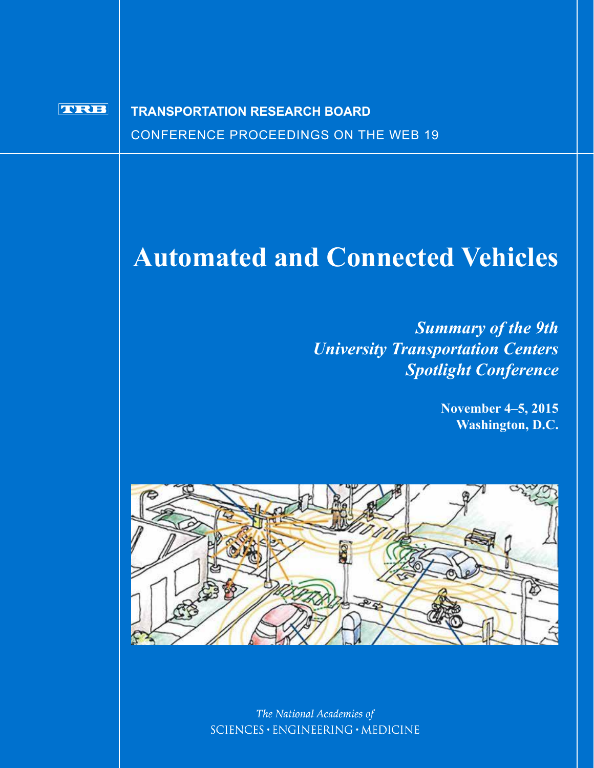#### **TVRIB TRANSPORTATION RESEARCH BOARD**CONFERENCE PROCEEDINGS ON THE WEB 19

# **Automated and Connected Vehicles**

*Summary of the 9th University Transportation Centers Spotlight Conference*

> **November 4–5, 2015 Washington, D.C.**



The National Academies of SCIENCES · ENGINEERING · MEDICINE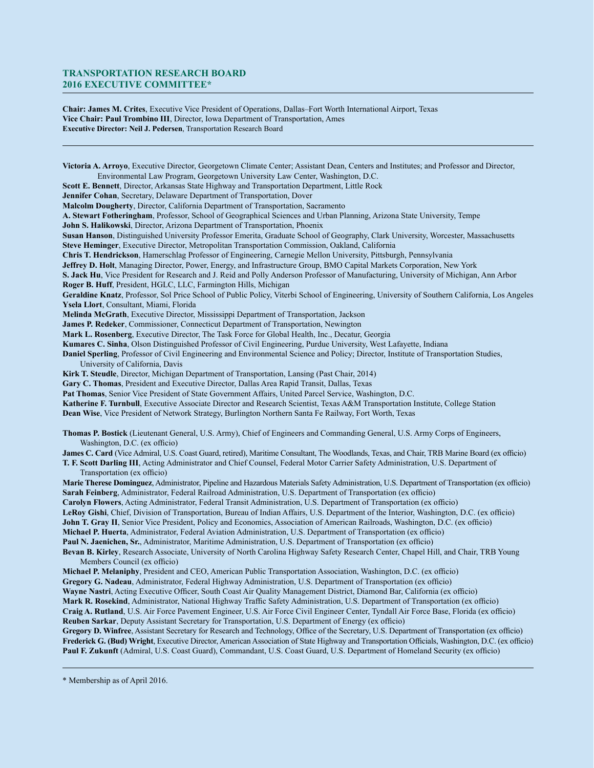#### **TRANSPORTATION RESEARCH BOARD 2016 EXECUTIVE COMMITTEE\***

**Chair: James M. Crites**, Executive Vice President of Operations, Dallas–Fort Worth International Airport, Texas **Vice Chair: Paul Trombino III**, Director, Iowa Department of Transportation, Ames **Executive Director: Neil J. Pedersen**, Transportation Research Board

**Victoria A. Arroyo**, Executive Director, Georgetown Climate Center; Assistant Dean, Centers and Institutes; and Professor and Director, Environmental Law Program, Georgetown University Law Center, Washington, D.C. **Scott E. Bennett**, Director, Arkansas State Highway and Transportation Department, Little Rock **Jennifer Cohan**, Secretary, Delaware Department of Transportation, Dover **Malcolm Dougherty**, Director, California Department of Transportation, Sacramento **A. Stewart Fotheringham**, Professor, School of Geographical Sciences and Urban Planning, Arizona State University, Tempe **John S. Halikowski**, Director, Arizona Department of Transportation, Phoenix **Susan Hanson**, Distinguished University Professor Emerita, Graduate School of Geography, Clark University, Worcester, Massachusetts **Steve Heminger**, Executive Director, Metropolitan Transportation Commission, Oakland, California **Chris T. Hendrickson**, Hamerschlag Professor of Engineering, Carnegie Mellon University, Pittsburgh, Pennsylvania **Jeffrey D. Holt**, Managing Director, Power, Energy, and Infrastructure Group, BMO Capital Markets Corporation, New York **S. Jack Hu**, Vice President for Research and J. Reid and Polly Anderson Professor of Manufacturing, University of Michigan, Ann Arbor **Roger B. Huff**, President, HGLC, LLC, Farmington Hills, Michigan **Geraldine Knatz**, Professor, Sol Price School of Public Policy, Viterbi School of Engineering, University of Southern California, Los Angeles **Ysela Llort**, Consultant, Miami, Florida **Melinda McGrath**, Executive Director, Mississippi Department of Transportation, Jackson **James P. Redeker**, Commissioner, Connecticut Department of Transportation, Newington **Mark L. Rosenberg**, Executive Director, The Task Force for Global Health, Inc., Decatur, Georgia **Kumares C. Sinha**, Olson Distinguished Professor of Civil Engineering, Purdue University, West Lafayette, Indiana **Daniel Sperling**, Professor of Civil Engineering and Environmental Science and Policy; Director, Institute of Transportation Studies, University of California, Davis **Kirk T. Steudle**, Director, Michigan Department of Transportation, Lansing (Past Chair, 2014) **Gary C. Thomas**, President and Executive Director, Dallas Area Rapid Transit, Dallas, Texas **Pat Thomas**, Senior Vice President of State Government Affairs, United Parcel Service, Washington, D.C. **Katherine F. Turnbull**, Executive Associate Director and Research Scientist, Texas A&M Transportation Institute, College Station **Dean Wise**, Vice President of Network Strategy, Burlington Northern Santa Fe Railway, Fort Worth, Texas **Thomas P. Bostick** (Lieutenant General, U.S. Army), Chief of Engineers and Commanding General, U.S. Army Corps of Engineers, Washington, D.C. (ex officio) **James C. Card** (Vice Admiral, U.S. Coast Guard, retired), Maritime Consultant, The Woodlands, Texas, and Chair, TRB Marine Board (ex officio) **T. F. Scott Darling III**, Acting Administrator and Chief Counsel, Federal Motor Carrier Safety Administration, U.S. Department of Transportation (ex officio) **Marie Therese Dominguez**, Administrator, Pipeline and Hazardous Materials Safety Administration, U.S. Department of Transportation (ex officio) **Sarah Feinberg**, Administrator, Federal Railroad Administration, U.S. Department of Transportation (ex officio) **Carolyn Flowers**, Acting Administrator, Federal Transit Administration, U.S. Department of Transportation (ex officio) **LeRoy Gishi**, Chief, Division of Transportation, Bureau of Indian Affairs, U.S. Department of the Interior, Washington, D.C. (ex officio) **John T. Gray II**, Senior Vice President, Policy and Economics, Association of American Railroads, Washington, D.C. (ex officio) **Michael P. Huerta**, Administrator, Federal Aviation Administration, U.S. Department of Transportation (ex officio) **Paul N. Jaenichen, Sr.**, Administrator, Maritime Administration, U.S. Department of Transportation (ex officio) **Bevan B. Kirley**, Research Associate, University of North Carolina Highway Safety Research Center, Chapel Hill, and Chair, TRB Young Members Council (ex officio) **Michael P. Melaniphy**, President and CEO, American Public Transportation Association, Washington, D.C. (ex officio) **Gregory G. Nadeau**, Administrator, Federal Highway Administration, U.S. Department of Transportation (ex officio) **Wayne Nastri**, Acting Executive Officer, South Coast Air Quality Management District, Diamond Bar, California (ex officio) **Mark R. Rosekind**, Administrator, National Highway Traffic Safety Administration, U.S. Department of Transportation (ex officio) **Craig A. Rutland**, U.S. Air Force Pavement Engineer, U.S. Air Force Civil Engineer Center, Tyndall Air Force Base, Florida (ex officio) **Reuben Sarkar**, Deputy Assistant Secretary for Transportation, U.S. Department of Energy (ex officio) **Gregory D. Winfree**, Assistant Secretary for Research and Technology, Office of the Secretary, U.S. Department of Transportation (ex officio) **Frederick G. (Bud) Wright**, Executive Director, American Association of State Highway and Transportation Officials, Washington, D.C. (ex officio) **Paul F. Zukunft** (Admiral, U.S. Coast Guard), Commandant, U.S. Coast Guard, U.S. Department of Homeland Security (ex officio)

\* Membership as of April 2016.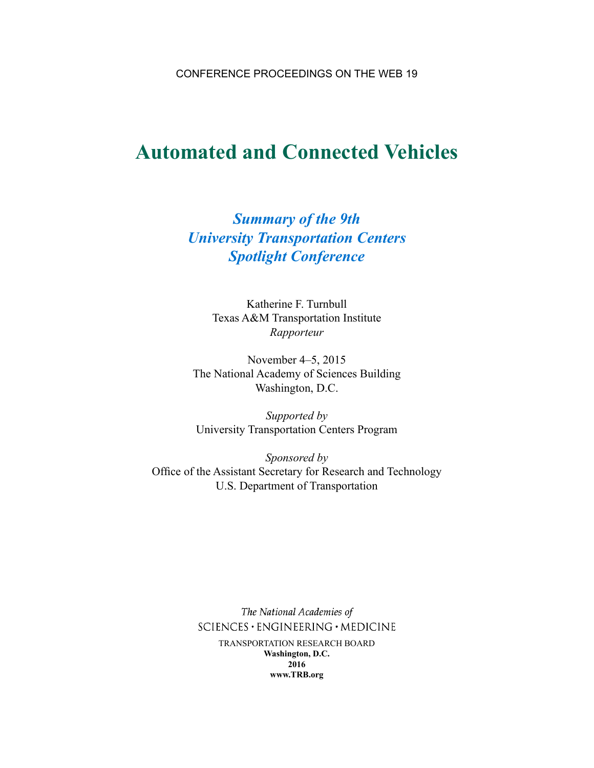CONFERENCE PROCEEDINGS ON THE WEB 19

# **Automated and Connected Vehicles**

## *Summary of the 9th University Transportation Centers Spotlight Conference*

Katherine F. Turnbull Texas A&M Transportation Institute *Rapporteur*

November 4–5, 2015 The National Academy of Sciences Building Washington, D.C.

*Supported by* University Transportation Centers Program

*Sponsored by* Office of the Assistant Secretary for Research and Technology U.S. Department of Transportation

> The National Academies of SCIENCES · ENGINEERING · MEDICINE TRANSPORTATION RESEARCH BOARD **Washington, D.C. 2016 www.TRB.org**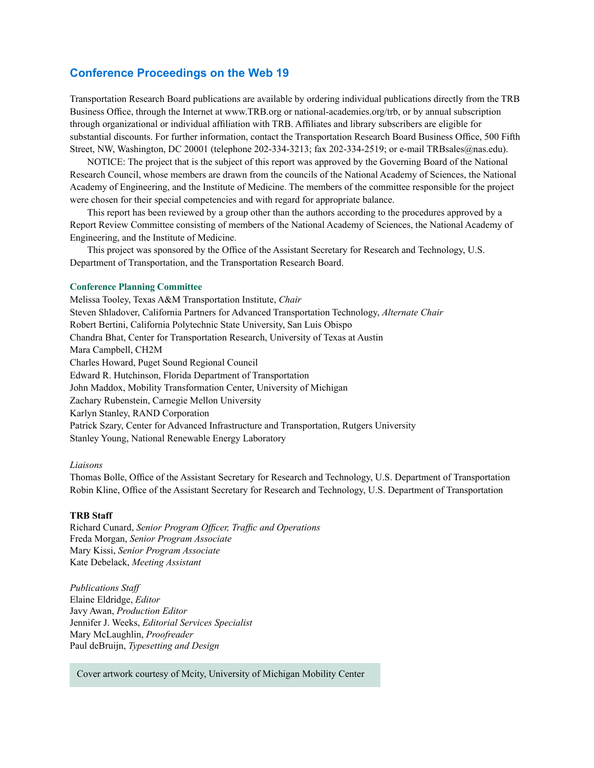#### **Conference Proceedings on the Web 19**

Transportation Research Board publications are available by ordering individual publications directly from the TRB Business Office, through the Internet at www.TRB.org or national-academies.org/trb, or by annual subscription through organizational or individual affiliation with TRB. Affiliates and library subscribers are eligible for substantial discounts. For further information, contact the Transportation Research Board Business Office, 500 Fifth Street, NW, Washington, DC 20001 (telephone 202-334-3213; fax 202-334-2519; or e-mail TRBsales@nas.edu).

NOTICE: The project that is the subject of this report was approved by the Governing Board of the National Research Council, whose members are drawn from the councils of the National Academy of Sciences, the National Academy of Engineering, and the Institute of Medicine. The members of the committee responsible for the project were chosen for their special competencies and with regard for appropriate balance.

This report has been reviewed by a group other than the authors according to the procedures approved by a Report Review Committee consisting of members of the National Academy of Sciences, the National Academy of Engineering, and the Institute of Medicine.

This project was sponsored by the Office of the Assistant Secretary for Research and Technology, U.S. Department of Transportation, and the Transportation Research Board.

#### **Conference Planning Committee**

Melissa Tooley, Texas A&M Transportation Institute, *Chair* Steven Shladover, California Partners for Advanced Transportation Technology, *Alternate Chair* Robert Bertini, California Polytechnic State University, San Luis Obispo Chandra Bhat, Center for Transportation Research, University of Texas at Austin Mara Campbell, CH2M Charles Howard, Puget Sound Regional Council Edward R. Hutchinson, Florida Department of Transportation John Maddox, Mobility Transformation Center, University of Michigan Zachary Rubenstein, Carnegie Mellon University Karlyn Stanley, RAND Corporation Patrick Szary, Center for Advanced Infrastructure and Transportation, Rutgers University Stanley Young, National Renewable Energy Laboratory

#### *Liaisons*

Thomas Bolle, Office of the Assistant Secretary for Research and Technology, U.S. Department of Transportation Robin Kline, Office of the Assistant Secretary for Research and Technology, U.S. Department of Transportation

#### **TRB Staff**

Richard Cunard, *Senior Program Officer, Traffic and Operations* Freda Morgan, *Senior Program Associate* Mary Kissi, *Senior Program Associate* Kate Debelack, *Meeting Assistant*

*Publications Staff* Elaine Eldridge, *Editor* Javy Awan, *Production Editor* Jennifer J. Weeks, *Editorial Services Specialist* Mary McLaughlin, *Proofreader* Paul deBruijn, *Typesetting and Design*

Cover artwork courtesy of Mcity, University of Michigan Mobility Center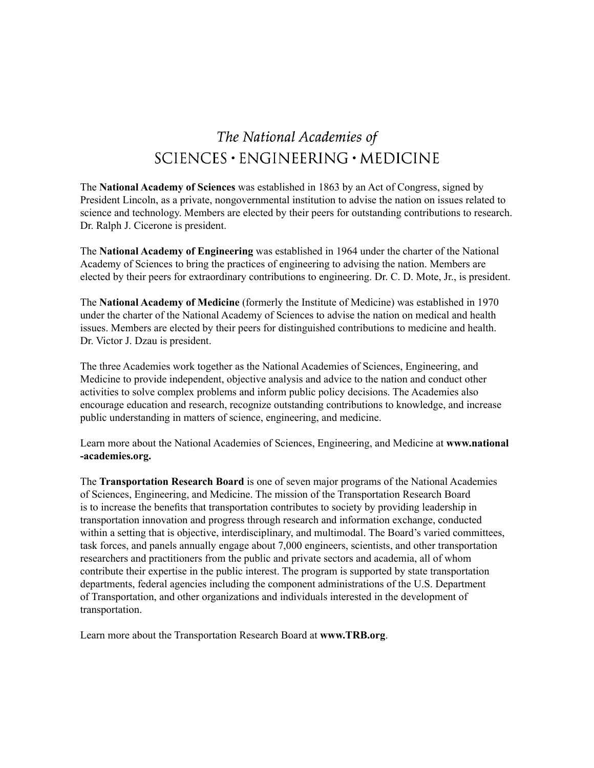## The National Academies of SCIENCES · ENGINEERING · MEDICINE

The **National Academy of Sciences** was established in 1863 by an Act of Congress, signed by President Lincoln, as a private, nongovernmental institution to advise the nation on issues related to science and technology. Members are elected by their peers for outstanding contributions to research. Dr. Ralph J. Cicerone is president.

The **National Academy of Engineering** was established in 1964 under the charter of the National Academy of Sciences to bring the practices of engineering to advising the nation. Members are elected by their peers for extraordinary contributions to engineering. Dr. C. D. Mote, Jr., is president.

The **National Academy of Medicine** (formerly the Institute of Medicine) was established in 1970 under the charter of the National Academy of Sciences to advise the nation on medical and health issues. Members are elected by their peers for distinguished contributions to medicine and health. Dr. Victor J. Dzau is president.

The three Academies work together as the National Academies of Sciences, Engineering, and Medicine to provide independent, objective analysis and advice to the nation and conduct other activities to solve complex problems and inform public policy decisions. The Academies also encourage education and research, recognize outstanding contributions to knowledge, and increase public understanding in matters of science, engineering, and medicine.

Learn more about the National Academies of Sciences, Engineering, and Medicine at **www.national -academies.org.** 

The **Transportation Research Board** is one of seven major programs of the National Academies of Sciences, Engineering, and Medicine. The mission of the Transportation Research Board is to increase the benefits that transportation contributes to society by providing leadership in transportation innovation and progress through research and information exchange, conducted within a setting that is objective, interdisciplinary, and multimodal. The Board's varied committees, task forces, and panels annually engage about 7,000 engineers, scientists, and other transportation researchers and practitioners from the public and private sectors and academia, all of whom contribute their expertise in the public interest. The program is supported by state transportation departments, federal agencies including the component administrations of the U.S. Department of Transportation, and other organizations and individuals interested in the development of transportation.

Learn more about the Transportation Research Board at **www.TRB.org**.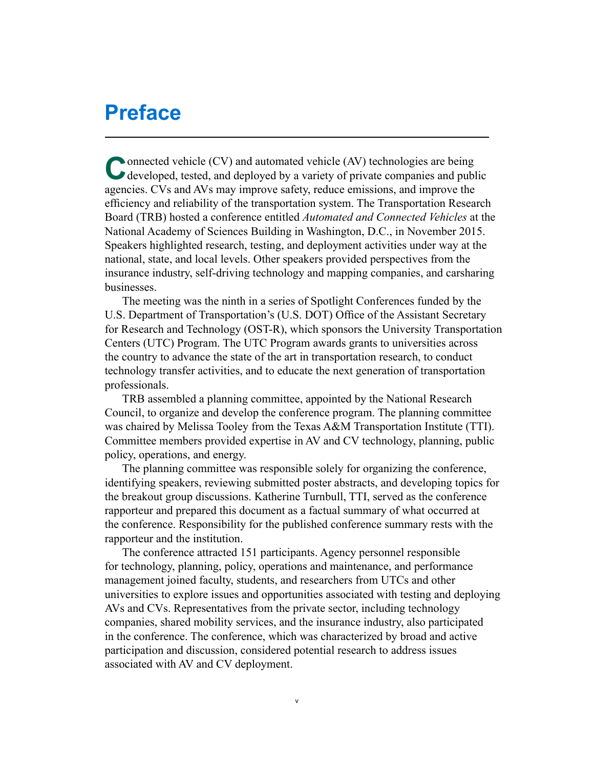# **Preface**

Connected vehicle (CV) and automated vehicle (AV) technologies are being developed, tested, and deployed by a variety of private companies and public agencies. CVs and AVs may improve safety, reduce emissions, and improve the efficiency and reliability of the transportation system. The Transportation Research Board (TRB) hosted a conference entitled *Automated and Connected Vehicles* at the National Academy of Sciences Building in Washington, D.C., in November 2015. Speakers highlighted research, testing, and deployment activities under way at the national, state, and local levels. Other speakers provided perspectives from the insurance industry, self-driving technology and mapping companies, and carsharing businesses.

The meeting was the ninth in a series of Spotlight Conferences funded by the U.S. Department of Transportation's (U.S. DOT) Office of the Assistant Secretary for Research and Technology (OST-R), which sponsors the University Transportation Centers (UTC) Program. The UTC Program awards grants to universities across the country to advance the state of the art in transportation research, to conduct technology transfer activities, and to educate the next generation of transportation professionals.

TRB assembled a planning committee, appointed by the National Research Council, to organize and develop the conference program. The planning committee was chaired by Melissa Tooley from the Texas A&M Transportation Institute (TTI). Committee members provided expertise in AV and CV technology, planning, public policy, operations, and energy.

The planning committee was responsible solely for organizing the conference, identifying speakers, reviewing submitted poster abstracts, and developing topics for the breakout group discussions. Katherine Turnbull, TTI, served as the conference rapporteur and prepared this document as a factual summary of what occurred at the conference. Responsibility for the published conference summary rests with the rapporteur and the institution.

The conference attracted 151 participants. Agency personnel responsible for technology, planning, policy, operations and maintenance, and performance management joined faculty, students, and researchers from UTCs and other universities to explore issues and opportunities associated with testing and deploying AVs and CVs. Representatives from the private sector, including technology companies, shared mobility services, and the insurance industry, also participated in the conference. The conference, which was characterized by broad and active participation and discussion, considered potential research to address issues associated with AV and CV deployment.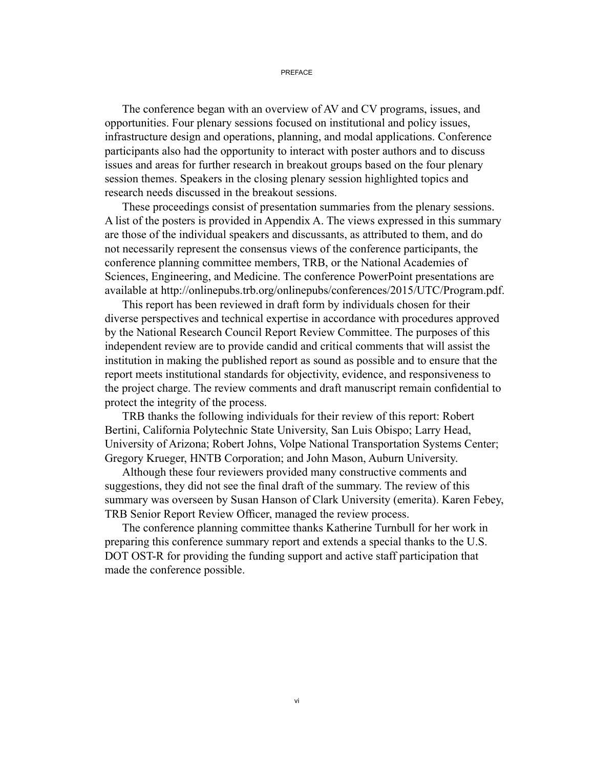#### PREFACE

The conference began with an overview of AV and CV programs, issues, and opportunities. Four plenary sessions focused on institutional and policy issues, infrastructure design and operations, planning, and modal applications. Conference participants also had the opportunity to interact with poster authors and to discuss issues and areas for further research in breakout groups based on the four plenary session themes. Speakers in the closing plenary session highlighted topics and research needs discussed in the breakout sessions.

These proceedings consist of presentation summaries from the plenary sessions. A list of the posters is provided in Appendix A. The views expressed in this summary are those of the individual speakers and discussants, as attributed to them, and do not necessarily represent the consensus views of the conference participants, the conference planning committee members, TRB, or the National Academies of Sciences, Engineering, and Medicine. The conference PowerPoint presentations are available at http://onlinepubs.trb.org/onlinepubs/conferences/2015/UTC/Program.pdf.

This report has been reviewed in draft form by individuals chosen for their diverse perspectives and technical expertise in accordance with procedures approved by the National Research Council Report Review Committee. The purposes of this independent review are to provide candid and critical comments that will assist the institution in making the published report as sound as possible and to ensure that the report meets institutional standards for objectivity, evidence, and responsiveness to the project charge. The review comments and draft manuscript remain confidential to protect the integrity of the process.

TRB thanks the following individuals for their review of this report: Robert Bertini, California Polytechnic State University, San Luis Obispo; Larry Head, University of Arizona; Robert Johns, Volpe National Transportation Systems Center; Gregory Krueger, HNTB Corporation; and John Mason, Auburn University.

Although these four reviewers provided many constructive comments and suggestions, they did not see the final draft of the summary. The review of this summary was overseen by Susan Hanson of Clark University (emerita). Karen Febey, TRB Senior Report Review Officer, managed the review process.

The conference planning committee thanks Katherine Turnbull for her work in preparing this conference summary report and extends a special thanks to the U.S. DOT OST-R for providing the funding support and active staff participation that made the conference possible.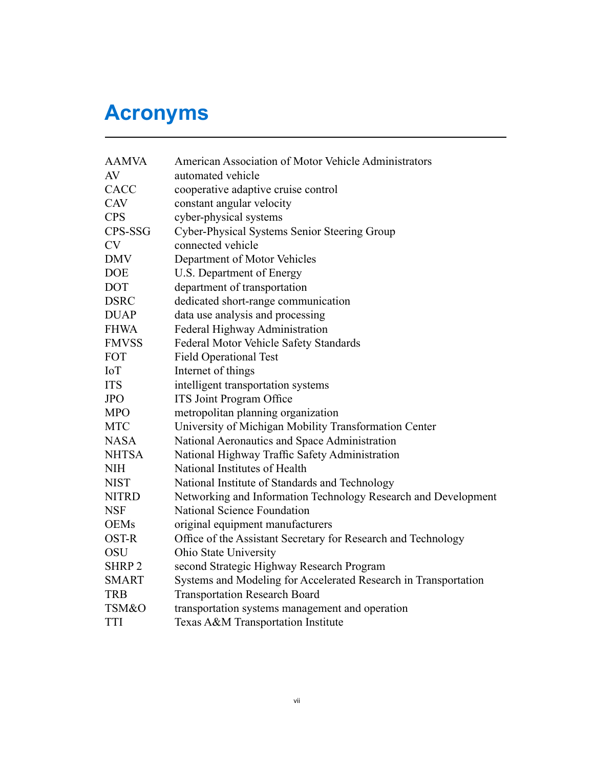# **Acronyms**

| <b>AAMVA</b> | American Association of Motor Vehicle Administrators            |
|--------------|-----------------------------------------------------------------|
| AV           | automated vehicle                                               |
| CACC         | cooperative adaptive cruise control                             |
| <b>CAV</b>   | constant angular velocity                                       |
| <b>CPS</b>   | cyber-physical systems                                          |
| CPS-SSG      | Cyber-Physical Systems Senior Steering Group                    |
| <b>CV</b>    | connected vehicle                                               |
| <b>DMV</b>   | Department of Motor Vehicles                                    |
| <b>DOE</b>   | U.S. Department of Energy                                       |
| <b>DOT</b>   | department of transportation                                    |
| <b>DSRC</b>  | dedicated short-range communication                             |
| <b>DUAP</b>  | data use analysis and processing                                |
| <b>FHWA</b>  | Federal Highway Administration                                  |
| <b>FMVSS</b> | Federal Motor Vehicle Safety Standards                          |
| <b>FOT</b>   | <b>Field Operational Test</b>                                   |
| IoT          | Internet of things                                              |
| <b>ITS</b>   | intelligent transportation systems                              |
| <b>JPO</b>   | <b>ITS Joint Program Office</b>                                 |
| <b>MPO</b>   | metropolitan planning organization                              |
| <b>MTC</b>   | University of Michigan Mobility Transformation Center           |
| <b>NASA</b>  | National Aeronautics and Space Administration                   |
| <b>NHTSA</b> | National Highway Traffic Safety Administration                  |
| <b>NIH</b>   | National Institutes of Health                                   |
| <b>NIST</b>  | National Institute of Standards and Technology                  |
| <b>NITRD</b> | Networking and Information Technology Research and Development  |
| <b>NSF</b>   | <b>National Science Foundation</b>                              |
| <b>OEMs</b>  | original equipment manufacturers                                |
| <b>OST-R</b> | Office of the Assistant Secretary for Research and Technology   |
| <b>OSU</b>   | Ohio State University                                           |
| <b>SHRP2</b> | second Strategic Highway Research Program                       |
| <b>SMART</b> | Systems and Modeling for Accelerated Research in Transportation |
| <b>TRB</b>   | <b>Transportation Research Board</b>                            |
| TSM&O        | transportation systems management and operation                 |
| <b>TTI</b>   | Texas A&M Transportation Institute                              |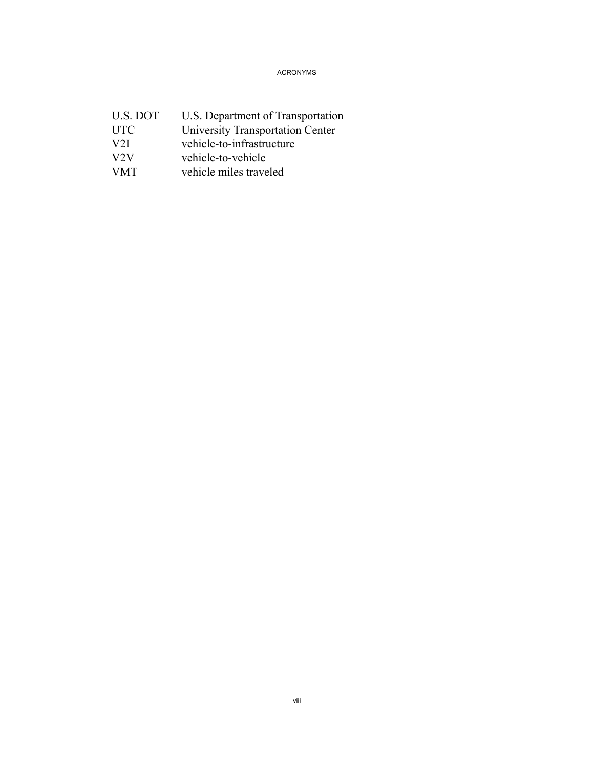ACRONYMS

| U.S. DOT        | U.S. Department of Transportation |
|-----------------|-----------------------------------|
| <b>UTC</b>      | University Transportation Center  |
| V <sub>2I</sub> | vehicle-to-infrastructure         |
| V2V             | vehicle-to-vehicle                |
| <b>VMT</b>      | vehicle miles traveled            |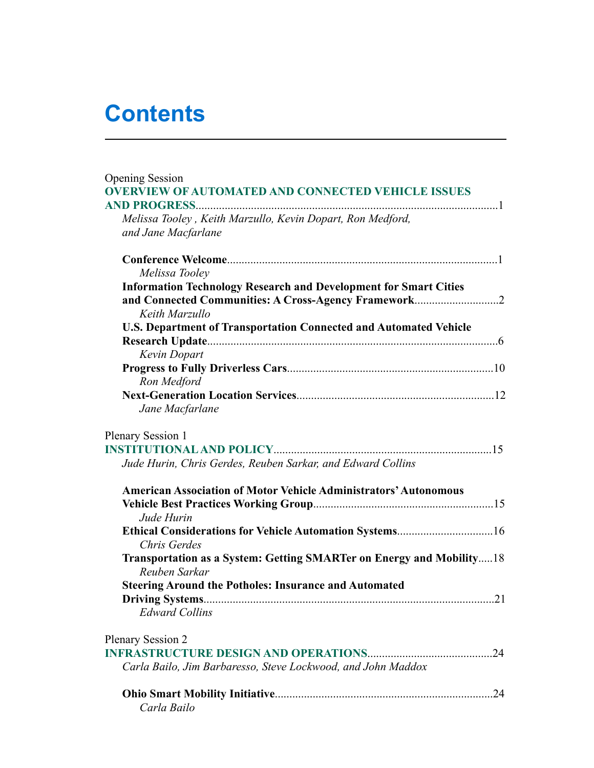# **Contents**

| <b>Opening Session</b>                                                                |     |
|---------------------------------------------------------------------------------------|-----|
| <b>OVERVIEW OF AUTOMATED AND CONNECTED VEHICLE ISSUES</b>                             |     |
|                                                                                       |     |
| Melissa Tooley, Keith Marzullo, Kevin Dopart, Ron Medford,                            |     |
| and Jane Macfarlane                                                                   |     |
|                                                                                       |     |
| Melissa Tooley                                                                        |     |
| <b>Information Technology Research and Development for Smart Cities</b>               |     |
|                                                                                       |     |
| Keith Marzullo                                                                        |     |
| <b>U.S. Department of Transportation Connected and Automated Vehicle</b>              |     |
|                                                                                       |     |
| Kevin Dopart                                                                          |     |
|                                                                                       |     |
| Ron Medford                                                                           |     |
|                                                                                       |     |
| Jane Macfarlane                                                                       |     |
| <b>Plenary Session 1</b>                                                              |     |
|                                                                                       |     |
| Jude Hurin, Chris Gerdes, Reuben Sarkar, and Edward Collins                           |     |
| <b>American Association of Motor Vehicle Administrators' Autonomous</b>               |     |
|                                                                                       |     |
| Jude Hurin                                                                            |     |
|                                                                                       |     |
| Chris Gerdes                                                                          |     |
| Transportation as a System: Getting SMARTer on Energy and Mobility18<br>Reuben Sarkar |     |
| <b>Steering Around the Potholes: Insurance and Automated</b>                          |     |
|                                                                                       |     |
| <b>Edward Collins</b>                                                                 |     |
| <b>Plenary Session 2</b>                                                              |     |
|                                                                                       |     |
| Carla Bailo, Jim Barbaresso, Steve Lockwood, and John Maddox                          |     |
|                                                                                       | .24 |
| Carla Bailo                                                                           |     |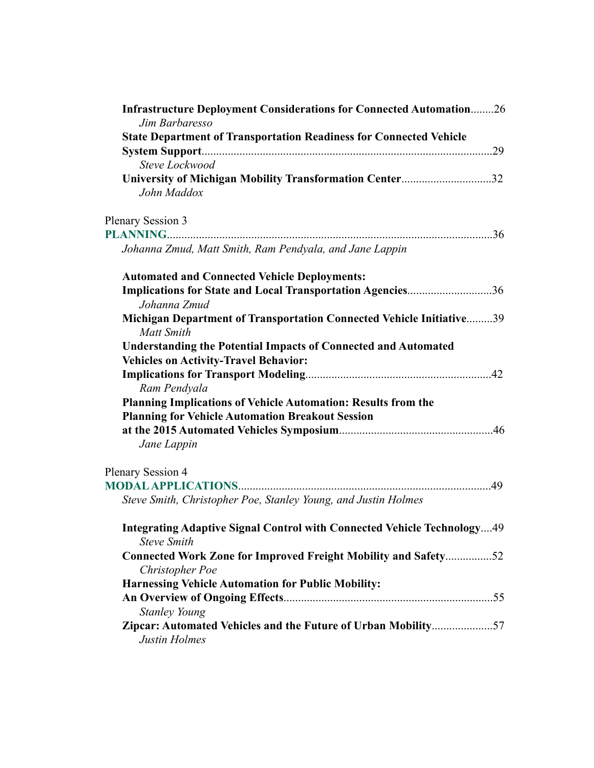| <b>Infrastructure Deployment Considerations for Connected Automation26</b><br>Jim Barbaresso  |  |  |  |
|-----------------------------------------------------------------------------------------------|--|--|--|
| <b>State Department of Transportation Readiness for Connected Vehicle</b>                     |  |  |  |
|                                                                                               |  |  |  |
| Steve Lockwood                                                                                |  |  |  |
| University of Michigan Mobility Transformation Center32<br>John Maddox                        |  |  |  |
| <b>Plenary Session 3</b>                                                                      |  |  |  |
|                                                                                               |  |  |  |
| Johanna Zmud, Matt Smith, Ram Pendyala, and Jane Lappin                                       |  |  |  |
| <b>Automated and Connected Vehicle Deployments:</b>                                           |  |  |  |
| Implications for State and Local Transportation Agencies36<br>Johanna Zmud                    |  |  |  |
| Michigan Department of Transportation Connected Vehicle Initiative39<br><b>Matt Smith</b>     |  |  |  |
| <b>Understanding the Potential Impacts of Connected and Automated</b>                         |  |  |  |
| <b>Vehicles on Activity-Travel Behavior:</b>                                                  |  |  |  |
|                                                                                               |  |  |  |
| Ram Pendyala                                                                                  |  |  |  |
| Planning Implications of Vehicle Automation: Results from the                                 |  |  |  |
| <b>Planning for Vehicle Automation Breakout Session</b>                                       |  |  |  |
|                                                                                               |  |  |  |
| Jane Lappin                                                                                   |  |  |  |
| <b>Plenary Session 4</b>                                                                      |  |  |  |
|                                                                                               |  |  |  |
| Steve Smith, Christopher Poe, Stanley Young, and Justin Holmes                                |  |  |  |
| Integrating Adaptive Signal Control with Connected Vehicle Technology49<br><b>Steve Smith</b> |  |  |  |
| <b>Connected Work Zone for Improved Freight Mobility and Safety52</b><br>Christopher Poe      |  |  |  |
| <b>Harnessing Vehicle Automation for Public Mobility:</b>                                     |  |  |  |
|                                                                                               |  |  |  |
| <b>Stanley Young</b>                                                                          |  |  |  |
| Zipcar: Automated Vehicles and the Future of Urban Mobility57<br><b>Justin Holmes</b>         |  |  |  |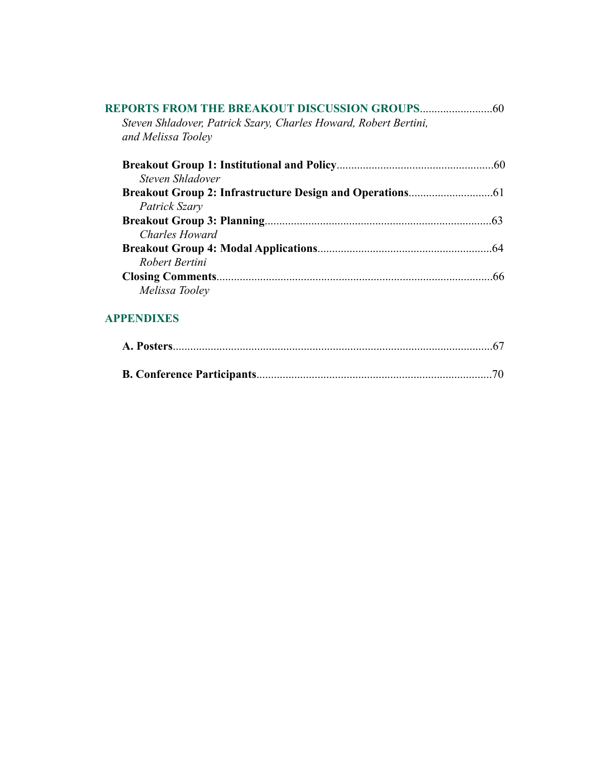| Steven Shladover, Patrick Szary, Charles Howard, Robert Bertini,<br>and Melissa Tooley |  |
|----------------------------------------------------------------------------------------|--|
|                                                                                        |  |
| Steven Shladover                                                                       |  |
|                                                                                        |  |
| Patrick Szary                                                                          |  |
|                                                                                        |  |
| Charles Howard                                                                         |  |
|                                                                                        |  |
| Robert Bertini                                                                         |  |
|                                                                                        |  |
| Melissa Tooley                                                                         |  |

## **APPENDIXES**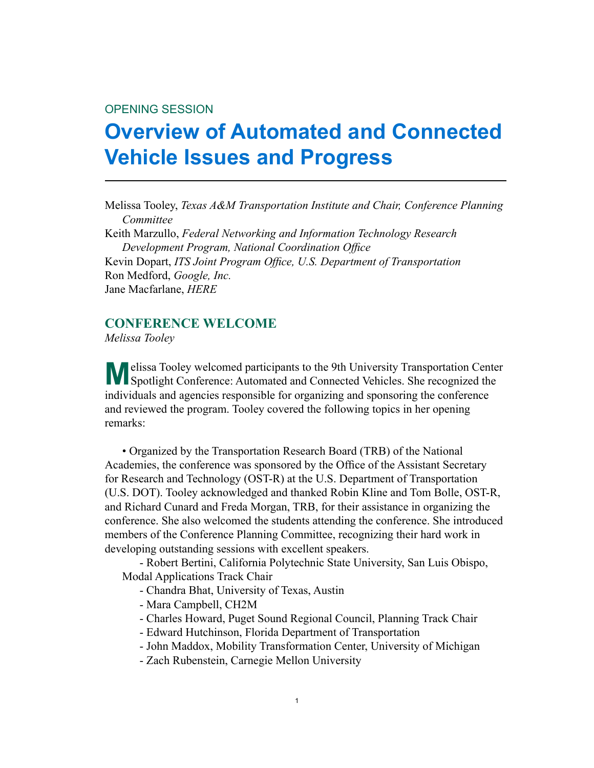#### <span id="page-14-0"></span>OPENING SESSION

# **Overview of Automated and Connected Vehicle Issues and Progress**

Melissa Tooley, *Texas A&M Transportation Institute and Chair, Conference Planning Committee* Keith Marzullo, *Federal Networking and Information Technology Research Development Program, National Coordination Office* Kevin Dopart, *ITS Joint Program Office, U.S. Department of Transportation*

Ron Medford, *Google, Inc.* Jane Macfarlane, *HERE*

#### **CONFERENCE WELCOME**

*Melissa Tooley*

**M**elissa Tooley welcomed participants to the 9th University Transportation Center<br>Spotlight Conference: Automated and Connected Vehicles. She recognized the individuals and agencies responsible for organizing and sponsoring the conference and reviewed the program. Tooley covered the following topics in her opening remarks:

• Organized by the Transportation Research Board (TRB) of the National Academies, the conference was sponsored by the Office of the Assistant Secretary for Research and Technology (OST-R) at the U.S. Department of Transportation (U.S. DOT). Tooley acknowledged and thanked Robin Kline and Tom Bolle, OST-R, and Richard Cunard and Freda Morgan, TRB, for their assistance in organizing the conference. She also welcomed the students attending the conference. She introduced members of the Conference Planning Committee, recognizing their hard work in developing outstanding sessions with excellent speakers.

 - Robert Bertini, California Polytechnic State University, San Luis Obispo, Modal Applications Track Chair

- Chandra Bhat, University of Texas, Austin
- Mara Campbell, CH2M
- Charles Howard, Puget Sound Regional Council, Planning Track Chair
- Edward Hutchinson, Florida Department of Transportation
- John Maddox, Mobility Transformation Center, University of Michigan
- Zach Rubenstein, Carnegie Mellon University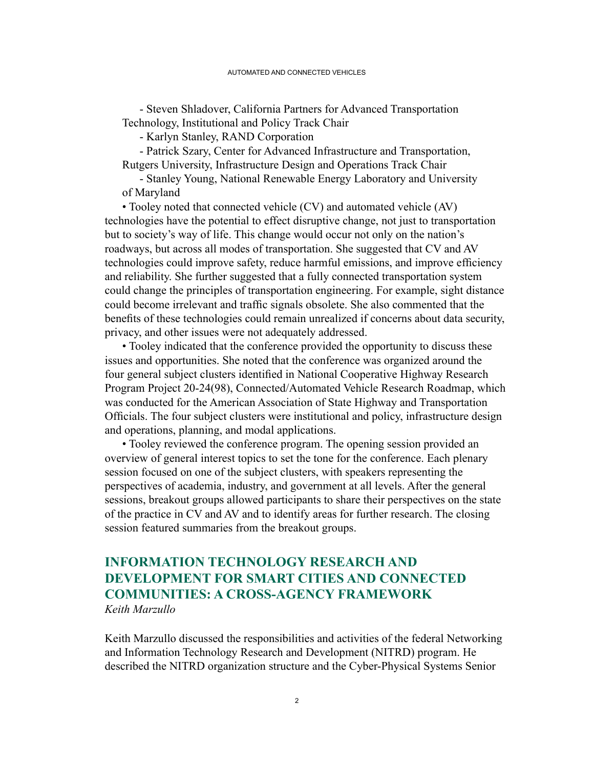<span id="page-15-0"></span> - Steven Shladover, California Partners for Advanced Transportation Technology, Institutional and Policy Track Chair

 - Karlyn Stanley, RAND Corporation

 - Patrick Szary, Center for Advanced Infrastructure and Transportation, Rutgers University, Infrastructure Design and Operations Track Chair

 - Stanley Young, National Renewable Energy Laboratory and University of Maryland

• Tooley noted that connected vehicle (CV) and automated vehicle (AV) technologies have the potential to effect disruptive change, not just to transportation but to society's way of life. This change would occur not only on the nation's roadways, but across all modes of transportation. She suggested that CV and AV technologies could improve safety, reduce harmful emissions, and improve efficiency and reliability. She further suggested that a fully connected transportation system could change the principles of transportation engineering. For example, sight distance could become irrelevant and traffic signals obsolete. She also commented that the benefits of these technologies could remain unrealized if concerns about data security, privacy, and other issues were not adequately addressed.

• Tooley indicated that the conference provided the opportunity to discuss these issues and opportunities. She noted that the conference was organized around the four general subject clusters identified in National Cooperative Highway Research Program Project 20-24(98), Connected/Automated Vehicle Research Roadmap, which was conducted for the American Association of State Highway and Transportation Officials. The four subject clusters were institutional and policy, infrastructure design and operations, planning, and modal applications.

• Tooley reviewed the conference program. The opening session provided an overview of general interest topics to set the tone for the conference. Each plenary session focused on one of the subject clusters, with speakers representing the perspectives of academia, industry, and government at all levels. After the general sessions, breakout groups allowed participants to share their perspectives on the state of the practice in CV and AV and to identify areas for further research. The closing session featured summaries from the breakout groups.

## **INFORMATION TECHNOLOGY RESEARCH AND DEVELOPMENT FOR SMART CITIES AND CONNECTED COMMUNITIES: A CROSS-AGENCY FRAMEWORK** *Keith Marzullo*

Keith Marzullo discussed the responsibilities and activities of the federal Networking and Information Technology Research and Development (NITRD) program. He described the NITRD organization structure and the Cyber-Physical Systems Senior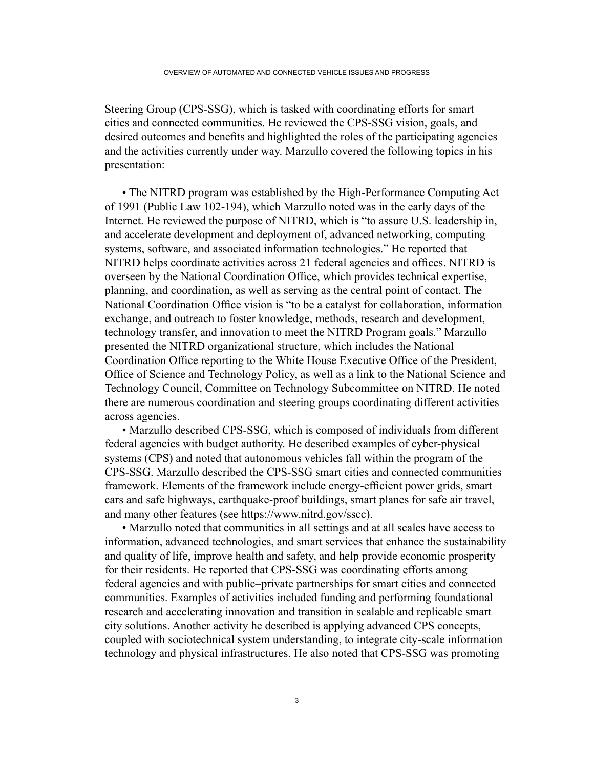Steering Group (CPS-SSG), which is tasked with coordinating efforts for smart cities and connected communities. He reviewed the CPS-SSG vision, goals, and desired outcomes and benefits and highlighted the roles of the participating agencies and the activities currently under way. Marzullo covered the following topics in his presentation:

 • The NITRD program was established by the High-Performance Computing Act of 1991 (Public Law 102-194), which Marzullo noted was in the early days of the Internet. He reviewed the purpose of NITRD, which is "to assure U.S. leadership in, and accelerate development and deployment of, advanced networking, computing systems, software, and associated information technologies." He reported that NITRD helps coordinate activities across 21 federal agencies and offices. NITRD is overseen by the National Coordination Office, which provides technical expertise, planning, and coordination, as well as serving as the central point of contact. The National Coordination Office vision is "to be a catalyst for collaboration, information exchange, and outreach to foster knowledge, methods, research and development, technology transfer, and innovation to meet the NITRD Program goals." Marzullo presented the NITRD organizational structure, which includes the National Coordination Office reporting to the White House Executive Office of the President, Office of Science and Technology Policy, as well as a link to the National Science and Technology Council, Committee on Technology Subcommittee on NITRD. He noted there are numerous coordination and steering groups coordinating different activities across agencies.

 • Marzullo described CPS-SSG, which is composed of individuals from different federal agencies with budget authority. He described examples of cyber-physical systems (CPS) and noted that autonomous vehicles fall within the program of the CPS-SSG. Marzullo described the CPS-SSG smart cities and connected communities framework. Elements of the framework include energy-efficient power grids, smart cars and safe highways, earthquake-proof buildings, smart planes for safe air travel, and many other features (see https://www.nitrd.gov/sscc).

• Marzullo noted that communities in all settings and at all scales have access to information, advanced technologies, and smart services that enhance the sustainability and quality of life, improve health and safety, and help provide economic prosperity for their residents. He reported that CPS-SSG was coordinating efforts among federal agencies and with public–private partnerships for smart cities and connected communities. Examples of activities included funding and performing foundational research and accelerating innovation and transition in scalable and replicable smart city solutions. Another activity he described is applying advanced CPS concepts, coupled with sociotechnical system understanding, to integrate city-scale information technology and physical infrastructures. He also noted that CPS-SSG was promoting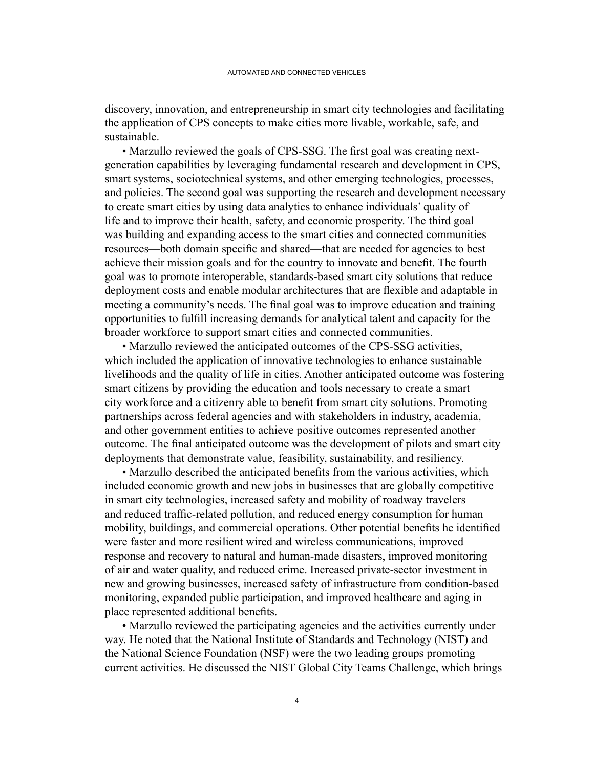discovery, innovation, and entrepreneurship in smart city technologies and facilitating the application of CPS concepts to make cities more livable, workable, safe, and sustainable.

 • Marzullo reviewed the goals of CPS-SSG. The first goal was creating nextgeneration capabilities by leveraging fundamental research and development in CPS, smart systems, sociotechnical systems, and other emerging technologies, processes, and policies. The second goal was supporting the research and development necessary to create smart cities by using data analytics to enhance individuals' quality of life and to improve their health, safety, and economic prosperity. The third goal was building and expanding access to the smart cities and connected communities resources—both domain specific and shared—that are needed for agencies to best achieve their mission goals and for the country to innovate and benefit. The fourth goal was to promote interoperable, standards-based smart city solutions that reduce deployment costs and enable modular architectures that are flexible and adaptable in meeting a community's needs. The final goal was to improve education and training opportunities to fulfill increasing demands for analytical talent and capacity for the broader workforce to support smart cities and connected communities.

 • Marzullo reviewed the anticipated outcomes of the CPS-SSG activities, which included the application of innovative technologies to enhance sustainable livelihoods and the quality of life in cities. Another anticipated outcome was fostering smart citizens by providing the education and tools necessary to create a smart city workforce and a citizenry able to benefit from smart city solutions. Promoting partnerships across federal agencies and with stakeholders in industry, academia, and other government entities to achieve positive outcomes represented another outcome. The final anticipated outcome was the development of pilots and smart city deployments that demonstrate value, feasibility, sustainability, and resiliency.

 • Marzullo described the anticipated benefits from the various activities, which included economic growth and new jobs in businesses that are globally competitive in smart city technologies, increased safety and mobility of roadway travelers and reduced traffic-related pollution, and reduced energy consumption for human mobility, buildings, and commercial operations. Other potential benefits he identified were faster and more resilient wired and wireless communications, improved response and recovery to natural and human-made disasters, improved monitoring of air and water quality, and reduced crime. Increased private-sector investment in new and growing businesses, increased safety of infrastructure from condition-based monitoring, expanded public participation, and improved healthcare and aging in place represented additional benefits.

• Marzullo reviewed the participating agencies and the activities currently under way. He noted that the National Institute of Standards and Technology (NIST) and the National Science Foundation (NSF) were the two leading groups promoting current activities. He discussed the NIST Global City Teams Challenge, which brings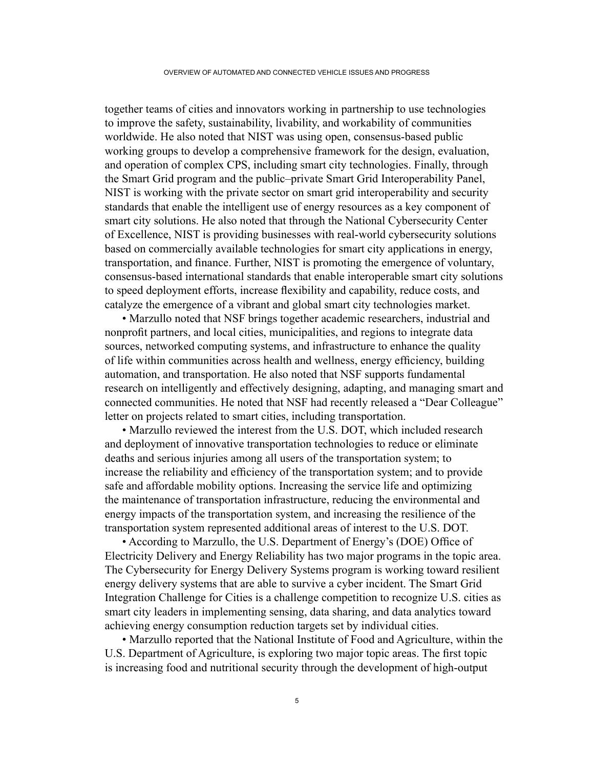together teams of cities and innovators working in partnership to use technologies to improve the safety, sustainability, livability, and workability of communities worldwide. He also noted that NIST was using open, consensus-based public working groups to develop a comprehensive framework for the design, evaluation, and operation of complex CPS, including smart city technologies. Finally, through the Smart Grid program and the public–private Smart Grid Interoperability Panel, NIST is working with the private sector on smart grid interoperability and security standards that enable the intelligent use of energy resources as a key component of smart city solutions. He also noted that through the National Cybersecurity Center of Excellence, NIST is providing businesses with real-world cybersecurity solutions based on commercially available technologies for smart city applications in energy, transportation, and finance. Further, NIST is promoting the emergence of voluntary, consensus-based international standards that enable interoperable smart city solutions to speed deployment efforts, increase flexibility and capability, reduce costs, and catalyze the emergence of a vibrant and global smart city technologies market.

• Marzullo noted that NSF brings together academic researchers, industrial and nonprofit partners, and local cities, municipalities, and regions to integrate data sources, networked computing systems, and infrastructure to enhance the quality of life within communities across health and wellness, energy efficiency, building automation, and transportation. He also noted that NSF supports fundamental research on intelligently and effectively designing, adapting, and managing smart and connected communities. He noted that NSF had recently released a "Dear Colleague" letter on projects related to smart cities, including transportation.

• Marzullo reviewed the interest from the U.S. DOT, which included research and deployment of innovative transportation technologies to reduce or eliminate deaths and serious injuries among all users of the transportation system; to increase the reliability and efficiency of the transportation system; and to provide safe and affordable mobility options. Increasing the service life and optimizing the maintenance of transportation infrastructure, reducing the environmental and energy impacts of the transportation system, and increasing the resilience of the transportation system represented additional areas of interest to the U.S. DOT.

 • According to Marzullo, the U.S. Department of Energy's (DOE) Office of Electricity Delivery and Energy Reliability has two major programs in the topic area. The Cybersecurity for Energy Delivery Systems program is working toward resilient energy delivery systems that are able to survive a cyber incident. The Smart Grid Integration Challenge for Cities is a challenge competition to recognize U.S. cities as smart city leaders in implementing sensing, data sharing, and data analytics toward achieving energy consumption reduction targets set by individual cities.

• Marzullo reported that the National Institute of Food and Agriculture, within the U.S. Department of Agriculture, is exploring two major topic areas. The first topic is increasing food and nutritional security through the development of high-output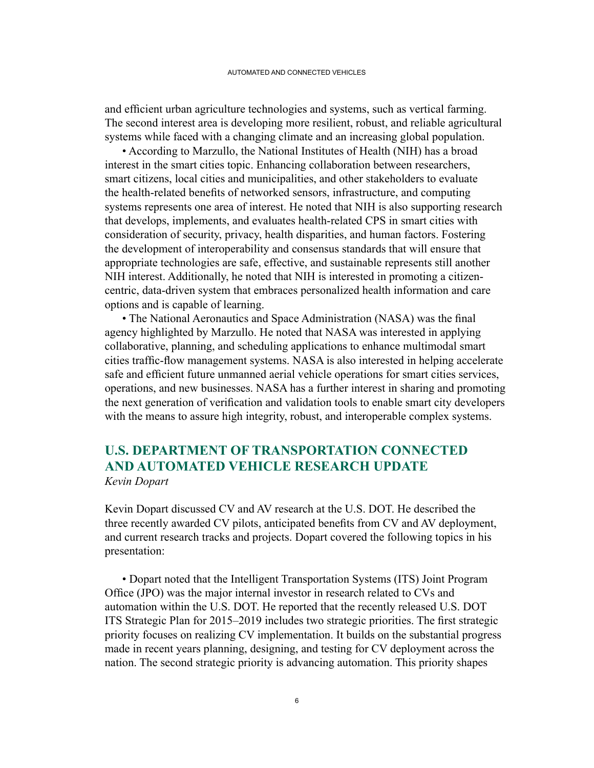<span id="page-19-0"></span>and efficient urban agriculture technologies and systems, such as vertical farming. The second interest area is developing more resilient, robust, and reliable agricultural systems while faced with a changing climate and an increasing global population.

• According to Marzullo, the National Institutes of Health (NIH) has a broad interest in the smart cities topic. Enhancing collaboration between researchers, smart citizens, local cities and municipalities, and other stakeholders to evaluate the health-related benefits of networked sensors, infrastructure, and computing systems represents one area of interest. He noted that NIH is also supporting research that develops, implements, and evaluates health-related CPS in smart cities with consideration of security, privacy, health disparities, and human factors. Fostering the development of interoperability and consensus standards that will ensure that appropriate technologies are safe, effective, and sustainable represents still another NIH interest. Additionally, he noted that NIH is interested in promoting a citizencentric, data-driven system that embraces personalized health information and care options and is capable of learning.

 • The National Aeronautics and Space Administration (NASA) was the final agency highlighted by Marzullo. He noted that NASA was interested in applying collaborative, planning, and scheduling applications to enhance multimodal smart cities traffic-flow management systems. NASA is also interested in helping accelerate safe and efficient future unmanned aerial vehicle operations for smart cities services, operations, and new businesses. NASA has a further interest in sharing and promoting the next generation of verification and validation tools to enable smart city developers with the means to assure high integrity, robust, and interoperable complex systems.

### **U.S. DEPARTMENT OF TRANSPORTATION CONNECTED AND AUTOMATED VEHICLE RESEARCH UPDATE** *Kevin Dopart*

Kevin Dopart discussed CV and AV research at the U.S. DOT. He described the three recently awarded CV pilots, anticipated benefits from CV and AV deployment, and current research tracks and projects. Dopart covered the following topics in his presentation:

• Dopart noted that the Intelligent Transportation Systems (ITS) Joint Program Office (JPO) was the major internal investor in research related to CVs and automation within the U.S. DOT. He reported that the recently released U.S. DOT ITS Strategic Plan for 2015–2019 includes two strategic priorities. The first strategic priority focuses on realizing CV implementation. It builds on the substantial progress made in recent years planning, designing, and testing for CV deployment across the nation. The second strategic priority is advancing automation. This priority shapes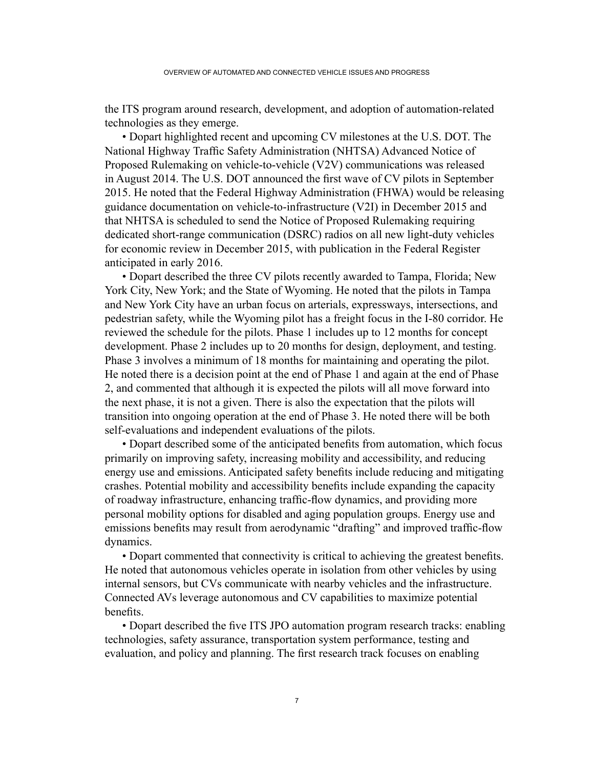the ITS program around research, development, and adoption of automation-related technologies as they emerge.

• Dopart highlighted recent and upcoming CV milestones at the U.S. DOT. The National Highway Traffic Safety Administration (NHTSA) Advanced Notice of Proposed Rulemaking on vehicle-to-vehicle (V2V) communications was released in August 2014. The U.S. DOT announced the first wave of CV pilots in September 2015. He noted that the Federal Highway Administration (FHWA) would be releasing guidance documentation on vehicle-to-infrastructure (V2I) in December 2015 and that NHTSA is scheduled to send the Notice of Proposed Rulemaking requiring dedicated short-range communication (DSRC) radios on all new light-duty vehicles for economic review in December 2015, with publication in the Federal Register anticipated in early 2016.

• Dopart described the three CV pilots recently awarded to Tampa, Florida; New York City, New York; and the State of Wyoming. He noted that the pilots in Tampa and New York City have an urban focus on arterials, expressways, intersections, and pedestrian safety, while the Wyoming pilot has a freight focus in the I-80 corridor. He reviewed the schedule for the pilots. Phase 1 includes up to 12 months for concept development. Phase 2 includes up to 20 months for design, deployment, and testing. Phase 3 involves a minimum of 18 months for maintaining and operating the pilot. He noted there is a decision point at the end of Phase 1 and again at the end of Phase 2, and commented that although it is expected the pilots will all move forward into the next phase, it is not a given. There is also the expectation that the pilots will transition into ongoing operation at the end of Phase 3. He noted there will be both self-evaluations and independent evaluations of the pilots.

 • Dopart described some of the anticipated benefits from automation, which focus primarily on improving safety, increasing mobility and accessibility, and reducing energy use and emissions. Anticipated safety benefits include reducing and mitigating crashes. Potential mobility and accessibility benefits include expanding the capacity of roadway infrastructure, enhancing traffic-flow dynamics, and providing more personal mobility options for disabled and aging population groups. Energy use and emissions benefits may result from aerodynamic "drafting" and improved traffic-flow dynamics.

 • Dopart commented that connectivity is critical to achieving the greatest benefits. He noted that autonomous vehicles operate in isolation from other vehicles by using internal sensors, but CVs communicate with nearby vehicles and the infrastructure. Connected AVs leverage autonomous and CV capabilities to maximize potential benefits.

 • Dopart described the five ITS JPO automation program research tracks: enabling technologies, safety assurance, transportation system performance, testing and evaluation, and policy and planning. The first research track focuses on enabling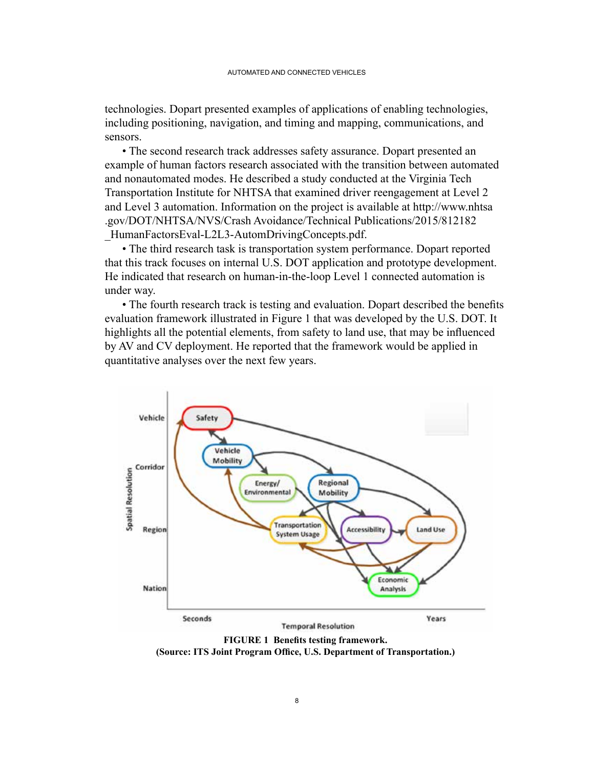technologies. Dopart presented examples of applications of enabling technologies, including positioning, navigation, and timing and mapping, communications, and sensors.

• The second research track addresses safety assurance. Dopart presented an example of human factors research associated with the transition between automated and nonautomated modes. He described a study conducted at the Virginia Tech Transportation Institute for NHTSA that examined driver reengagement at Level 2 and Level 3 automation. Information on the project is available at http://www.nhtsa .gov/DOT/NHTSA/NVS/Crash Avoidance/Technical Publications/2015/812182 HumanFactorsEval-L2L3-AutomDrivingConcepts.pdf.

• The third research task is transportation system performance. Dopart reported that this track focuses on internal U.S. DOT application and prototype development. He indicated that research on human-in-the-loop Level 1 connected automation is under way.

 • The fourth research track is testing and evaluation. Dopart described the benefits evaluation framework illustrated in Figure 1 that was developed by the U.S. DOT. It highlights all the potential elements, from safety to land use, that may be influenced by AV and CV deployment. He reported that the framework would be applied in quantitative analyses over the next few years.



**FIGURE 1 Benefits testing framework. (Source: ITS Joint Program Office, U.S. Department of Transportation.)**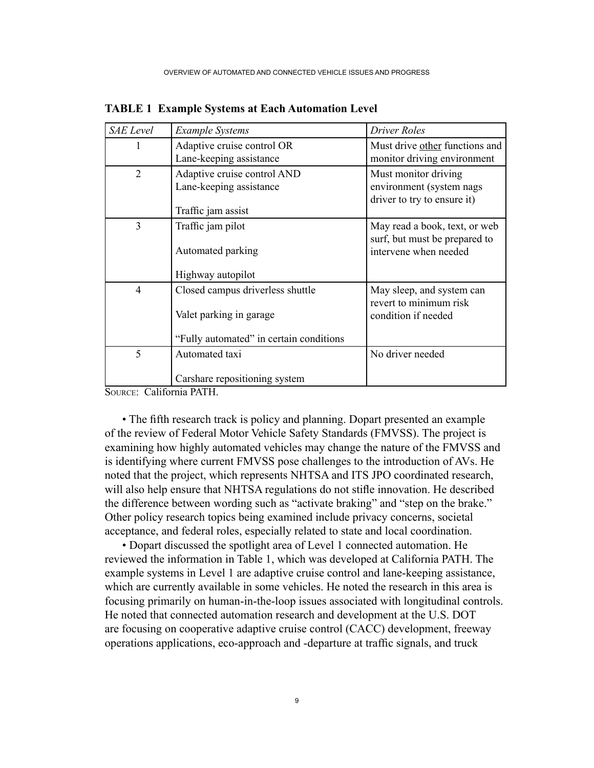| <b>SAE</b> Level | <b>Example Systems</b>                                                                                 | Driver Roles                                                                            |
|------------------|--------------------------------------------------------------------------------------------------------|-----------------------------------------------------------------------------------------|
| 1                | Adaptive cruise control OR<br>Lane-keeping assistance                                                  | Must drive other functions and<br>monitor driving environment                           |
| $\overline{2}$   | Adaptive cruise control AND<br>Lane-keeping assistance<br>Traffic jam assist                           | Must monitor driving<br>environment (system nags<br>driver to try to ensure it)         |
| 3                | Traffic jam pilot<br>Automated parking<br>Highway autopilot                                            | May read a book, text, or web<br>surf, but must be prepared to<br>intervene when needed |
| $\overline{4}$   | Closed campus driverless shuttle<br>Valet parking in garage<br>"Fully automated" in certain conditions | May sleep, and system can<br>revert to minimum risk<br>condition if needed              |
| 5                | Automated taxi<br>Carshare repositioning system                                                        | No driver needed                                                                        |

**TABLE 1 Example Systems at Each Automation Level**

Source: California PATH.

 • The fifth research track is policy and planning. Dopart presented an example of the review of Federal Motor Vehicle Safety Standards (FMVSS). The project is examining how highly automated vehicles may change the nature of the FMVSS and is identifying where current FMVSS pose challenges to the introduction of AVs. He noted that the project, which represents NHTSA and ITS JPO coordinated research, will also help ensure that NHTSA regulations do not stifle innovation. He described the difference between wording such as "activate braking" and "step on the brake." Other policy research topics being examined include privacy concerns, societal acceptance, and federal roles, especially related to state and local coordination.

• Dopart discussed the spotlight area of Level 1 connected automation. He reviewed the information in Table 1, which was developed at California PATH. The example systems in Level 1 are adaptive cruise control and lane-keeping assistance, which are currently available in some vehicles. He noted the research in this area is focusing primarily on human-in-the-loop issues associated with longitudinal controls. He noted that connected automation research and development at the U.S. DOT are focusing on cooperative adaptive cruise control (CACC) development, freeway operations applications, eco-approach and -departure at traffic signals, and truck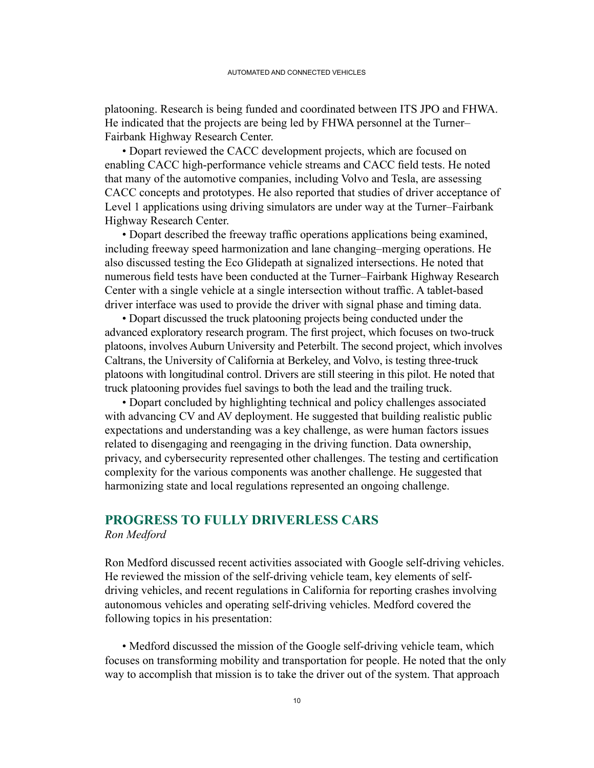<span id="page-23-0"></span>platooning. Research is being funded and coordinated between ITS JPO and FHWA. He indicated that the projects are being led by FHWA personnel at the Turner– Fairbank Highway Research Center.

• Dopart reviewed the CACC development projects, which are focused on enabling CACC high-performance vehicle streams and CACC field tests. He noted that many of the automotive companies, including Volvo and Tesla, are assessing CACC concepts and prototypes. He also reported that studies of driver acceptance of Level 1 applications using driving simulators are under way at the Turner–Fairbank Highway Research Center.

 • Dopart described the freeway traffic operations applications being examined, including freeway speed harmonization and lane changing–merging operations. He also discussed testing the Eco Glidepath at signalized intersections. He noted that numerous field tests have been conducted at the Turner–Fairbank Highway Research Center with a single vehicle at a single intersection without traffic. A tablet-based driver interface was used to provide the driver with signal phase and timing data.

• Dopart discussed the truck platooning projects being conducted under the advanced exploratory research program. The first project, which focuses on two-truck platoons, involves Auburn University and Peterbilt. The second project, which involves Caltrans, the University of California at Berkeley, and Volvo, is testing three-truck platoons with longitudinal control. Drivers are still steering in this pilot. He noted that truck platooning provides fuel savings to both the lead and the trailing truck.

• Dopart concluded by highlighting technical and policy challenges associated with advancing CV and AV deployment. He suggested that building realistic public expectations and understanding was a key challenge, as were human factors issues related to disengaging and reengaging in the driving function. Data ownership, privacy, and cybersecurity represented other challenges. The testing and certification complexity for the various components was another challenge. He suggested that harmonizing state and local regulations represented an ongoing challenge.

### **PROGRESS TO FULLY DRIVERLESS CARS** *Ron Medford*

Ron Medford discussed recent activities associated with Google self-driving vehicles. He reviewed the mission of the self-driving vehicle team, key elements of selfdriving vehicles, and recent regulations in California for reporting crashes involving autonomous vehicles and operating self-driving vehicles. Medford covered the following topics in his presentation:

 • Medford discussed the mission of the Google self-driving vehicle team, which focuses on transforming mobility and transportation for people. He noted that the only way to accomplish that mission is to take the driver out of the system. That approach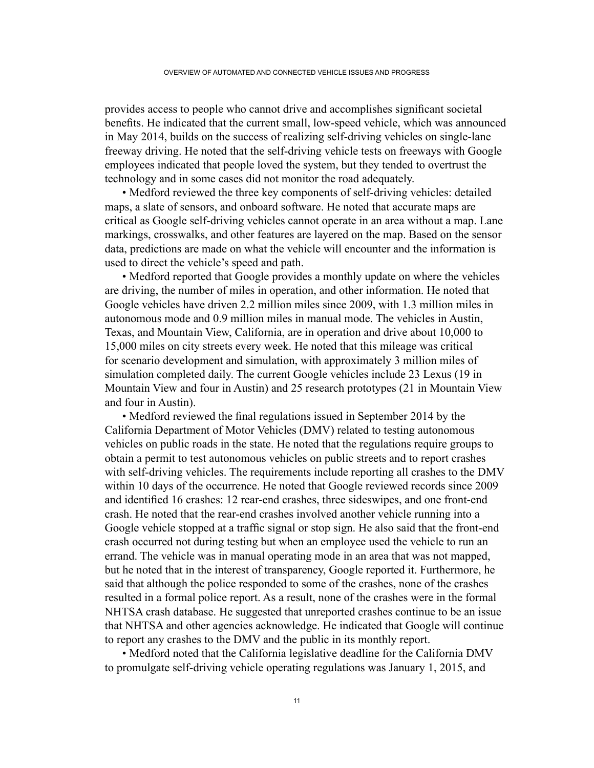provides access to people who cannot drive and accomplishes significant societal benefits. He indicated that the current small, low-speed vehicle, which was announced in May 2014, builds on the success of realizing self-driving vehicles on single-lane freeway driving. He noted that the self-driving vehicle tests on freeways with Google employees indicated that people loved the system, but they tended to overtrust the technology and in some cases did not monitor the road adequately.

 • Medford reviewed the three key components of self-driving vehicles: detailed maps, a slate of sensors, and onboard software. He noted that accurate maps are critical as Google self-driving vehicles cannot operate in an area without a map. Lane markings, crosswalks, and other features are layered on the map. Based on the sensor data, predictions are made on what the vehicle will encounter and the information is used to direct the vehicle's speed and path.

• Medford reported that Google provides a monthly update on where the vehicles are driving, the number of miles in operation, and other information. He noted that Google vehicles have driven 2.2 million miles since 2009, with 1.3 million miles in autonomous mode and 0.9 million miles in manual mode. The vehicles in Austin, Texas, and Mountain View, California, are in operation and drive about 10,000 to 15,000 miles on city streets every week. He noted that this mileage was critical for scenario development and simulation, with approximately 3 million miles of simulation completed daily. The current Google vehicles include 23 Lexus (19 in Mountain View and four in Austin) and 25 research prototypes (21 in Mountain View and four in Austin).

 • Medford reviewed the final regulations issued in September 2014 by the California Department of Motor Vehicles (DMV) related to testing autonomous vehicles on public roads in the state. He noted that the regulations require groups to obtain a permit to test autonomous vehicles on public streets and to report crashes with self-driving vehicles. The requirements include reporting all crashes to the DMV within 10 days of the occurrence. He noted that Google reviewed records since 2009 and identified 16 crashes: 12 rear-end crashes, three sideswipes, and one front-end crash. He noted that the rear-end crashes involved another vehicle running into a Google vehicle stopped at a traffic signal or stop sign. He also said that the front-end crash occurred not during testing but when an employee used the vehicle to run an errand. The vehicle was in manual operating mode in an area that was not mapped, but he noted that in the interest of transparency, Google reported it. Furthermore, he said that although the police responded to some of the crashes, none of the crashes resulted in a formal police report. As a result, none of the crashes were in the formal NHTSA crash database. He suggested that unreported crashes continue to be an issue that NHTSA and other agencies acknowledge. He indicated that Google will continue to report any crashes to the DMV and the public in its monthly report.

• Medford noted that the California legislative deadline for the California DMV to promulgate self-driving vehicle operating regulations was January 1, 2015, and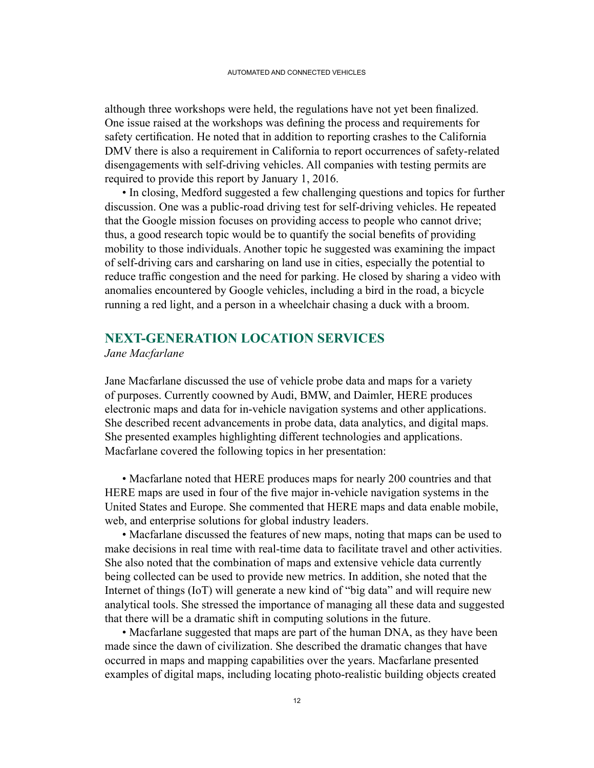<span id="page-25-0"></span>although three workshops were held, the regulations have not yet been finalized. One issue raised at the workshops was defining the process and requirements for safety certification. He noted that in addition to reporting crashes to the California DMV there is also a requirement in California to report occurrences of safety-related disengagements with self-driving vehicles. All companies with testing permits are required to provide this report by January 1, 2016.

• In closing, Medford suggested a few challenging questions and topics for further discussion. One was a public-road driving test for self-driving vehicles. He repeated that the Google mission focuses on providing access to people who cannot drive; thus, a good research topic would be to quantify the social benefits of providing mobility to those individuals. Another topic he suggested was examining the impact of self-driving cars and carsharing on land use in cities, especially the potential to reduce traffic congestion and the need for parking. He closed by sharing a video with anomalies encountered by Google vehicles, including a bird in the road, a bicycle running a red light, and a person in a wheelchair chasing a duck with a broom.

## **NEXT-GENERATION LOCATION SERVICES**

*Jane Macfarlane*

Jane Macfarlane discussed the use of vehicle probe data and maps for a variety of purposes. Currently coowned by Audi, BMW, and Daimler, HERE produces electronic maps and data for in-vehicle navigation systems and other applications. She described recent advancements in probe data, data analytics, and digital maps. She presented examples highlighting different technologies and applications. Macfarlane covered the following topics in her presentation:

• Macfarlane noted that HERE produces maps for nearly 200 countries and that HERE maps are used in four of the five major in-vehicle navigation systems in the United States and Europe. She commented that HERE maps and data enable mobile, web, and enterprise solutions for global industry leaders.

• Macfarlane discussed the features of new maps, noting that maps can be used to make decisions in real time with real-time data to facilitate travel and other activities. She also noted that the combination of maps and extensive vehicle data currently being collected can be used to provide new metrics. In addition, she noted that the Internet of things (IoT) will generate a new kind of "big data" and will require new analytical tools. She stressed the importance of managing all these data and suggested that there will be a dramatic shift in computing solutions in the future.

• Macfarlane suggested that maps are part of the human DNA, as they have been made since the dawn of civilization. She described the dramatic changes that have occurred in maps and mapping capabilities over the years. Macfarlane presented examples of digital maps, including locating photo-realistic building objects created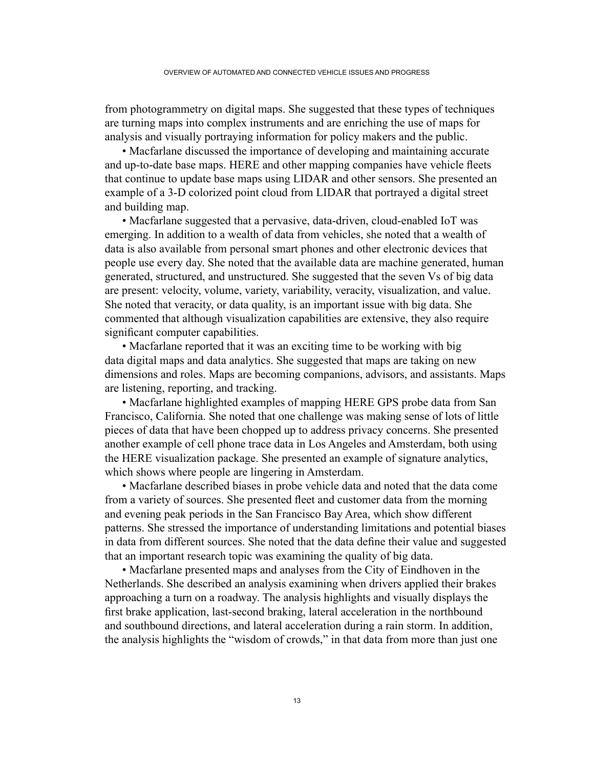from photogrammetry on digital maps. She suggested that these types of techniques are turning maps into complex instruments and are enriching the use of maps for analysis and visually portraying information for policy makers and the public.

• Macfarlane discussed the importance of developing and maintaining accurate and up-to-date base maps. HERE and other mapping companies have vehicle fleets that continue to update base maps using LIDAR and other sensors. She presented an example of a 3-D colorized point cloud from LIDAR that portrayed a digital street and building map.

 • Macfarlane suggested that a pervasive, data-driven, cloud-enabled IoT was emerging. In addition to a wealth of data from vehicles, she noted that a wealth of data is also available from personal smart phones and other electronic devices that people use every day. She noted that the available data are machine generated, human generated, structured, and unstructured. She suggested that the seven Vs of big data are present: velocity, volume, variety, variability, veracity, visualization, and value. She noted that veracity, or data quality, is an important issue with big data. She commented that although visualization capabilities are extensive, they also require significant computer capabilities.

• Macfarlane reported that it was an exciting time to be working with big data digital maps and data analytics. She suggested that maps are taking on new dimensions and roles. Maps are becoming companions, advisors, and assistants. Maps are listening, reporting, and tracking.

• Macfarlane highlighted examples of mapping HERE GPS probe data from San Francisco, California. She noted that one challenge was making sense of lots of little pieces of data that have been chopped up to address privacy concerns. She presented another example of cell phone trace data in Los Angeles and Amsterdam, both using the HERE visualization package. She presented an example of signature analytics, which shows where people are lingering in Amsterdam.

• Macfarlane described biases in probe vehicle data and noted that the data come from a variety of sources. She presented fleet and customer data from the morning and evening peak periods in the San Francisco Bay Area, which show different patterns. She stressed the importance of understanding limitations and potential biases in data from different sources. She noted that the data define their value and suggested that an important research topic was examining the quality of big data.

• Macfarlane presented maps and analyses from the City of Eindhoven in the Netherlands. She described an analysis examining when drivers applied their brakes approaching a turn on a roadway. The analysis highlights and visually displays the first brake application, last-second braking, lateral acceleration in the northbound and southbound directions, and lateral acceleration during a rain storm. In addition, the analysis highlights the "wisdom of crowds," in that data from more than just one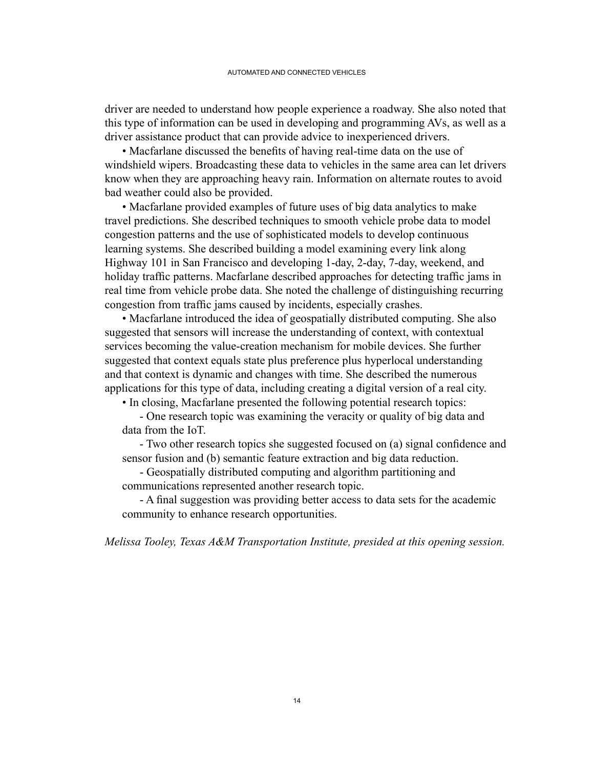driver are needed to understand how people experience a roadway. She also noted that this type of information can be used in developing and programming AVs, as well as a driver assistance product that can provide advice to inexperienced drivers.

 • Macfarlane discussed the benefits of having real-time data on the use of windshield wipers. Broadcasting these data to vehicles in the same area can let drivers know when they are approaching heavy rain. Information on alternate routes to avoid bad weather could also be provided.

• Macfarlane provided examples of future uses of big data analytics to make travel predictions. She described techniques to smooth vehicle probe data to model congestion patterns and the use of sophisticated models to develop continuous learning systems. She described building a model examining every link along Highway 101 in San Francisco and developing 1-day, 2-day, 7-day, weekend, and holiday traffic patterns. Macfarlane described approaches for detecting traffic jams in real time from vehicle probe data. She noted the challenge of distinguishing recurring congestion from traffic jams caused by incidents, especially crashes.

• Macfarlane introduced the idea of geospatially distributed computing. She also suggested that sensors will increase the understanding of context, with contextual services becoming the value-creation mechanism for mobile devices. She further suggested that context equals state plus preference plus hyperlocal understanding and that context is dynamic and changes with time. She described the numerous applications for this type of data, including creating a digital version of a real city.

• In closing, Macfarlane presented the following potential research topics:

 - One research topic was examining the veracity or quality of big data and data from the IoT.

 - Two other research topics she suggested focused on (a) signal confidence and sensor fusion and (b) semantic feature extraction and big data reduction.

 - Geospatially distributed computing and algorithm partitioning and communications represented another research topic.

 - A final suggestion was providing better access to data sets for the academic community to enhance research opportunities.

*Melissa Tooley, Texas A&M Transportation Institute, presided at this opening session.*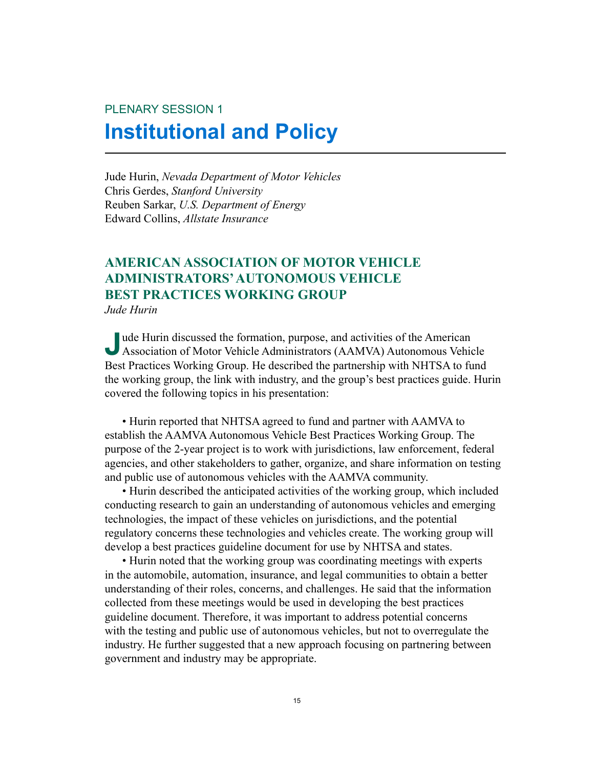# <span id="page-28-0"></span>PLENARY SESSION 1 **Institutional and Policy**

Jude Hurin, *Nevada Department of Motor Vehicles* Chris Gerdes, *Stanford University* Reuben Sarkar, *U.S. Department of Energy* Edward Collins, *Allstate Insurance*

### **AMERICAN ASSOCIATION OF MOTOR VEHICLE ADMINISTRATORS' AUTONOMOUS VEHICLE BEST PRACTICES WORKING GROUP** *Jude Hurin*

**J**ude Hurin discussed the formation, purpose, and activities of the American Association of Motor Vehicle Administrators (AAMVA) Autonomous Vehicle Best Practices Working Group. He described the partnership with NHTSA to fund the working group, the link with industry, and the group's best practices guide. Hurin covered the following topics in his presentation:

• Hurin reported that NHTSA agreed to fund and partner with AAMVA to establish the AAMVA Autonomous Vehicle Best Practices Working Group. The purpose of the 2-year project is to work with jurisdictions, law enforcement, federal agencies, and other stakeholders to gather, organize, and share information on testing and public use of autonomous vehicles with the AAMVA community.

• Hurin described the anticipated activities of the working group, which included conducting research to gain an understanding of autonomous vehicles and emerging technologies, the impact of these vehicles on jurisdictions, and the potential regulatory concerns these technologies and vehicles create. The working group will develop a best practices guideline document for use by NHTSA and states.

• Hurin noted that the working group was coordinating meetings with experts in the automobile, automation, insurance, and legal communities to obtain a better understanding of their roles, concerns, and challenges. He said that the information collected from these meetings would be used in developing the best practices guideline document. Therefore, it was important to address potential concerns with the testing and public use of autonomous vehicles, but not to overregulate the industry. He further suggested that a new approach focusing on partnering between government and industry may be appropriate.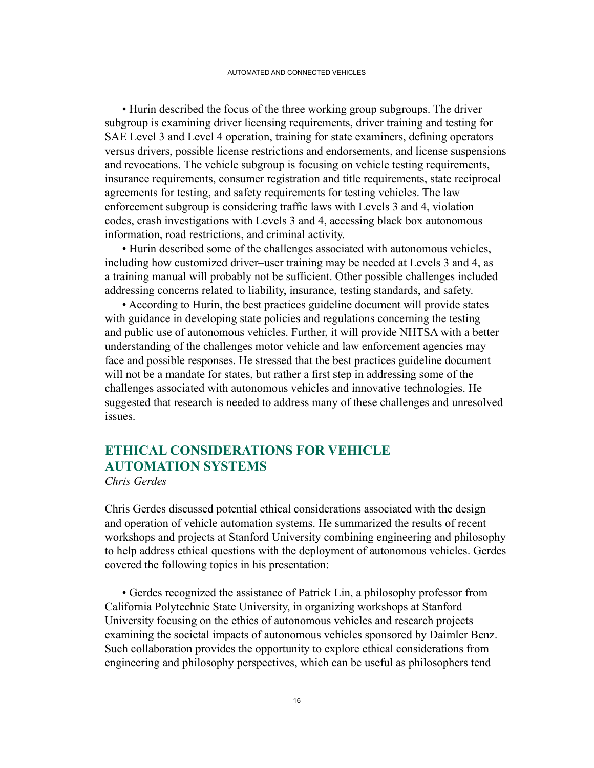<span id="page-29-0"></span>• Hurin described the focus of the three working group subgroups. The driver subgroup is examining driver licensing requirements, driver training and testing for SAE Level 3 and Level 4 operation, training for state examiners, defining operators versus drivers, possible license restrictions and endorsements, and license suspensions and revocations. The vehicle subgroup is focusing on vehicle testing requirements, insurance requirements, consumer registration and title requirements, state reciprocal agreements for testing, and safety requirements for testing vehicles. The law enforcement subgroup is considering traffic laws with Levels 3 and 4, violation codes, crash investigations with Levels 3 and 4, accessing black box autonomous information, road restrictions, and criminal activity.

• Hurin described some of the challenges associated with autonomous vehicles, including how customized driver–user training may be needed at Levels 3 and 4, as a training manual will probably not be sufficient. Other possible challenges included addressing concerns related to liability, insurance, testing standards, and safety.

• According to Hurin, the best practices guideline document will provide states with guidance in developing state policies and regulations concerning the testing and public use of autonomous vehicles. Further, it will provide NHTSA with a better understanding of the challenges motor vehicle and law enforcement agencies may face and possible responses. He stressed that the best practices guideline document will not be a mandate for states, but rather a first step in addressing some of the challenges associated with autonomous vehicles and innovative technologies. He suggested that research is needed to address many of these challenges and unresolved issues.

### **ETHICAL CONSIDERATIONS FOR VEHICLE AUTOMATION SYSTEMS** *Chris Gerdes*

Chris Gerdes discussed potential ethical considerations associated with the design and operation of vehicle automation systems. He summarized the results of recent workshops and projects at Stanford University combining engineering and philosophy to help address ethical questions with the deployment of autonomous vehicles. Gerdes covered the following topics in his presentation:

• Gerdes recognized the assistance of Patrick Lin, a philosophy professor from California Polytechnic State University, in organizing workshops at Stanford University focusing on the ethics of autonomous vehicles and research projects examining the societal impacts of autonomous vehicles sponsored by Daimler Benz. Such collaboration provides the opportunity to explore ethical considerations from engineering and philosophy perspectives, which can be useful as philosophers tend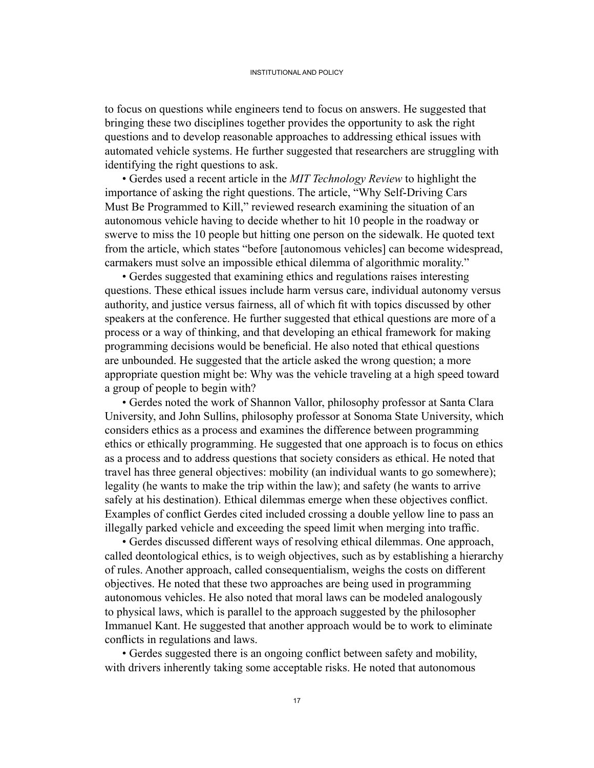to focus on questions while engineers tend to focus on answers. He suggested that bringing these two disciplines together provides the opportunity to ask the right questions and to develop reasonable approaches to addressing ethical issues with automated vehicle systems. He further suggested that researchers are struggling with identifying the right questions to ask.

• Gerdes used a recent article in the *MIT Technology Review* to highlight the importance of asking the right questions. The article, "Why Self-Driving Cars Must Be Programmed to Kill," reviewed research examining the situation of an autonomous vehicle having to decide whether to hit 10 people in the roadway or swerve to miss the 10 people but hitting one person on the sidewalk. He quoted text from the article, which states "before [autonomous vehicles] can become widespread, carmakers must solve an impossible ethical dilemma of algorithmic morality."

• Gerdes suggested that examining ethics and regulations raises interesting questions. These ethical issues include harm versus care, individual autonomy versus authority, and justice versus fairness, all of which fit with topics discussed by other speakers at the conference. He further suggested that ethical questions are more of a process or a way of thinking, and that developing an ethical framework for making programming decisions would be beneficial. He also noted that ethical questions are unbounded. He suggested that the article asked the wrong question; a more appropriate question might be: Why was the vehicle traveling at a high speed toward a group of people to begin with?

• Gerdes noted the work of Shannon Vallor, philosophy professor at Santa Clara University, and John Sullins, philosophy professor at Sonoma State University, which considers ethics as a process and examines the difference between programming ethics or ethically programming. He suggested that one approach is to focus on ethics as a process and to address questions that society considers as ethical. He noted that travel has three general objectives: mobility (an individual wants to go somewhere); legality (he wants to make the trip within the law); and safety (he wants to arrive safely at his destination). Ethical dilemmas emerge when these objectives conflict. Examples of conflict Gerdes cited included crossing a double yellow line to pass an illegally parked vehicle and exceeding the speed limit when merging into traffic.

• Gerdes discussed different ways of resolving ethical dilemmas. One approach, called deontological ethics, is to weigh objectives, such as by establishing a hierarchy of rules. Another approach, called consequentialism, weighs the costs on different objectives. He noted that these two approaches are being used in programming autonomous vehicles. He also noted that moral laws can be modeled analogously to physical laws, which is parallel to the approach suggested by the philosopher Immanuel Kant. He suggested that another approach would be to work to eliminate conflicts in regulations and laws.

 • Gerdes suggested there is an ongoing conflict between safety and mobility, with drivers inherently taking some acceptable risks. He noted that autonomous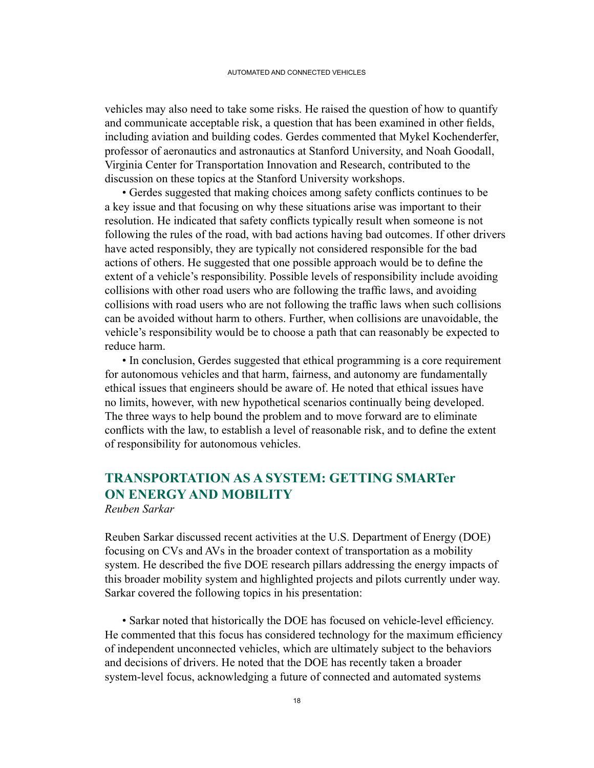<span id="page-31-0"></span>vehicles may also need to take some risks. He raised the question of how to quantify and communicate acceptable risk, a question that has been examined in other fields, including aviation and building codes. Gerdes commented that Mykel Kochenderfer, professor of aeronautics and astronautics at Stanford University, and Noah Goodall, Virginia Center for Transportation Innovation and Research, contributed to the discussion on these topics at the Stanford University workshops.

 • Gerdes suggested that making choices among safety conflicts continues to be a key issue and that focusing on why these situations arise was important to their resolution. He indicated that safety conflicts typically result when someone is not following the rules of the road, with bad actions having bad outcomes. If other drivers have acted responsibly, they are typically not considered responsible for the bad actions of others. He suggested that one possible approach would be to define the extent of a vehicle's responsibility. Possible levels of responsibility include avoiding collisions with other road users who are following the traffic laws, and avoiding collisions with road users who are not following the traffic laws when such collisions can be avoided without harm to others. Further, when collisions are unavoidable, the vehicle's responsibility would be to choose a path that can reasonably be expected to reduce harm.

• In conclusion, Gerdes suggested that ethical programming is a core requirement for autonomous vehicles and that harm, fairness, and autonomy are fundamentally ethical issues that engineers should be aware of. He noted that ethical issues have no limits, however, with new hypothetical scenarios continually being developed. The three ways to help bound the problem and to move forward are to eliminate conflicts with the law, to establish a level of reasonable risk, and to define the extent of responsibility for autonomous vehicles.

## **TRANSPORTATION AS A SYSTEM: GETTING SMARTer ON ENERGY AND MOBILITY**

*Reuben Sarkar*

Reuben Sarkar discussed recent activities at the U.S. Department of Energy (DOE) focusing on CVs and AVs in the broader context of transportation as a mobility system. He described the five DOE research pillars addressing the energy impacts of this broader mobility system and highlighted projects and pilots currently under way. Sarkar covered the following topics in his presentation:

 • Sarkar noted that historically the DOE has focused on vehicle-level efficiency. He commented that this focus has considered technology for the maximum efficiency of independent unconnected vehicles, which are ultimately subject to the behaviors and decisions of drivers. He noted that the DOE has recently taken a broader system-level focus, acknowledging a future of connected and automated systems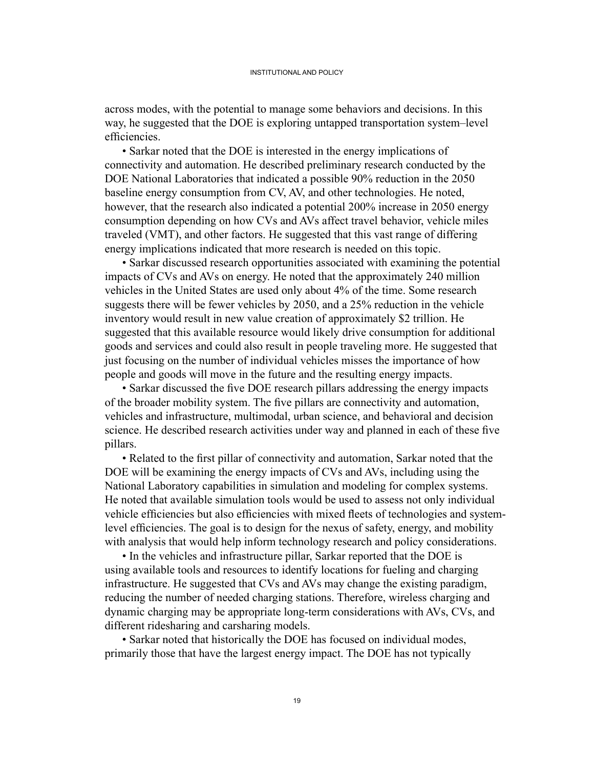across modes, with the potential to manage some behaviors and decisions. In this way, he suggested that the DOE is exploring untapped transportation system–level efficiencies.

• Sarkar noted that the DOE is interested in the energy implications of connectivity and automation. He described preliminary research conducted by the DOE National Laboratories that indicated a possible 90% reduction in the 2050 baseline energy consumption from CV, AV, and other technologies. He noted, however, that the research also indicated a potential 200% increase in 2050 energy consumption depending on how CVs and AVs affect travel behavior, vehicle miles traveled (VMT), and other factors. He suggested that this vast range of differing energy implications indicated that more research is needed on this topic.

• Sarkar discussed research opportunities associated with examining the potential impacts of CVs and AVs on energy. He noted that the approximately 240 million vehicles in the United States are used only about 4% of the time. Some research suggests there will be fewer vehicles by 2050, and a 25% reduction in the vehicle inventory would result in new value creation of approximately \$2 trillion. He suggested that this available resource would likely drive consumption for additional goods and services and could also result in people traveling more. He suggested that just focusing on the number of individual vehicles misses the importance of how people and goods will move in the future and the resulting energy impacts.

 • Sarkar discussed the five DOE research pillars addressing the energy impacts of the broader mobility system. The five pillars are connectivity and automation, vehicles and infrastructure, multimodal, urban science, and behavioral and decision science. He described research activities under way and planned in each of these five pillars.

 • Related to the first pillar of connectivity and automation, Sarkar noted that the DOE will be examining the energy impacts of CVs and AVs, including using the National Laboratory capabilities in simulation and modeling for complex systems. He noted that available simulation tools would be used to assess not only individual vehicle efficiencies but also efficiencies with mixed fleets of technologies and systemlevel efficiencies. The goal is to design for the nexus of safety, energy, and mobility with analysis that would help inform technology research and policy considerations.

• In the vehicles and infrastructure pillar, Sarkar reported that the DOE is using available tools and resources to identify locations for fueling and charging infrastructure. He suggested that CVs and AVs may change the existing paradigm, reducing the number of needed charging stations. Therefore, wireless charging and dynamic charging may be appropriate long-term considerations with AVs, CVs, and different ridesharing and carsharing models.

• Sarkar noted that historically the DOE has focused on individual modes, primarily those that have the largest energy impact. The DOE has not typically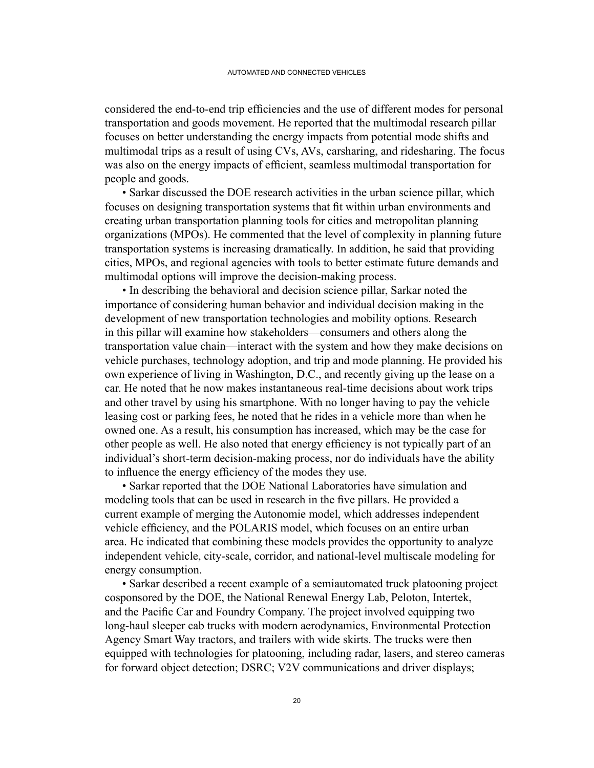considered the end-to-end trip efficiencies and the use of different modes for personal transportation and goods movement. He reported that the multimodal research pillar focuses on better understanding the energy impacts from potential mode shifts and multimodal trips as a result of using CVs, AVs, carsharing, and ridesharing. The focus was also on the energy impacts of efficient, seamless multimodal transportation for people and goods.

• Sarkar discussed the DOE research activities in the urban science pillar, which focuses on designing transportation systems that fit within urban environments and creating urban transportation planning tools for cities and metropolitan planning organizations (MPOs). He commented that the level of complexity in planning future transportation systems is increasing dramatically. In addition, he said that providing cities, MPOs, and regional agencies with tools to better estimate future demands and multimodal options will improve the decision-making process.

• In describing the behavioral and decision science pillar, Sarkar noted the importance of considering human behavior and individual decision making in the development of new transportation technologies and mobility options. Research in this pillar will examine how stakeholders—consumers and others along the transportation value chain—interact with the system and how they make decisions on vehicle purchases, technology adoption, and trip and mode planning. He provided his own experience of living in Washington, D.C., and recently giving up the lease on a car. He noted that he now makes instantaneous real-time decisions about work trips and other travel by using his smartphone. With no longer having to pay the vehicle leasing cost or parking fees, he noted that he rides in a vehicle more than when he owned one. As a result, his consumption has increased, which may be the case for other people as well. He also noted that energy efficiency is not typically part of an individual's short-term decision-making process, nor do individuals have the ability to influence the energy efficiency of the modes they use.

• Sarkar reported that the DOE National Laboratories have simulation and modeling tools that can be used in research in the five pillars. He provided a current example of merging the Autonomie model, which addresses independent vehicle efficiency, and the POLARIS model, which focuses on an entire urban area. He indicated that combining these models provides the opportunity to analyze independent vehicle, city-scale, corridor, and national-level multiscale modeling for energy consumption.

• Sarkar described a recent example of a semiautomated truck platooning project cosponsored by the DOE, the National Renewal Energy Lab, Peloton, Intertek, and the Pacific Car and Foundry Company. The project involved equipping two long-haul sleeper cab trucks with modern aerodynamics, Environmental Protection Agency Smart Way tractors, and trailers with wide skirts. The trucks were then equipped with technologies for platooning, including radar, lasers, and stereo cameras for forward object detection; DSRC; V2V communications and driver displays;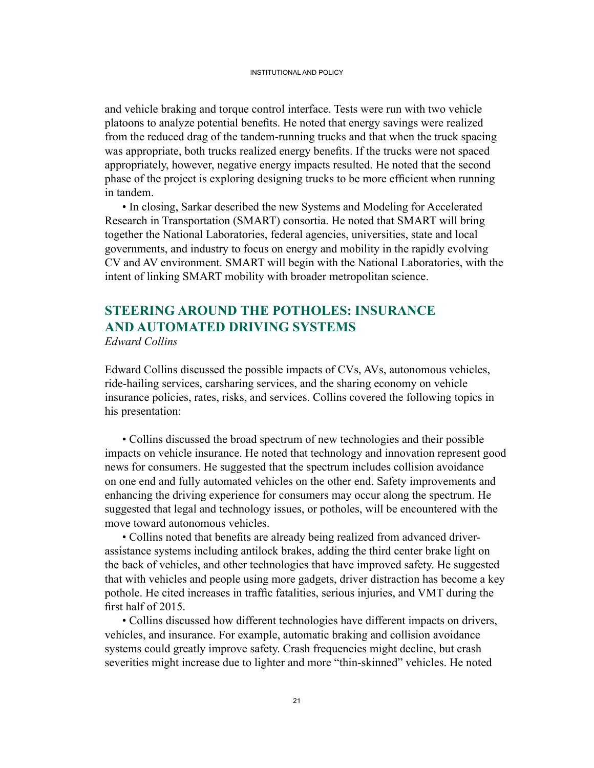<span id="page-34-0"></span>and vehicle braking and torque control interface. Tests were run with two vehicle platoons to analyze potential benefits. He noted that energy savings were realized from the reduced drag of the tandem-running trucks and that when the truck spacing was appropriate, both trucks realized energy benefits. If the trucks were not spaced appropriately, however, negative energy impacts resulted. He noted that the second phase of the project is exploring designing trucks to be more efficient when running in tandem.

• In closing, Sarkar described the new Systems and Modeling for Accelerated Research in Transportation (SMART) consortia. He noted that SMART will bring together the National Laboratories, federal agencies, universities, state and local governments, and industry to focus on energy and mobility in the rapidly evolving CV and AV environment. SMART will begin with the National Laboratories, with the intent of linking SMART mobility with broader metropolitan science.

### **STEERING AROUND THE POTHOLES: INSURANCE AND AUTOMATED DRIVING SYSTEMS** *Edward Collins*

Edward Collins discussed the possible impacts of CVs, AVs, autonomous vehicles, ride-hailing services, carsharing services, and the sharing economy on vehicle insurance policies, rates, risks, and services. Collins covered the following topics in his presentation:

• Collins discussed the broad spectrum of new technologies and their possible impacts on vehicle insurance. He noted that technology and innovation represent good news for consumers. He suggested that the spectrum includes collision avoidance on one end and fully automated vehicles on the other end. Safety improvements and enhancing the driving experience for consumers may occur along the spectrum. He suggested that legal and technology issues, or potholes, will be encountered with the move toward autonomous vehicles.

 • Collins noted that benefits are already being realized from advanced driverassistance systems including antilock brakes, adding the third center brake light on the back of vehicles, and other technologies that have improved safety. He suggested that with vehicles and people using more gadgets, driver distraction has become a key pothole. He cited increases in traffic fatalities, serious injuries, and VMT during the first half of 2015.

• Collins discussed how different technologies have different impacts on drivers, vehicles, and insurance. For example, automatic braking and collision avoidance systems could greatly improve safety. Crash frequencies might decline, but crash severities might increase due to lighter and more "thin-skinned" vehicles. He noted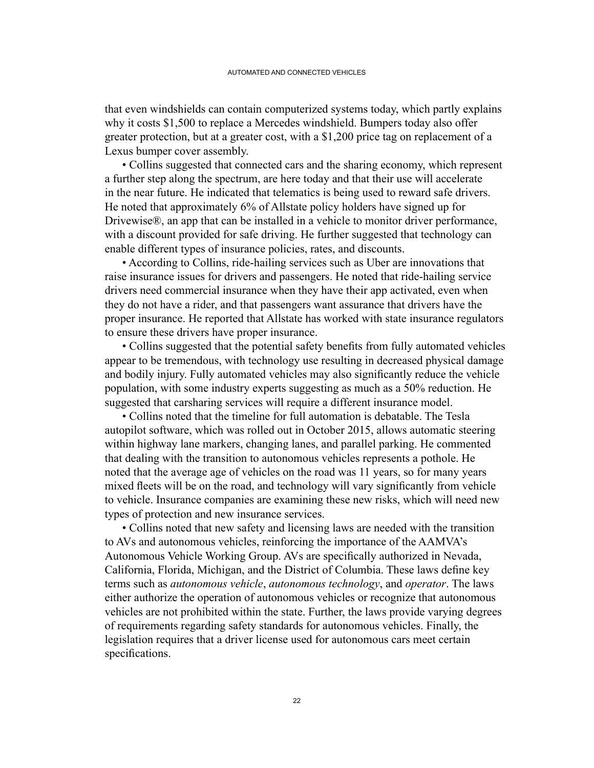that even windshields can contain computerized systems today, which partly explains why it costs \$1,500 to replace a Mercedes windshield. Bumpers today also offer greater protection, but at a greater cost, with a \$1,200 price tag on replacement of a Lexus bumper cover assembly.

• Collins suggested that connected cars and the sharing economy, which represent a further step along the spectrum, are here today and that their use will accelerate in the near future. He indicated that telematics is being used to reward safe drivers. He noted that approximately 6% of Allstate policy holders have signed up for Drivewise®, an app that can be installed in a vehicle to monitor driver performance, with a discount provided for safe driving. He further suggested that technology can enable different types of insurance policies, rates, and discounts.

 • According to Collins, ride-hailing services such as Uber are innovations that raise insurance issues for drivers and passengers. He noted that ride-hailing service drivers need commercial insurance when they have their app activated, even when they do not have a rider, and that passengers want assurance that drivers have the proper insurance. He reported that Allstate has worked with state insurance regulators to ensure these drivers have proper insurance.

 • Collins suggested that the potential safety benefits from fully automated vehicles appear to be tremendous, with technology use resulting in decreased physical damage and bodily injury. Fully automated vehicles may also significantly reduce the vehicle population, with some industry experts suggesting as much as a 50% reduction. He suggested that carsharing services will require a different insurance model.

• Collins noted that the timeline for full automation is debatable. The Tesla autopilot software, which was rolled out in October 2015, allows automatic steering within highway lane markers, changing lanes, and parallel parking. He commented that dealing with the transition to autonomous vehicles represents a pothole. He noted that the average age of vehicles on the road was 11 years, so for many years mixed fleets will be on the road, and technology will vary significantly from vehicle to vehicle. Insurance companies are examining these new risks, which will need new types of protection and new insurance services.

• Collins noted that new safety and licensing laws are needed with the transition to AVs and autonomous vehicles, reinforcing the importance of the AAMVA's Autonomous Vehicle Working Group. AVs are specifically authorized in Nevada, California, Florida, Michigan, and the District of Columbia. These laws define key terms such as *autonomous vehicle*, *autonomous technology*, and *operator*. The laws either authorize the operation of autonomous vehicles or recognize that autonomous vehicles are not prohibited within the state. Further, the laws provide varying degrees of requirements regarding safety standards for autonomous vehicles. Finally, the legislation requires that a driver license used for autonomous cars meet certain specifications.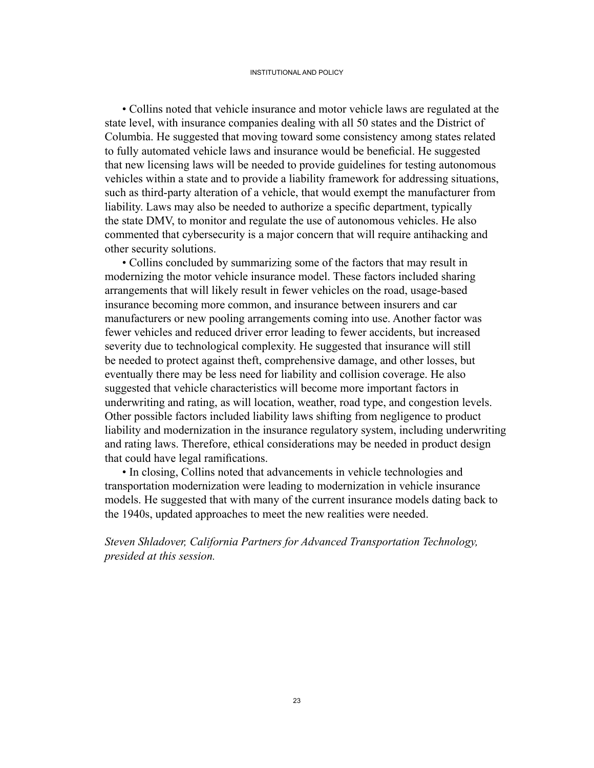• Collins noted that vehicle insurance and motor vehicle laws are regulated at the state level, with insurance companies dealing with all 50 states and the District of Columbia. He suggested that moving toward some consistency among states related to fully automated vehicle laws and insurance would be beneficial. He suggested that new licensing laws will be needed to provide guidelines for testing autonomous vehicles within a state and to provide a liability framework for addressing situations, such as third-party alteration of a vehicle, that would exempt the manufacturer from liability. Laws may also be needed to authorize a specific department, typically the state DMV, to monitor and regulate the use of autonomous vehicles. He also commented that cybersecurity is a major concern that will require antihacking and other security solutions.

• Collins concluded by summarizing some of the factors that may result in modernizing the motor vehicle insurance model. These factors included sharing arrangements that will likely result in fewer vehicles on the road, usage-based insurance becoming more common, and insurance between insurers and car manufacturers or new pooling arrangements coming into use. Another factor was fewer vehicles and reduced driver error leading to fewer accidents, but increased severity due to technological complexity. He suggested that insurance will still be needed to protect against theft, comprehensive damage, and other losses, but eventually there may be less need for liability and collision coverage. He also suggested that vehicle characteristics will become more important factors in underwriting and rating, as will location, weather, road type, and congestion levels. Other possible factors included liability laws shifting from negligence to product liability and modernization in the insurance regulatory system, including underwriting and rating laws. Therefore, ethical considerations may be needed in product design that could have legal ramifications.

• In closing, Collins noted that advancements in vehicle technologies and transportation modernization were leading to modernization in vehicle insurance models. He suggested that with many of the current insurance models dating back to the 1940s, updated approaches to meet the new realities were needed.

*Steven Shladover, California Partners for Advanced Transportation Technology, presided at this session.*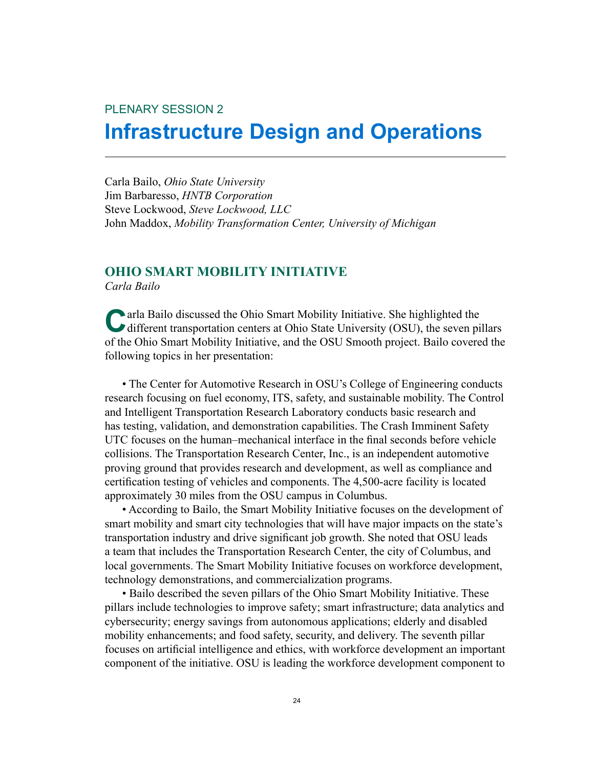# PLENARY SESSION 2 **Infrastructure Design and Operations**

Carla Bailo, *Ohio State University* Jim Barbaresso, *HNTB Corporation* Steve Lockwood, *Steve Lockwood, LLC* John Maddox, *Mobility Transformation Center, University of Michigan*

### **OHIO SMART MOBILITY INITIATIVE**

*Carla Bailo*

**Carla Bailo discussed the Ohio Smart Mobility Initiative. She highlighted the** different transportation centers at Ohio State University (OSU), the seven pillars of the Ohio Smart Mobility Initiative, and the OSU Smooth project. Bailo covered the following topics in her presentation:

• The Center for Automotive Research in OSU's College of Engineering conducts research focusing on fuel economy, ITS, safety, and sustainable mobility. The Control and Intelligent Transportation Research Laboratory conducts basic research and has testing, validation, and demonstration capabilities. The Crash Imminent Safety UTC focuses on the human–mechanical interface in the final seconds before vehicle collisions. The Transportation Research Center, Inc., is an independent automotive proving ground that provides research and development, as well as compliance and certification testing of vehicles and components. The 4,500-acre facility is located approximately 30 miles from the OSU campus in Columbus.

• According to Bailo, the Smart Mobility Initiative focuses on the development of smart mobility and smart city technologies that will have major impacts on the state's transportation industry and drive significant job growth. She noted that OSU leads a team that includes the Transportation Research Center, the city of Columbus, and local governments. The Smart Mobility Initiative focuses on workforce development, technology demonstrations, and commercialization programs.

• Bailo described the seven pillars of the Ohio Smart Mobility Initiative. These pillars include technologies to improve safety; smart infrastructure; data analytics and cybersecurity; energy savings from autonomous applications; elderly and disabled mobility enhancements; and food safety, security, and delivery. The seventh pillar focuses on artificial intelligence and ethics, with workforce development an important component of the initiative. OSU is leading the workforce development component to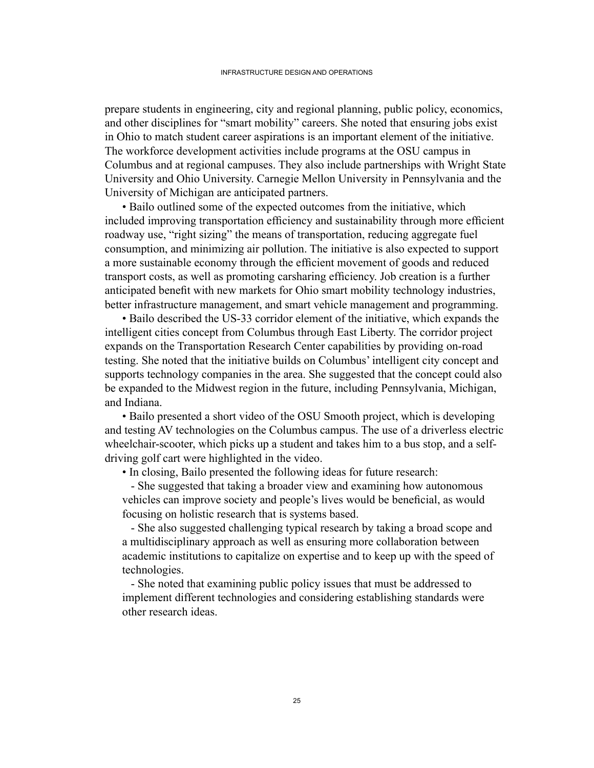prepare students in engineering, city and regional planning, public policy, economics, and other disciplines for "smart mobility" careers. She noted that ensuring jobs exist in Ohio to match student career aspirations is an important element of the initiative. The workforce development activities include programs at the OSU campus in Columbus and at regional campuses. They also include partnerships with Wright State University and Ohio University. Carnegie Mellon University in Pennsylvania and the University of Michigan are anticipated partners.

• Bailo outlined some of the expected outcomes from the initiative, which included improving transportation efficiency and sustainability through more efficient roadway use, "right sizing" the means of transportation, reducing aggregate fuel consumption, and minimizing air pollution. The initiative is also expected to support a more sustainable economy through the efficient movement of goods and reduced transport costs, as well as promoting carsharing efficiency. Job creation is a further anticipated benefit with new markets for Ohio smart mobility technology industries, better infrastructure management, and smart vehicle management and programming.

 • Bailo described the US-33 corridor element of the initiative, which expands the intelligent cities concept from Columbus through East Liberty. The corridor project expands on the Transportation Research Center capabilities by providing on-road testing. She noted that the initiative builds on Columbus' intelligent city concept and supports technology companies in the area. She suggested that the concept could also be expanded to the Midwest region in the future, including Pennsylvania, Michigan, and Indiana.

• Bailo presented a short video of the OSU Smooth project, which is developing and testing AV technologies on the Columbus campus. The use of a driverless electric wheelchair-scooter, which picks up a student and takes him to a bus stop, and a selfdriving golf cart were highlighted in the video.

• In closing, Bailo presented the following ideas for future research:

 - She suggested that taking a broader view and examining how autonomous vehicles can improve society and people's lives would be beneficial, as would focusing on holistic research that is systems based.

 - She also suggested challenging typical research by taking a broad scope and a multidisciplinary approach as well as ensuring more collaboration between academic institutions to capitalize on expertise and to keep up with the speed of technologies.

 - She noted that examining public policy issues that must be addressed to implement different technologies and considering establishing standards were other research ideas.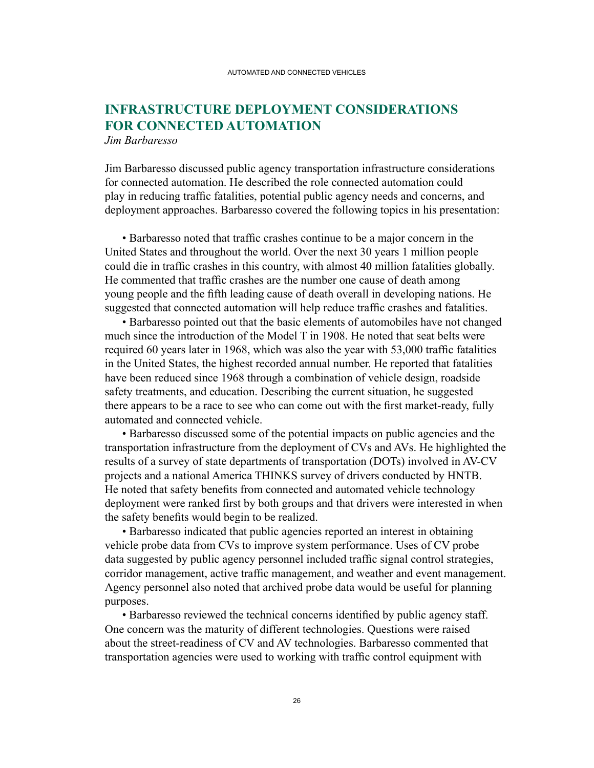## **INFRASTRUCTURE DEPLOYMENT CONSIDERATIONS FOR CONNECTED AUTOMATION**

*Jim Barbaresso*

Jim Barbaresso discussed public agency transportation infrastructure considerations for connected automation. He described the role connected automation could play in reducing traffic fatalities, potential public agency needs and concerns, and deployment approaches. Barbaresso covered the following topics in his presentation:

 • Barbaresso noted that traffic crashes continue to be a major concern in the United States and throughout the world. Over the next 30 years 1 million people could die in traffic crashes in this country, with almost 40 million fatalities globally. He commented that traffic crashes are the number one cause of death among young people and the fifth leading cause of death overall in developing nations. He suggested that connected automation will help reduce traffic crashes and fatalities.

• Barbaresso pointed out that the basic elements of automobiles have not changed much since the introduction of the Model T in 1908. He noted that seat belts were required 60 years later in 1968, which was also the year with 53,000 traffic fatalities in the United States, the highest recorded annual number. He reported that fatalities have been reduced since 1968 through a combination of vehicle design, roadside safety treatments, and education. Describing the current situation, he suggested there appears to be a race to see who can come out with the first market-ready, fully automated and connected vehicle.

• Barbaresso discussed some of the potential impacts on public agencies and the transportation infrastructure from the deployment of CVs and AVs. He highlighted the results of a survey of state departments of transportation (DOTs) involved in AV-CV projects and a national America THINKS survey of drivers conducted by HNTB. He noted that safety benefits from connected and automated vehicle technology deployment were ranked first by both groups and that drivers were interested in when the safety benefits would begin to be realized.

• Barbaresso indicated that public agencies reported an interest in obtaining vehicle probe data from CVs to improve system performance. Uses of CV probe data suggested by public agency personnel included traffic signal control strategies, corridor management, active traffic management, and weather and event management. Agency personnel also noted that archived probe data would be useful for planning purposes.

 • Barbaresso reviewed the technical concerns identified by public agency staff. One concern was the maturity of different technologies. Questions were raised about the street-readiness of CV and AV technologies. Barbaresso commented that transportation agencies were used to working with traffic control equipment with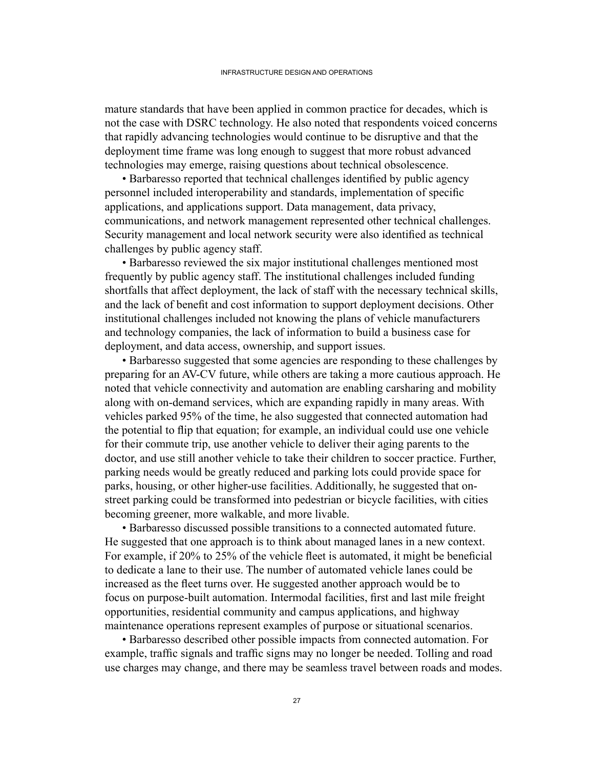mature standards that have been applied in common practice for decades, which is not the case with DSRC technology. He also noted that respondents voiced concerns that rapidly advancing technologies would continue to be disruptive and that the deployment time frame was long enough to suggest that more robust advanced technologies may emerge, raising questions about technical obsolescence.

 • Barbaresso reported that technical challenges identified by public agency personnel included interoperability and standards, implementation of specific applications, and applications support. Data management, data privacy, communications, and network management represented other technical challenges. Security management and local network security were also identified as technical challenges by public agency staff.

• Barbaresso reviewed the six major institutional challenges mentioned most frequently by public agency staff. The institutional challenges included funding shortfalls that affect deployment, the lack of staff with the necessary technical skills, and the lack of benefit and cost information to support deployment decisions. Other institutional challenges included not knowing the plans of vehicle manufacturers and technology companies, the lack of information to build a business case for deployment, and data access, ownership, and support issues.

• Barbaresso suggested that some agencies are responding to these challenges by preparing for an AV-CV future, while others are taking a more cautious approach. He noted that vehicle connectivity and automation are enabling carsharing and mobility along with on-demand services, which are expanding rapidly in many areas. With vehicles parked 95% of the time, he also suggested that connected automation had the potential to flip that equation; for example, an individual could use one vehicle for their commute trip, use another vehicle to deliver their aging parents to the doctor, and use still another vehicle to take their children to soccer practice. Further, parking needs would be greatly reduced and parking lots could provide space for parks, housing, or other higher-use facilities. Additionally, he suggested that onstreet parking could be transformed into pedestrian or bicycle facilities, with cities becoming greener, more walkable, and more livable.

• Barbaresso discussed possible transitions to a connected automated future. He suggested that one approach is to think about managed lanes in a new context. For example, if 20% to 25% of the vehicle fleet is automated, it might be beneficial to dedicate a lane to their use. The number of automated vehicle lanes could be increased as the fleet turns over. He suggested another approach would be to focus on purpose-built automation. Intermodal facilities, first and last mile freight opportunities, residential community and campus applications, and highway maintenance operations represent examples of purpose or situational scenarios.

• Barbaresso described other possible impacts from connected automation. For example, traffic signals and traffic signs may no longer be needed. Tolling and road use charges may change, and there may be seamless travel between roads and modes.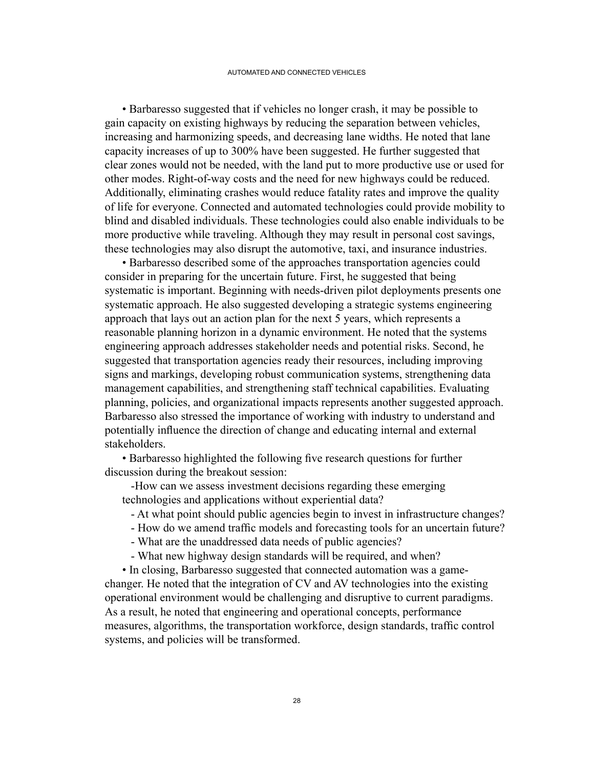• Barbaresso suggested that if vehicles no longer crash, it may be possible to gain capacity on existing highways by reducing the separation between vehicles, increasing and harmonizing speeds, and decreasing lane widths. He noted that lane capacity increases of up to 300% have been suggested. He further suggested that clear zones would not be needed, with the land put to more productive use or used for other modes. Right-of-way costs and the need for new highways could be reduced. Additionally, eliminating crashes would reduce fatality rates and improve the quality of life for everyone. Connected and automated technologies could provide mobility to blind and disabled individuals. These technologies could also enable individuals to be more productive while traveling. Although they may result in personal cost savings, these technologies may also disrupt the automotive, taxi, and insurance industries.

• Barbaresso described some of the approaches transportation agencies could consider in preparing for the uncertain future. First, he suggested that being systematic is important. Beginning with needs-driven pilot deployments presents one systematic approach. He also suggested developing a strategic systems engineering approach that lays out an action plan for the next 5 years, which represents a reasonable planning horizon in a dynamic environment. He noted that the systems engineering approach addresses stakeholder needs and potential risks. Second, he suggested that transportation agencies ready their resources, including improving signs and markings, developing robust communication systems, strengthening data management capabilities, and strengthening staff technical capabilities. Evaluating planning, policies, and organizational impacts represents another suggested approach. Barbaresso also stressed the importance of working with industry to understand and potentially influence the direction of change and educating internal and external stakeholders.

 • Barbaresso highlighted the following five research questions for further discussion during the breakout session:

 -How can we assess investment decisions regarding these emerging technologies and applications without experiential data?

- At what point should public agencies begin to invest in infrastructure changes?

- How do we amend traffic models and forecasting tools for an uncertain future?

- What are the unaddressed data needs of public agencies?
- What new highway design standards will be required, and when?

 • In closing, Barbaresso suggested that connected automation was a gamechanger. He noted that the integration of CV and AV technologies into the existing operational environment would be challenging and disruptive to current paradigms. As a result, he noted that engineering and operational concepts, performance measures, algorithms, the transportation workforce, design standards, traffic control systems, and policies will be transformed.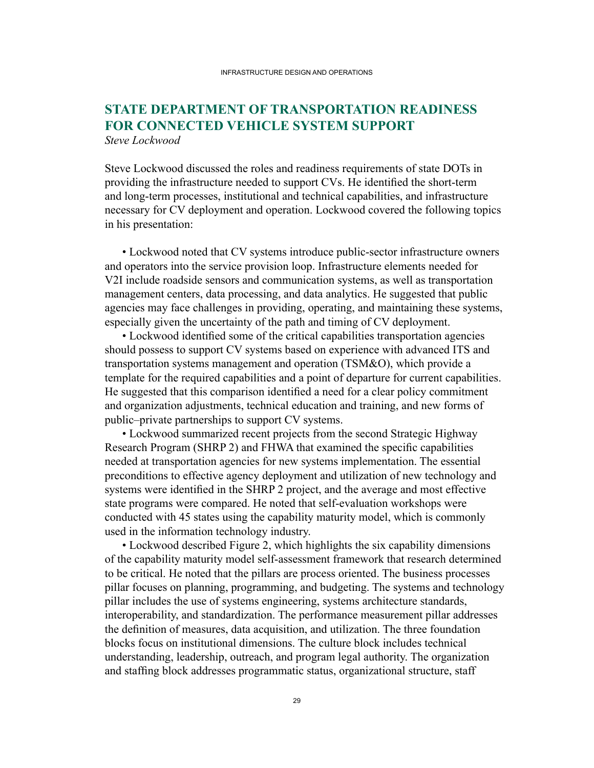### **STATE DEPARTMENT OF TRANSPORTATION READINESS FOR CONNECTED VEHICLE SYSTEM SUPPORT** *Steve Lockwood*

Steve Lockwood discussed the roles and readiness requirements of state DOTs in providing the infrastructure needed to support CVs. He identified the short-term and long-term processes, institutional and technical capabilities, and infrastructure necessary for CV deployment and operation. Lockwood covered the following topics in his presentation:

 • Lockwood noted that CV systems introduce public-sector infrastructure owners and operators into the service provision loop. Infrastructure elements needed for V2I include roadside sensors and communication systems, as well as transportation management centers, data processing, and data analytics. He suggested that public agencies may face challenges in providing, operating, and maintaining these systems, especially given the uncertainty of the path and timing of CV deployment.

 • Lockwood identified some of the critical capabilities transportation agencies should possess to support CV systems based on experience with advanced ITS and transportation systems management and operation (TSM&O), which provide a template for the required capabilities and a point of departure for current capabilities. He suggested that this comparison identified a need for a clear policy commitment and organization adjustments, technical education and training, and new forms of public–private partnerships to support CV systems.

• Lockwood summarized recent projects from the second Strategic Highway Research Program (SHRP 2) and FHWA that examined the specific capabilities needed at transportation agencies for new systems implementation. The essential preconditions to effective agency deployment and utilization of new technology and systems were identified in the SHRP 2 project, and the average and most effective state programs were compared. He noted that self-evaluation workshops were conducted with 45 states using the capability maturity model, which is commonly used in the information technology industry.

• Lockwood described Figure 2, which highlights the six capability dimensions of the capability maturity model self-assessment framework that research determined to be critical. He noted that the pillars are process oriented. The business processes pillar focuses on planning, programming, and budgeting. The systems and technology pillar includes the use of systems engineering, systems architecture standards, interoperability, and standardization. The performance measurement pillar addresses the definition of measures, data acquisition, and utilization. The three foundation blocks focus on institutional dimensions. The culture block includes technical understanding, leadership, outreach, and program legal authority. The organization and staffing block addresses programmatic status, organizational structure, staff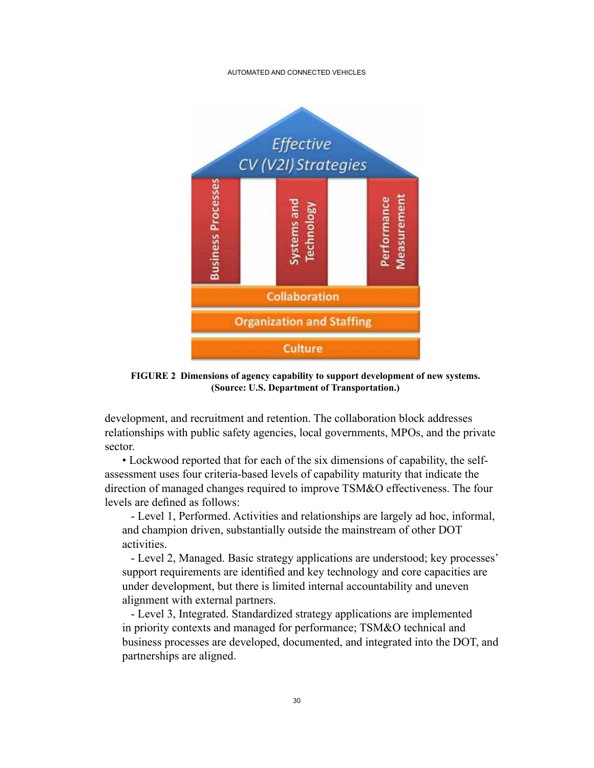#### AUTOMATED AND CONNECTED VEHICLES



**FIGURE 2 Dimensions of agency capability to support development of new systems. (Source: U.S. Department of Transportation.)**

development, and recruitment and retention. The collaboration block addresses relationships with public safety agencies, local governments, MPOs, and the private sector.

 • Lockwood reported that for each of the six dimensions of capability, the selfassessment uses four criteria-based levels of capability maturity that indicate the direction of managed changes required to improve TSM&O effectiveness. The four levels are defined as follows:

 - Level 1, Performed. Activities and relationships are largely ad hoc, informal, and champion driven, substantially outside the mainstream of other DOT activities.

 - Level 2, Managed. Basic strategy applications are understood; key processes' support requirements are identified and key technology and core capacities are under development, but there is limited internal accountability and uneven alignment with external partners.

 - Level 3, Integrated. Standardized strategy applications are implemented in priority contexts and managed for performance; TSM&O technical and business processes are developed, documented, and integrated into the DOT, and partnerships are aligned.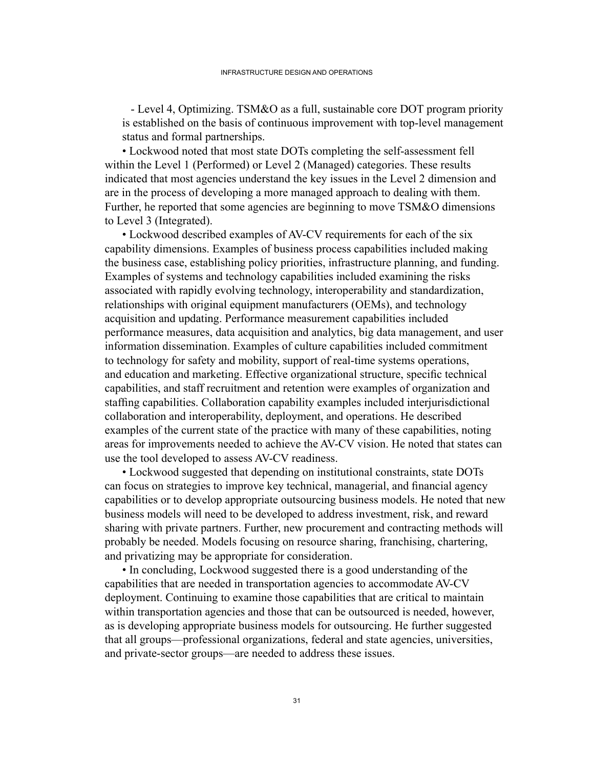- Level 4, Optimizing. TSM&O as a full, sustainable core DOT program priority is established on the basis of continuous improvement with top-level management status and formal partnerships.

 • Lockwood noted that most state DOTs completing the self-assessment fell within the Level 1 (Performed) or Level 2 (Managed) categories. These results indicated that most agencies understand the key issues in the Level 2 dimension and are in the process of developing a more managed approach to dealing with them. Further, he reported that some agencies are beginning to move TSM&O dimensions to Level 3 (Integrated).

 • Lockwood described examples of AV-CV requirements for each of the six capability dimensions. Examples of business process capabilities included making the business case, establishing policy priorities, infrastructure planning, and funding. Examples of systems and technology capabilities included examining the risks associated with rapidly evolving technology, interoperability and standardization, relationships with original equipment manufacturers (OEMs), and technology acquisition and updating. Performance measurement capabilities included performance measures, data acquisition and analytics, big data management, and user information dissemination. Examples of culture capabilities included commitment to technology for safety and mobility, support of real-time systems operations, and education and marketing. Effective organizational structure, specific technical capabilities, and staff recruitment and retention were examples of organization and staffing capabilities. Collaboration capability examples included interjurisdictional collaboration and interoperability, deployment, and operations. He described examples of the current state of the practice with many of these capabilities, noting areas for improvements needed to achieve the AV-CV vision. He noted that states can use the tool developed to assess AV-CV readiness.

• Lockwood suggested that depending on institutional constraints, state DOTs can focus on strategies to improve key technical, managerial, and financial agency capabilities or to develop appropriate outsourcing business models. He noted that new business models will need to be developed to address investment, risk, and reward sharing with private partners. Further, new procurement and contracting methods will probably be needed. Models focusing on resource sharing, franchising, chartering, and privatizing may be appropriate for consideration.

• In concluding, Lockwood suggested there is a good understanding of the capabilities that are needed in transportation agencies to accommodate AV-CV deployment. Continuing to examine those capabilities that are critical to maintain within transportation agencies and those that can be outsourced is needed, however, as is developing appropriate business models for outsourcing. He further suggested that all groups—professional organizations, federal and state agencies, universities, and private-sector groups—are needed to address these issues.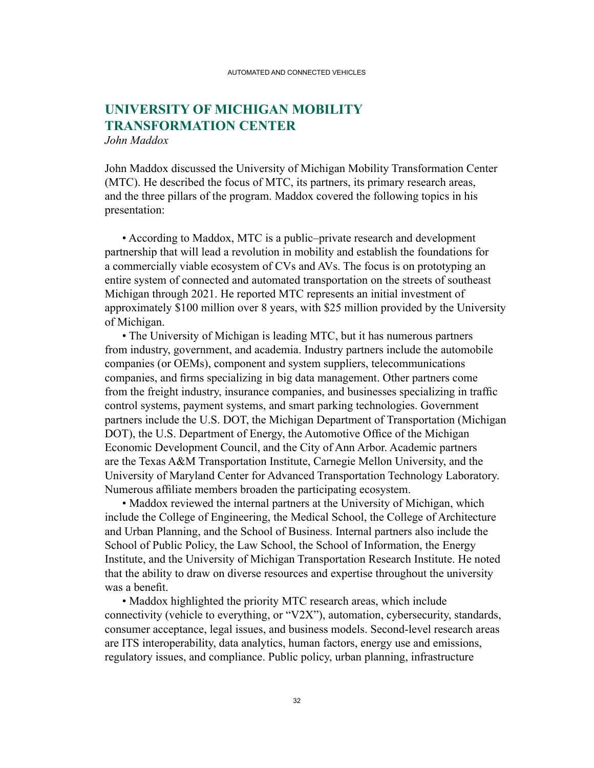### **UNIVERSITY OF MICHIGAN MOBILITY TRANSFORMATION CENTER** *John Maddox*

John Maddox discussed the University of Michigan Mobility Transformation Center (MTC). He described the focus of MTC, its partners, its primary research areas, and the three pillars of the program. Maddox covered the following topics in his presentation:

• According to Maddox, MTC is a public–private research and development partnership that will lead a revolution in mobility and establish the foundations for a commercially viable ecosystem of CVs and AVs. The focus is on prototyping an entire system of connected and automated transportation on the streets of southeast Michigan through 2021. He reported MTC represents an initial investment of approximately \$100 million over 8 years, with \$25 million provided by the University of Michigan.

• The University of Michigan is leading MTC, but it has numerous partners from industry, government, and academia. Industry partners include the automobile companies (or OEMs), component and system suppliers, telecommunications companies, and firms specializing in big data management. Other partners come from the freight industry, insurance companies, and businesses specializing in traffic control systems, payment systems, and smart parking technologies. Government partners include the U.S. DOT, the Michigan Department of Transportation (Michigan DOT), the U.S. Department of Energy, the Automotive Office of the Michigan Economic Development Council, and the City of Ann Arbor. Academic partners are the Texas A&M Transportation Institute, Carnegie Mellon University, and the University of Maryland Center for Advanced Transportation Technology Laboratory. Numerous affiliate members broaden the participating ecosystem.

• Maddox reviewed the internal partners at the University of Michigan, which include the College of Engineering, the Medical School, the College of Architecture and Urban Planning, and the School of Business. Internal partners also include the School of Public Policy, the Law School, the School of Information, the Energy Institute, and the University of Michigan Transportation Research Institute. He noted that the ability to draw on diverse resources and expertise throughout the university was a benefit.

• Maddox highlighted the priority MTC research areas, which include connectivity (vehicle to everything, or "V2X"), automation, cybersecurity, standards, consumer acceptance, legal issues, and business models. Second-level research areas are ITS interoperability, data analytics, human factors, energy use and emissions, regulatory issues, and compliance. Public policy, urban planning, infrastructure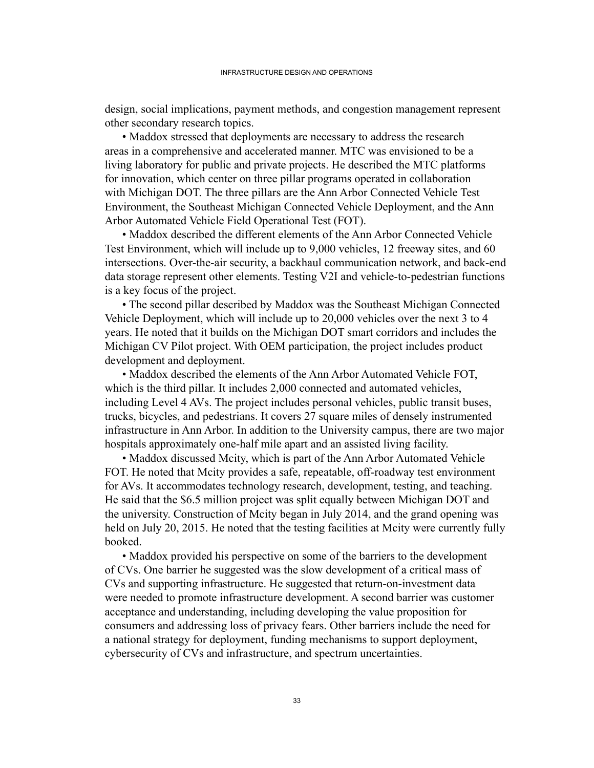design, social implications, payment methods, and congestion management represent other secondary research topics.

• Maddox stressed that deployments are necessary to address the research areas in a comprehensive and accelerated manner. MTC was envisioned to be a living laboratory for public and private projects. He described the MTC platforms for innovation, which center on three pillar programs operated in collaboration with Michigan DOT. The three pillars are the Ann Arbor Connected Vehicle Test Environment, the Southeast Michigan Connected Vehicle Deployment, and the Ann Arbor Automated Vehicle Field Operational Test (FOT).

• Maddox described the different elements of the Ann Arbor Connected Vehicle Test Environment, which will include up to 9,000 vehicles, 12 freeway sites, and 60 intersections. Over-the-air security, a backhaul communication network, and back-end data storage represent other elements. Testing V2I and vehicle-to-pedestrian functions is a key focus of the project.

• The second pillar described by Maddox was the Southeast Michigan Connected Vehicle Deployment, which will include up to 20,000 vehicles over the next 3 to 4 years. He noted that it builds on the Michigan DOT smart corridors and includes the Michigan CV Pilot project. With OEM participation, the project includes product development and deployment.

• Maddox described the elements of the Ann Arbor Automated Vehicle FOT, which is the third pillar. It includes 2,000 connected and automated vehicles, including Level 4 AVs. The project includes personal vehicles, public transit buses, trucks, bicycles, and pedestrians. It covers 27 square miles of densely instrumented infrastructure in Ann Arbor. In addition to the University campus, there are two major hospitals approximately one-half mile apart and an assisted living facility.

• Maddox discussed Mcity, which is part of the Ann Arbor Automated Vehicle FOT. He noted that Mcity provides a safe, repeatable, off-roadway test environment for AVs. It accommodates technology research, development, testing, and teaching. He said that the \$6.5 million project was split equally between Michigan DOT and the university. Construction of Mcity began in July 2014, and the grand opening was held on July 20, 2015. He noted that the testing facilities at Mcity were currently fully booked.

• Maddox provided his perspective on some of the barriers to the development of CVs. One barrier he suggested was the slow development of a critical mass of CVs and supporting infrastructure. He suggested that return-on-investment data were needed to promote infrastructure development. A second barrier was customer acceptance and understanding, including developing the value proposition for consumers and addressing loss of privacy fears. Other barriers include the need for a national strategy for deployment, funding mechanisms to support deployment, cybersecurity of CVs and infrastructure, and spectrum uncertainties.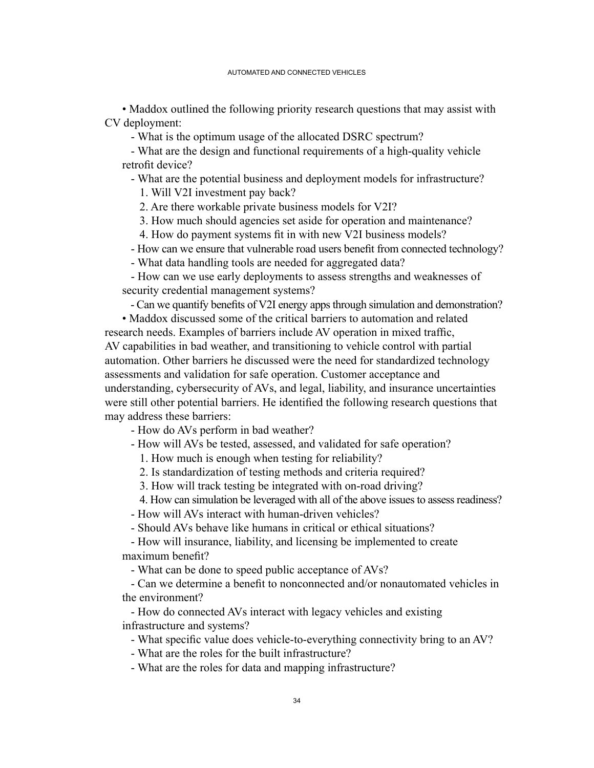• Maddox outlined the following priority research questions that may assist with CV deployment:

- What is the optimum usage of the allocated DSRC spectrum?

 - What are the design and functional requirements of a high-quality vehicle retrofit device?

- What are the potential business and deployment models for infrastructure?

1. Will V2I investment pay back?

2. Are there workable private business models for V2I?

 3. How much should agencies set aside for operation and maintenance?

 4. How do payment systems fit in with new V2I business models?

- How can we ensure that vulnerable road users benefit from connected technology?

- What data handling tools are needed for aggregated data?

 - How can we use early deployments to assess strengths and weaknesses of security credential management systems?

- Can we quantify benefits of V2I energy apps through simulation and demonstration?

• Maddox discussed some of the critical barriers to automation and related research needs. Examples of barriers include AV operation in mixed traffic, AV capabilities in bad weather, and transitioning to vehicle control with partial automation. Other barriers he discussed were the need for standardized technology assessments and validation for safe operation. Customer acceptance and understanding, cybersecurity of AVs, and legal, liability, and insurance uncertainties were still other potential barriers. He identified the following research questions that may address these barriers:

- How do AVs perform in bad weather?

- How will AVs be tested, assessed, and validated for safe operation?

1. How much is enough when testing for reliability?

2. Is standardization of testing methods and criteria required?

 3. How will track testing be integrated with on-road driving?

4. How can simulation be leveraged with all of the above issues to assess readiness?

- How will AVs interact with human-driven vehicles?

- Should AVs behave like humans in critical or ethical situations?

 - How will insurance, liability, and licensing be implemented to create maximum benefit?

- What can be done to speed public acceptance of AVs?

 - Can we determine a benefit to nonconnected and/or nonautomated vehicles in the environment?

 - How do connected AVs interact with legacy vehicles and existing infrastructure and systems?

- What specific value does vehicle-to-everything connectivity bring to an AV?

- What are the roles for the built infrastructure?

- What are the roles for data and mapping infrastructure?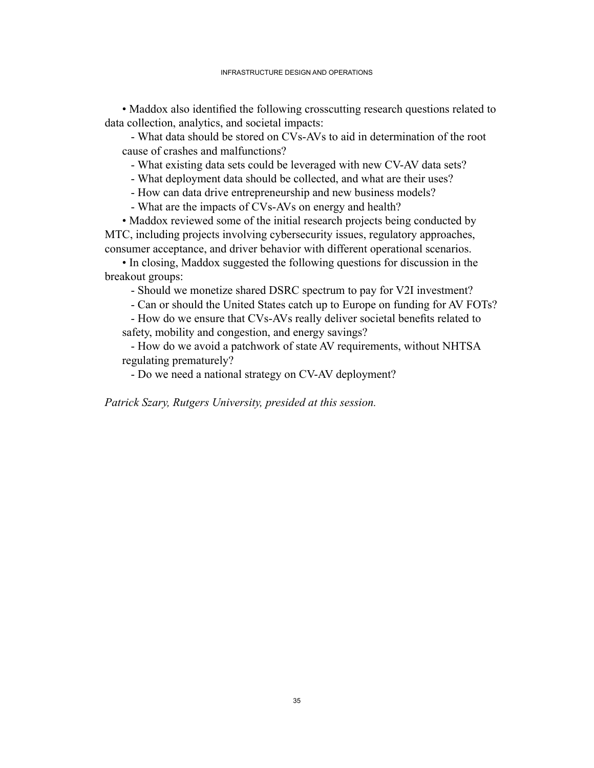• Maddox also identified the following crosscutting research questions related to data collection, analytics, and societal impacts:

 - What data should be stored on CVs-AVs to aid in determination of the root cause of crashes and malfunctions?

- What existing data sets could be leveraged with new CV-AV data sets?

- What deployment data should be collected, and what are their uses?

- How can data drive entrepreneurship and new business models?

- What are the impacts of CVs-AVs on energy and health?

• Maddox reviewed some of the initial research projects being conducted by MTC, including projects involving cybersecurity issues, regulatory approaches, consumer acceptance, and driver behavior with different operational scenarios.

• In closing, Maddox suggested the following questions for discussion in the breakout groups:

- Should we monetize shared DSRC spectrum to pay for V2I investment?

- Can or should the United States catch up to Europe on funding for AV FOTs?

 - How do we ensure that CVs-AVs really deliver societal benefits related to safety, mobility and congestion, and energy savings?

 - How do we avoid a patchwork of state AV requirements, without NHTSA regulating prematurely?

- Do we need a national strategy on CV-AV deployment?

*Patrick Szary, Rutgers University, presided at this session.*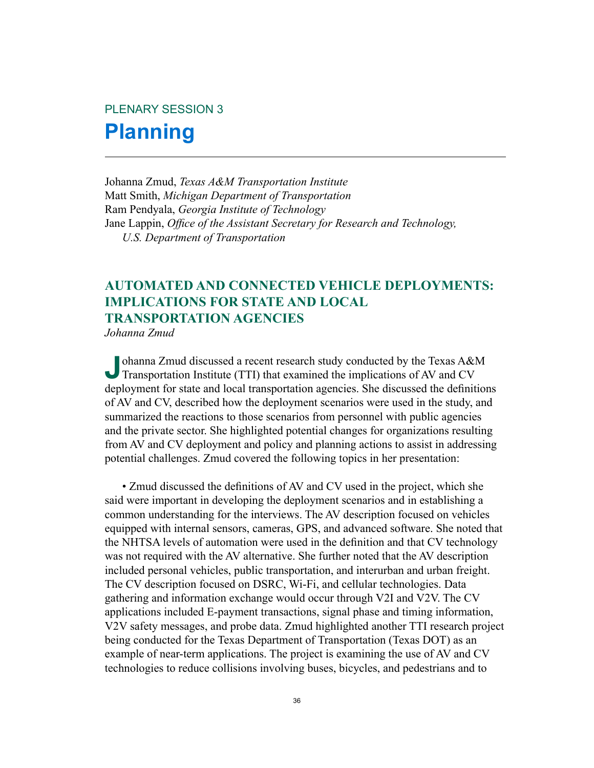# PLENARY SESSION 3 **Planning**

Johanna Zmud, *Texas A&M Transportation Institute* Matt Smith, *Michigan Department of Transportation* Ram Pendyala, *Georgia Institute of Technology* Jane Lappin, *Office of the Assistant Secretary for Research and Technology, U.S. Department of Transportation*

### **AUTOMATED AND CONNECTED VEHICLE DEPLOYMENTS: IMPLICATIONS FOR STATE AND LOCAL TRANSPORTATION AGENCIES**

*Johanna Zmud*

**J**ohanna Zmud discussed a recent research study conducted by the Texas A&M<br>Transportation Institute (TTI) that examined the implications of AV and CV deployment for state and local transportation agencies. She discussed the definitions of AV and CV, described how the deployment scenarios were used in the study, and summarized the reactions to those scenarios from personnel with public agencies and the private sector. She highlighted potential changes for organizations resulting from AV and CV deployment and policy and planning actions to assist in addressing potential challenges. Zmud covered the following topics in her presentation:

 • Zmud discussed the definitions of AV and CV used in the project, which she said were important in developing the deployment scenarios and in establishing a common understanding for the interviews. The AV description focused on vehicles equipped with internal sensors, cameras, GPS, and advanced software. She noted that the NHTSA levels of automation were used in the definition and that CV technology was not required with the AV alternative. She further noted that the AV description included personal vehicles, public transportation, and interurban and urban freight. The CV description focused on DSRC, Wi-Fi, and cellular technologies. Data gathering and information exchange would occur through V2I and V2V. The CV applications included E-payment transactions, signal phase and timing information, V2V safety messages, and probe data. Zmud highlighted another TTI research project being conducted for the Texas Department of Transportation (Texas DOT) as an example of near-term applications. The project is examining the use of AV and CV technologies to reduce collisions involving buses, bicycles, and pedestrians and to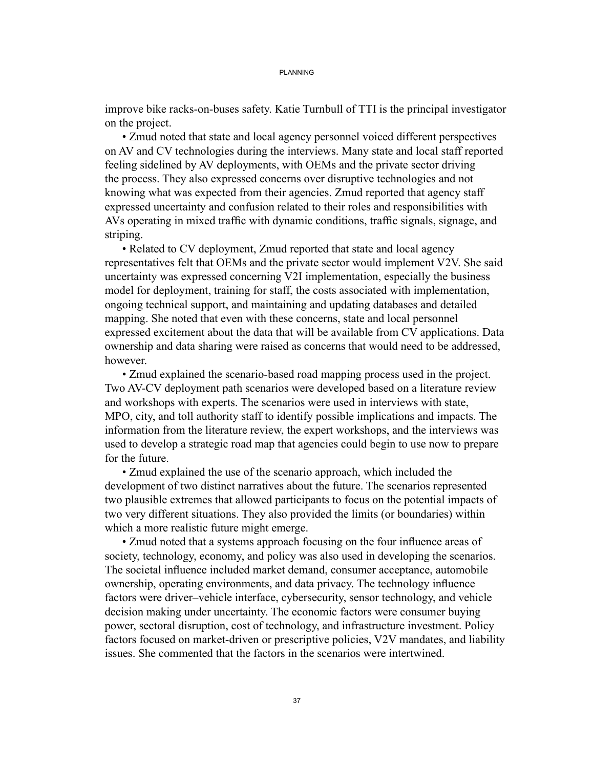improve bike racks-on-buses safety. Katie Turnbull of TTI is the principal investigator on the project.

• Zmud noted that state and local agency personnel voiced different perspectives on AV and CV technologies during the interviews. Many state and local staff reported feeling sidelined by AV deployments, with OEMs and the private sector driving the process. They also expressed concerns over disruptive technologies and not knowing what was expected from their agencies. Zmud reported that agency staff expressed uncertainty and confusion related to their roles and responsibilities with AVs operating in mixed traffic with dynamic conditions, traffic signals, signage, and striping.

• Related to CV deployment, Zmud reported that state and local agency representatives felt that OEMs and the private sector would implement V2V. She said uncertainty was expressed concerning V2I implementation, especially the business model for deployment, training for staff, the costs associated with implementation, ongoing technical support, and maintaining and updating databases and detailed mapping. She noted that even with these concerns, state and local personnel expressed excitement about the data that will be available from CV applications. Data ownership and data sharing were raised as concerns that would need to be addressed, however.

 • Zmud explained the scenario-based road mapping process used in the project. Two AV-CV deployment path scenarios were developed based on a literature review and workshops with experts. The scenarios were used in interviews with state, MPO, city, and toll authority staff to identify possible implications and impacts. The information from the literature review, the expert workshops, and the interviews was used to develop a strategic road map that agencies could begin to use now to prepare for the future.

• Zmud explained the use of the scenario approach, which included the development of two distinct narratives about the future. The scenarios represented two plausible extremes that allowed participants to focus on the potential impacts of two very different situations. They also provided the limits (or boundaries) within which a more realistic future might emerge.

 • Zmud noted that a systems approach focusing on the four influence areas of society, technology, economy, and policy was also used in developing the scenarios. The societal influence included market demand, consumer acceptance, automobile ownership, operating environments, and data privacy. The technology influence factors were driver–vehicle interface, cybersecurity, sensor technology, and vehicle decision making under uncertainty. The economic factors were consumer buying power, sectoral disruption, cost of technology, and infrastructure investment. Policy factors focused on market-driven or prescriptive policies, V2V mandates, and liability issues. She commented that the factors in the scenarios were intertwined.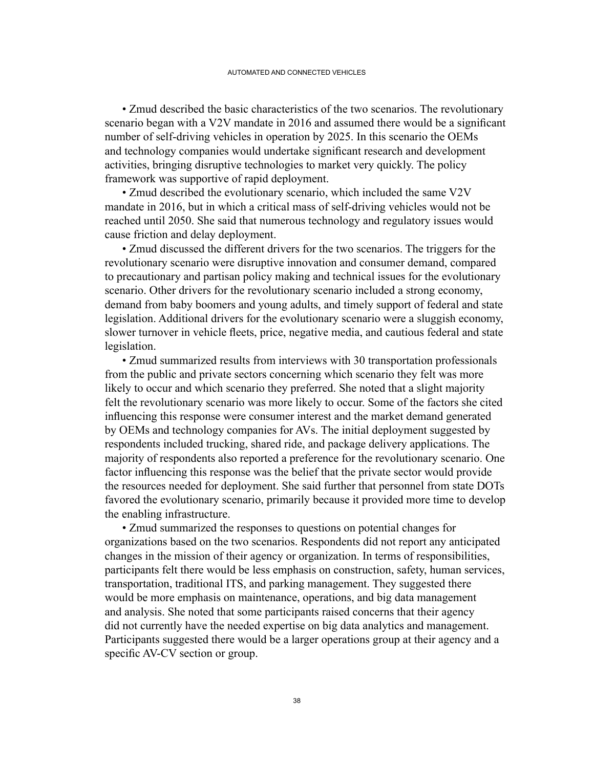• Zmud described the basic characteristics of the two scenarios. The revolutionary scenario began with a V2V mandate in 2016 and assumed there would be a significant number of self-driving vehicles in operation by 2025. In this scenario the OEMs and technology companies would undertake significant research and development activities, bringing disruptive technologies to market very quickly. The policy framework was supportive of rapid deployment.

• Zmud described the evolutionary scenario, which included the same V2V mandate in 2016, but in which a critical mass of self-driving vehicles would not be reached until 2050. She said that numerous technology and regulatory issues would cause friction and delay deployment.

• Zmud discussed the different drivers for the two scenarios. The triggers for the revolutionary scenario were disruptive innovation and consumer demand, compared to precautionary and partisan policy making and technical issues for the evolutionary scenario. Other drivers for the revolutionary scenario included a strong economy, demand from baby boomers and young adults, and timely support of federal and state legislation. Additional drivers for the evolutionary scenario were a sluggish economy, slower turnover in vehicle fleets, price, negative media, and cautious federal and state legislation.

 • Zmud summarized results from interviews with 30 transportation professionals from the public and private sectors concerning which scenario they felt was more likely to occur and which scenario they preferred. She noted that a slight majority felt the revolutionary scenario was more likely to occur. Some of the factors she cited influencing this response were consumer interest and the market demand generated by OEMs and technology companies for AVs. The initial deployment suggested by respondents included trucking, shared ride, and package delivery applications. The majority of respondents also reported a preference for the revolutionary scenario. One factor influencing this response was the belief that the private sector would provide the resources needed for deployment. She said further that personnel from state DOTs favored the evolutionary scenario, primarily because it provided more time to develop the enabling infrastructure.

• Zmud summarized the responses to questions on potential changes for organizations based on the two scenarios. Respondents did not report any anticipated changes in the mission of their agency or organization. In terms of responsibilities, participants felt there would be less emphasis on construction, safety, human services, transportation, traditional ITS, and parking management. They suggested there would be more emphasis on maintenance, operations, and big data management and analysis. She noted that some participants raised concerns that their agency did not currently have the needed expertise on big data analytics and management. Participants suggested there would be a larger operations group at their agency and a specific AV-CV section or group.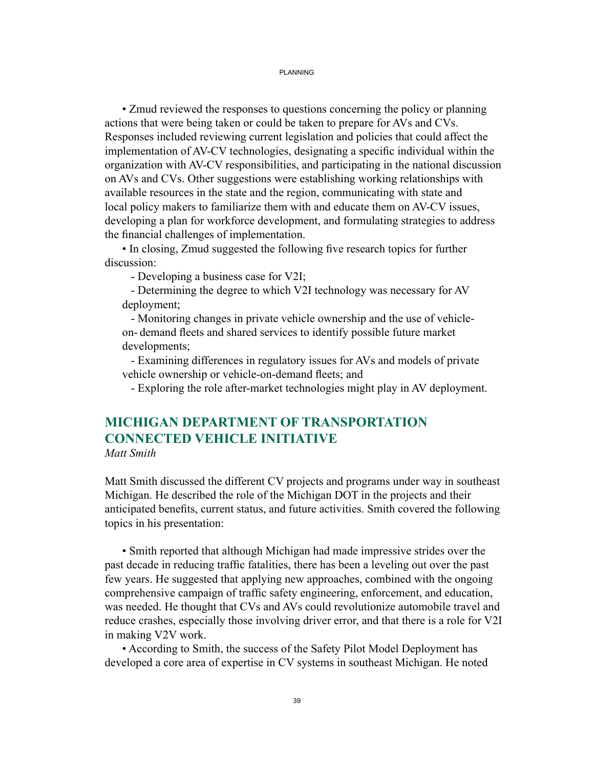#### PI ANNING

• Zmud reviewed the responses to questions concerning the policy or planning actions that were being taken or could be taken to prepare for AVs and CVs. Responses included reviewing current legislation and policies that could affect the implementation of AV-CV technologies, designating a specific individual within the organization with AV-CV responsibilities, and participating in the national discussion on AVs and CVs. Other suggestions were establishing working relationships with available resources in the state and the region, communicating with state and local policy makers to familiarize them with and educate them on AV-CV issues, developing a plan for workforce development, and formulating strategies to address the financial challenges of implementation.

 • In closing, Zmud suggested the following five research topics for further discussion:

- Developing a business case for V2I;

 - Determining the degree to which V2I technology was necessary for AV deployment;

 - Monitoring changes in private vehicle ownership and the use of vehicle on- demand fleets and shared services to identify possible future market developments;

 - Examining differences in regulatory issues for AVs and models of private vehicle ownership or vehicle-on-demand fleets; and

- Exploring the role after-market technologies might play in AV deployment.

# **MICHIGAN DEPARTMENT OF TRANSPORTATION CONNECTED VEHICLE INITIATIVE**

*Matt Smith*

Matt Smith discussed the different CV projects and programs under way in southeast Michigan. He described the role of the Michigan DOT in the projects and their anticipated benefits, current status, and future activities. Smith covered the following topics in his presentation:

• Smith reported that although Michigan had made impressive strides over the past decade in reducing traffic fatalities, there has been a leveling out over the past few years. He suggested that applying new approaches, combined with the ongoing comprehensive campaign of traffic safety engineering, enforcement, and education, was needed. He thought that CVs and AVs could revolutionize automobile travel and reduce crashes, especially those involving driver error, and that there is a role for V2I in making V2V work.

• According to Smith, the success of the Safety Pilot Model Deployment has developed a core area of expertise in CV systems in southeast Michigan. He noted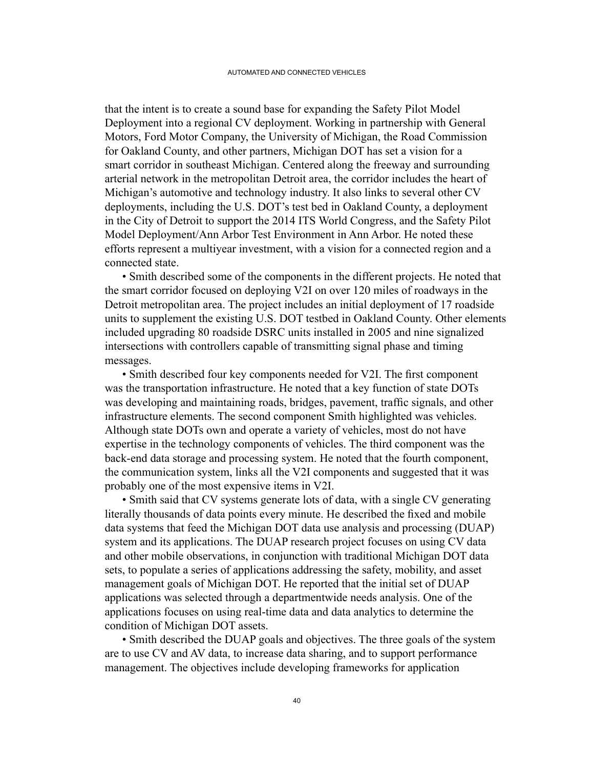that the intent is to create a sound base for expanding the Safety Pilot Model Deployment into a regional CV deployment. Working in partnership with General Motors, Ford Motor Company, the University of Michigan, the Road Commission for Oakland County, and other partners, Michigan DOT has set a vision for a smart corridor in southeast Michigan. Centered along the freeway and surrounding arterial network in the metropolitan Detroit area, the corridor includes the heart of Michigan's automotive and technology industry. It also links to several other CV deployments, including the U.S. DOT's test bed in Oakland County, a deployment in the City of Detroit to support the 2014 ITS World Congress, and the Safety Pilot Model Deployment/Ann Arbor Test Environment in Ann Arbor. He noted these efforts represent a multiyear investment, with a vision for a connected region and a connected state.

• Smith described some of the components in the different projects. He noted that the smart corridor focused on deploying V2I on over 120 miles of roadways in the Detroit metropolitan area. The project includes an initial deployment of 17 roadside units to supplement the existing U.S. DOT testbed in Oakland County. Other elements included upgrading 80 roadside DSRC units installed in 2005 and nine signalized intersections with controllers capable of transmitting signal phase and timing messages.

 • Smith described four key components needed for V2I. The first component was the transportation infrastructure. He noted that a key function of state DOTs was developing and maintaining roads, bridges, pavement, traffic signals, and other infrastructure elements. The second component Smith highlighted was vehicles. Although state DOTs own and operate a variety of vehicles, most do not have expertise in the technology components of vehicles. The third component was the back-end data storage and processing system. He noted that the fourth component, the communication system, links all the V2I components and suggested that it was probably one of the most expensive items in V2I.

• Smith said that CV systems generate lots of data, with a single CV generating literally thousands of data points every minute. He described the fixed and mobile data systems that feed the Michigan DOT data use analysis and processing (DUAP) system and its applications. The DUAP research project focuses on using CV data and other mobile observations, in conjunction with traditional Michigan DOT data sets, to populate a series of applications addressing the safety, mobility, and asset management goals of Michigan DOT. He reported that the initial set of DUAP applications was selected through a departmentwide needs analysis. One of the applications focuses on using real-time data and data analytics to determine the condition of Michigan DOT assets.

• Smith described the DUAP goals and objectives. The three goals of the system are to use CV and AV data, to increase data sharing, and to support performance management. The objectives include developing frameworks for application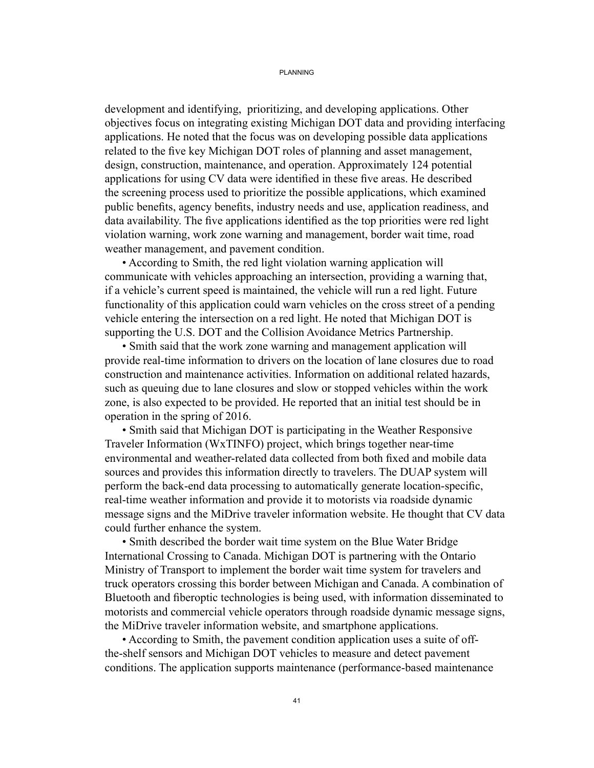#### PI ANNING

development and identifying, prioritizing, and developing applications. Other objectives focus on integrating existing Michigan DOT data and providing interfacing applications. He noted that the focus was on developing possible data applications related to the five key Michigan DOT roles of planning and asset management, design, construction, maintenance, and operation. Approximately 124 potential applications for using CV data were identified in these five areas. He described the screening process used to prioritize the possible applications, which examined public benefits, agency benefits, industry needs and use, application readiness, and data availability. The five applications identified as the top priorities were red light violation warning, work zone warning and management, border wait time, road weather management, and pavement condition.

• According to Smith, the red light violation warning application will communicate with vehicles approaching an intersection, providing a warning that, if a vehicle's current speed is maintained, the vehicle will run a red light. Future functionality of this application could warn vehicles on the cross street of a pending vehicle entering the intersection on a red light. He noted that Michigan DOT is supporting the U.S. DOT and the Collision Avoidance Metrics Partnership.

• Smith said that the work zone warning and management application will provide real-time information to drivers on the location of lane closures due to road construction and maintenance activities. Information on additional related hazards, such as queuing due to lane closures and slow or stopped vehicles within the work zone, is also expected to be provided. He reported that an initial test should be in operation in the spring of 2016.

• Smith said that Michigan DOT is participating in the Weather Responsive Traveler Information (WxTINFO) project, which brings together near-time environmental and weather-related data collected from both fixed and mobile data sources and provides this information directly to travelers. The DUAP system will perform the back-end data processing to automatically generate location-specific, real-time weather information and provide it to motorists via roadside dynamic message signs and the MiDrive traveler information website. He thought that CV data could further enhance the system.

• Smith described the border wait time system on the Blue Water Bridge International Crossing to Canada. Michigan DOT is partnering with the Ontario Ministry of Transport to implement the border wait time system for travelers and truck operators crossing this border between Michigan and Canada. A combination of Bluetooth and fiberoptic technologies is being used, with information disseminated to motorists and commercial vehicle operators through roadside dynamic message signs, the MiDrive traveler information website, and smartphone applications.

 • According to Smith, the pavement condition application uses a suite of offthe-shelf sensors and Michigan DOT vehicles to measure and detect pavement conditions. The application supports maintenance (performance-based maintenance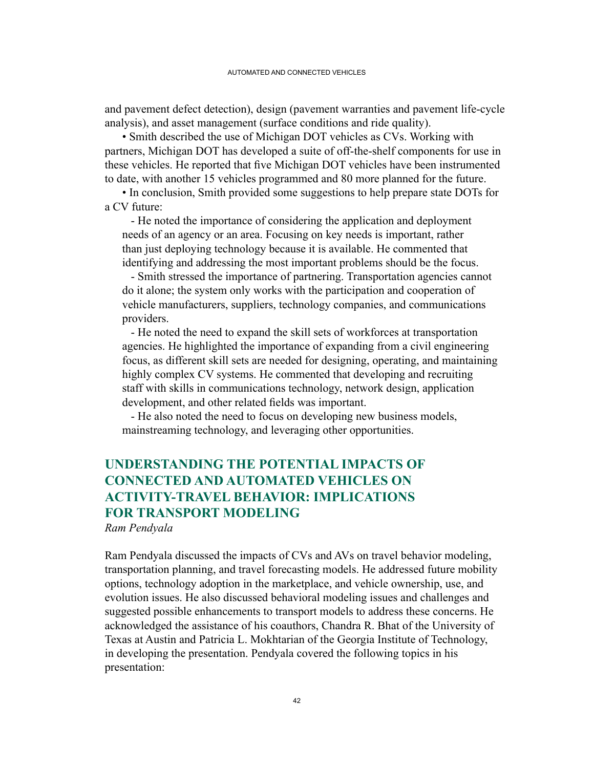and pavement defect detection), design (pavement warranties and pavement life-cycle analysis), and asset management (surface conditions and ride quality).

• Smith described the use of Michigan DOT vehicles as CVs. Working with partners, Michigan DOT has developed a suite of off-the-shelf components for use in these vehicles. He reported that five Michigan DOT vehicles have been instrumented to date, with another 15 vehicles programmed and 80 more planned for the future.

• In conclusion, Smith provided some suggestions to help prepare state DOTs for a CV future:

 - He noted the importance of considering the application and deployment needs of an agency or an area. Focusing on key needs is important, rather than just deploying technology because it is available. He commented that identifying and addressing the most important problems should be the focus.

 - Smith stressed the importance of partnering. Transportation agencies cannot do it alone; the system only works with the participation and cooperation of vehicle manufacturers, suppliers, technology companies, and communications providers.

 - He noted the need to expand the skill sets of workforces at transportation agencies. He highlighted the importance of expanding from a civil engineering focus, as different skill sets are needed for designing, operating, and maintaining highly complex CV systems. He commented that developing and recruiting staff with skills in communications technology, network design, application development, and other related fields was important.

 - He also noted the need to focus on developing new business models, mainstreaming technology, and leveraging other opportunities.

## **UNDERSTANDING THE POTENTIAL IMPACTS OF CONNECTED AND AUTOMATED VEHICLES ON ACTIVITY-TRAVEL BEHAVIOR: IMPLICATIONS FOR TRANSPORT MODELING**

*Ram Pendyala*

Ram Pendyala discussed the impacts of CVs and AVs on travel behavior modeling, transportation planning, and travel forecasting models. He addressed future mobility options, technology adoption in the marketplace, and vehicle ownership, use, and evolution issues. He also discussed behavioral modeling issues and challenges and suggested possible enhancements to transport models to address these concerns. He acknowledged the assistance of his coauthors, Chandra R. Bhat of the University of Texas at Austin and Patricia L. Mokhtarian of the Georgia Institute of Technology, in developing the presentation. Pendyala covered the following topics in his presentation: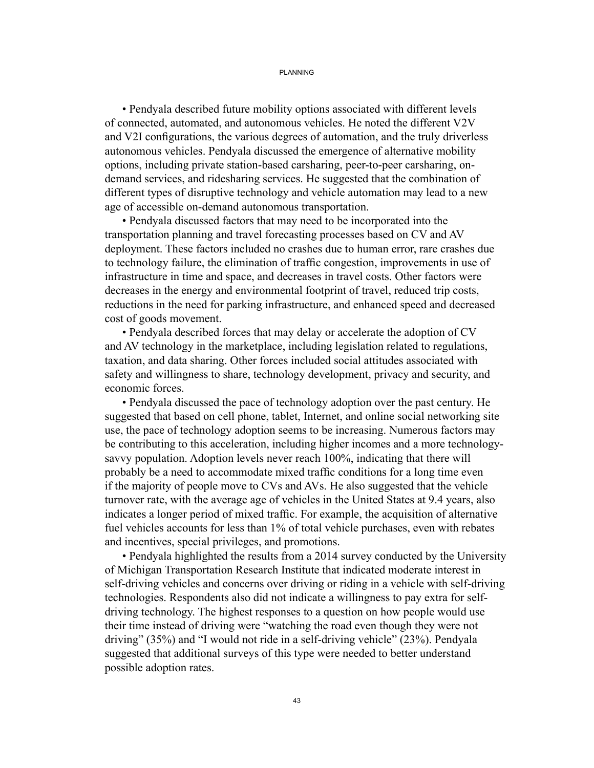#### PLANNING

• Pendyala described future mobility options associated with different levels of connected, automated, and autonomous vehicles. He noted the different V2V and V2I configurations, the various degrees of automation, and the truly driverless autonomous vehicles. Pendyala discussed the emergence of alternative mobility options, including private station-based carsharing, peer-to-peer carsharing, ondemand services, and ridesharing services. He suggested that the combination of different types of disruptive technology and vehicle automation may lead to a new age of accessible on-demand autonomous transportation.

• Pendyala discussed factors that may need to be incorporated into the transportation planning and travel forecasting processes based on CV and AV deployment. These factors included no crashes due to human error, rare crashes due to technology failure, the elimination of traffic congestion, improvements in use of infrastructure in time and space, and decreases in travel costs. Other factors were decreases in the energy and environmental footprint of travel, reduced trip costs, reductions in the need for parking infrastructure, and enhanced speed and decreased cost of goods movement.

• Pendyala described forces that may delay or accelerate the adoption of CV and AV technology in the marketplace, including legislation related to regulations, taxation, and data sharing. Other forces included social attitudes associated with safety and willingness to share, technology development, privacy and security, and economic forces.

• Pendyala discussed the pace of technology adoption over the past century. He suggested that based on cell phone, tablet, Internet, and online social networking site use, the pace of technology adoption seems to be increasing. Numerous factors may be contributing to this acceleration, including higher incomes and a more technologysavvy population. Adoption levels never reach 100%, indicating that there will probably be a need to accommodate mixed traffic conditions for a long time even if the majority of people move to CVs and AVs. He also suggested that the vehicle turnover rate, with the average age of vehicles in the United States at 9.4 years, also indicates a longer period of mixed traffic. For example, the acquisition of alternative fuel vehicles accounts for less than 1% of total vehicle purchases, even with rebates and incentives, special privileges, and promotions.

• Pendyala highlighted the results from a 2014 survey conducted by the University of Michigan Transportation Research Institute that indicated moderate interest in self-driving vehicles and concerns over driving or riding in a vehicle with self-driving technologies. Respondents also did not indicate a willingness to pay extra for selfdriving technology. The highest responses to a question on how people would use their time instead of driving were "watching the road even though they were not driving" (35%) and "I would not ride in a self-driving vehicle" (23%). Pendyala suggested that additional surveys of this type were needed to better understand possible adoption rates.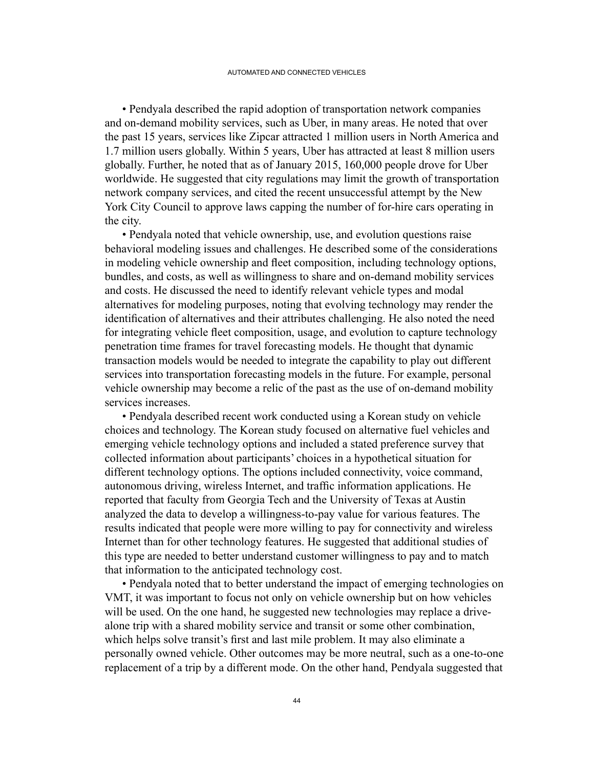• Pendyala described the rapid adoption of transportation network companies and on-demand mobility services, such as Uber, in many areas. He noted that over the past 15 years, services like Zipcar attracted 1 million users in North America and 1.7 million users globally. Within 5 years, Uber has attracted at least 8 million users globally. Further, he noted that as of January 2015, 160,000 people drove for Uber worldwide. He suggested that city regulations may limit the growth of transportation network company services, and cited the recent unsuccessful attempt by the New York City Council to approve laws capping the number of for-hire cars operating in the city.

• Pendyala noted that vehicle ownership, use, and evolution questions raise behavioral modeling issues and challenges. He described some of the considerations in modeling vehicle ownership and fleet composition, including technology options, bundles, and costs, as well as willingness to share and on-demand mobility services and costs. He discussed the need to identify relevant vehicle types and modal alternatives for modeling purposes, noting that evolving technology may render the identification of alternatives and their attributes challenging. He also noted the need for integrating vehicle fleet composition, usage, and evolution to capture technology penetration time frames for travel forecasting models. He thought that dynamic transaction models would be needed to integrate the capability to play out different services into transportation forecasting models in the future. For example, personal vehicle ownership may become a relic of the past as the use of on-demand mobility services increases.

• Pendyala described recent work conducted using a Korean study on vehicle choices and technology. The Korean study focused on alternative fuel vehicles and emerging vehicle technology options and included a stated preference survey that collected information about participants' choices in a hypothetical situation for different technology options. The options included connectivity, voice command, autonomous driving, wireless Internet, and traffic information applications. He reported that faculty from Georgia Tech and the University of Texas at Austin analyzed the data to develop a willingness-to-pay value for various features. The results indicated that people were more willing to pay for connectivity and wireless Internet than for other technology features. He suggested that additional studies of this type are needed to better understand customer willingness to pay and to match that information to the anticipated technology cost.

• Pendyala noted that to better understand the impact of emerging technologies on VMT, it was important to focus not only on vehicle ownership but on how vehicles will be used. On the one hand, he suggested new technologies may replace a drivealone trip with a shared mobility service and transit or some other combination, which helps solve transit's first and last mile problem. It may also eliminate a personally owned vehicle. Other outcomes may be more neutral, such as a one-to-one replacement of a trip by a different mode. On the other hand, Pendyala suggested that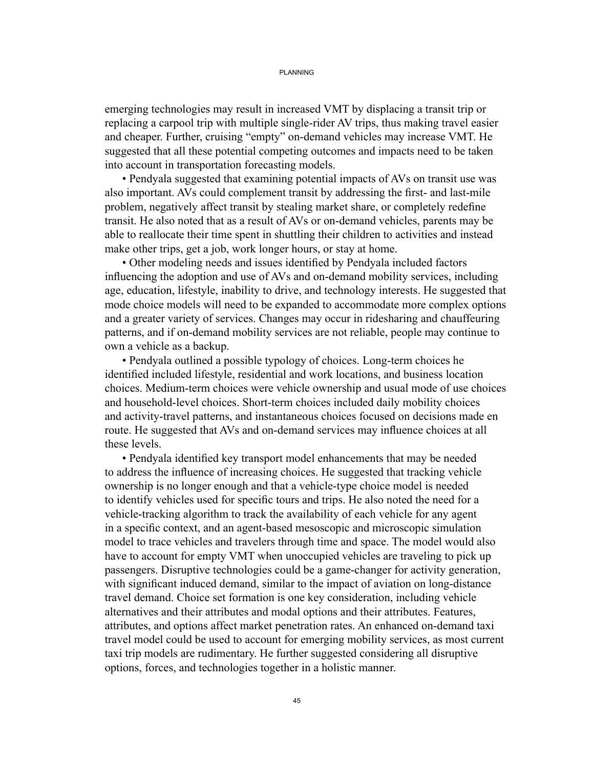#### PI ANNING

emerging technologies may result in increased VMT by displacing a transit trip or replacing a carpool trip with multiple single-rider AV trips, thus making travel easier and cheaper. Further, cruising "empty" on-demand vehicles may increase VMT. He suggested that all these potential competing outcomes and impacts need to be taken into account in transportation forecasting models.

• Pendyala suggested that examining potential impacts of AVs on transit use was also important. AVs could complement transit by addressing the first- and last-mile problem, negatively affect transit by stealing market share, or completely redefine transit. He also noted that as a result of AVs or on-demand vehicles, parents may be able to reallocate their time spent in shuttling their children to activities and instead make other trips, get a job, work longer hours, or stay at home.

 • Other modeling needs and issues identified by Pendyala included factors influencing the adoption and use of AVs and on-demand mobility services, including age, education, lifestyle, inability to drive, and technology interests. He suggested that mode choice models will need to be expanded to accommodate more complex options and a greater variety of services. Changes may occur in ridesharing and chauffeuring patterns, and if on-demand mobility services are not reliable, people may continue to own a vehicle as a backup.

 • Pendyala outlined a possible typology of choices. Long-term choices he identified included lifestyle, residential and work locations, and business location choices. Medium-term choices were vehicle ownership and usual mode of use choices and household-level choices. Short-term choices included daily mobility choices and activity-travel patterns, and instantaneous choices focused on decisions made en route. He suggested that AVs and on-demand services may influence choices at all these levels.

 • Pendyala identified key transport model enhancements that may be needed to address the influence of increasing choices. He suggested that tracking vehicle ownership is no longer enough and that a vehicle-type choice model is needed to identify vehicles used for specific tours and trips. He also noted the need for a vehicle-tracking algorithm to track the availability of each vehicle for any agent in a specific context, and an agent-based mesoscopic and microscopic simulation model to trace vehicles and travelers through time and space. The model would also have to account for empty VMT when unoccupied vehicles are traveling to pick up passengers. Disruptive technologies could be a game-changer for activity generation, with significant induced demand, similar to the impact of aviation on long-distance travel demand. Choice set formation is one key consideration, including vehicle alternatives and their attributes and modal options and their attributes. Features, attributes, and options affect market penetration rates. An enhanced on-demand taxi travel model could be used to account for emerging mobility services, as most current taxi trip models are rudimentary. He further suggested considering all disruptive options, forces, and technologies together in a holistic manner.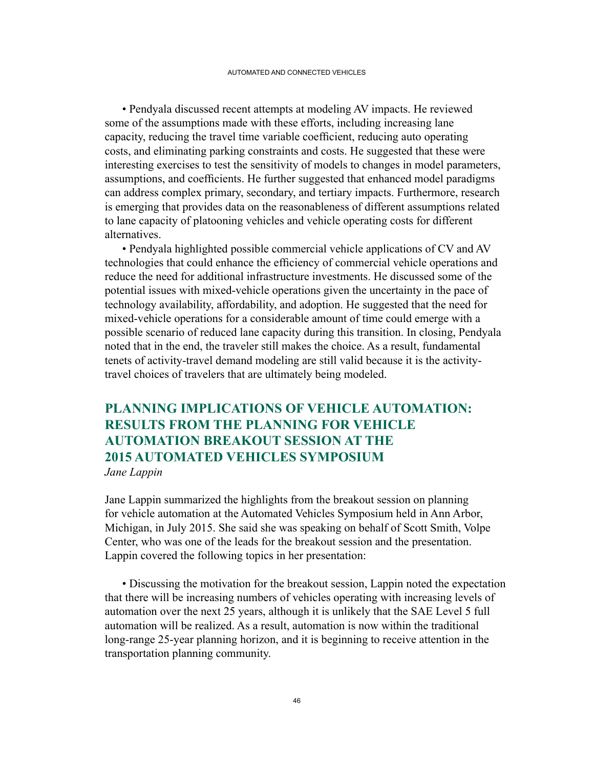• Pendyala discussed recent attempts at modeling AV impacts. He reviewed some of the assumptions made with these efforts, including increasing lane capacity, reducing the travel time variable coefficient, reducing auto operating costs, and eliminating parking constraints and costs. He suggested that these were interesting exercises to test the sensitivity of models to changes in model parameters, assumptions, and coefficients. He further suggested that enhanced model paradigms can address complex primary, secondary, and tertiary impacts. Furthermore, research is emerging that provides data on the reasonableness of different assumptions related to lane capacity of platooning vehicles and vehicle operating costs for different alternatives.

• Pendyala highlighted possible commercial vehicle applications of CV and AV technologies that could enhance the efficiency of commercial vehicle operations and reduce the need for additional infrastructure investments. He discussed some of the potential issues with mixed-vehicle operations given the uncertainty in the pace of technology availability, affordability, and adoption. He suggested that the need for mixed-vehicle operations for a considerable amount of time could emerge with a possible scenario of reduced lane capacity during this transition. In closing, Pendyala noted that in the end, the traveler still makes the choice. As a result, fundamental tenets of activity-travel demand modeling are still valid because it is the activitytravel choices of travelers that are ultimately being modeled.

## **PLANNING IMPLICATIONS OF VEHICLE AUTOMATION: RESULTS FROM THE PLANNING FOR VEHICLE AUTOMATION BREAKOUT SESSION AT THE 2015 AUTOMATED VEHICLES SYMPOSIUM**

*Jane Lappin*

Jane Lappin summarized the highlights from the breakout session on planning for vehicle automation at the Automated Vehicles Symposium held in Ann Arbor, Michigan, in July 2015. She said she was speaking on behalf of Scott Smith, Volpe Center, who was one of the leads for the breakout session and the presentation. Lappin covered the following topics in her presentation:

• Discussing the motivation for the breakout session, Lappin noted the expectation that there will be increasing numbers of vehicles operating with increasing levels of automation over the next 25 years, although it is unlikely that the SAE Level 5 full automation will be realized. As a result, automation is now within the traditional long-range 25-year planning horizon, and it is beginning to receive attention in the transportation planning community.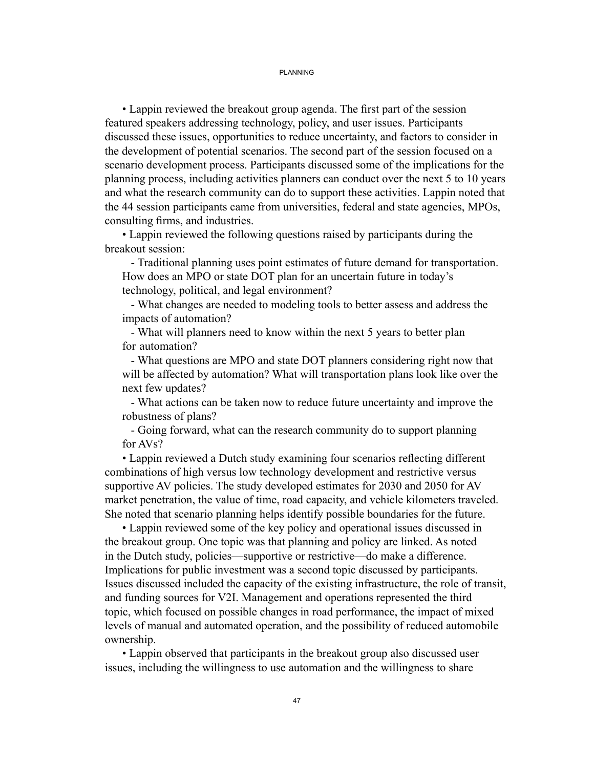#### PI ANNING

 • Lappin reviewed the breakout group agenda. The first part of the session featured speakers addressing technology, policy, and user issues. Participants discussed these issues, opportunities to reduce uncertainty, and factors to consider in the development of potential scenarios. The second part of the session focused on a scenario development process. Participants discussed some of the implications for the planning process, including activities planners can conduct over the next 5 to 10 years and what the research community can do to support these activities. Lappin noted that the 44 session participants came from universities, federal and state agencies, MPOs, consulting firms, and industries.

• Lappin reviewed the following questions raised by participants during the breakout session:

 - Traditional planning uses point estimates of future demand for transportation. How does an MPO or state DOT plan for an uncertain future in today's technology, political, and legal environment?

 - What changes are needed to modeling tools to better assess and address the impacts of automation?

 - What will planners need to know within the next 5 years to better plan for automation?

 - What questions are MPO and state DOT planners considering right now that will be affected by automation? What will transportation plans look like over the next few updates?

 - What actions can be taken now to reduce future uncertainty and improve the robustness of plans?

 - Going forward, what can the research community do to support planning for AVs?

 • Lappin reviewed a Dutch study examining four scenarios reflecting different combinations of high versus low technology development and restrictive versus supportive AV policies. The study developed estimates for 2030 and 2050 for AV market penetration, the value of time, road capacity, and vehicle kilometers traveled. She noted that scenario planning helps identify possible boundaries for the future.

• Lappin reviewed some of the key policy and operational issues discussed in the breakout group. One topic was that planning and policy are linked. As noted in the Dutch study, policies—supportive or restrictive—do make a difference. Implications for public investment was a second topic discussed by participants. Issues discussed included the capacity of the existing infrastructure, the role of transit, and funding sources for V2I. Management and operations represented the third topic, which focused on possible changes in road performance, the impact of mixed levels of manual and automated operation, and the possibility of reduced automobile ownership.

• Lappin observed that participants in the breakout group also discussed user issues, including the willingness to use automation and the willingness to share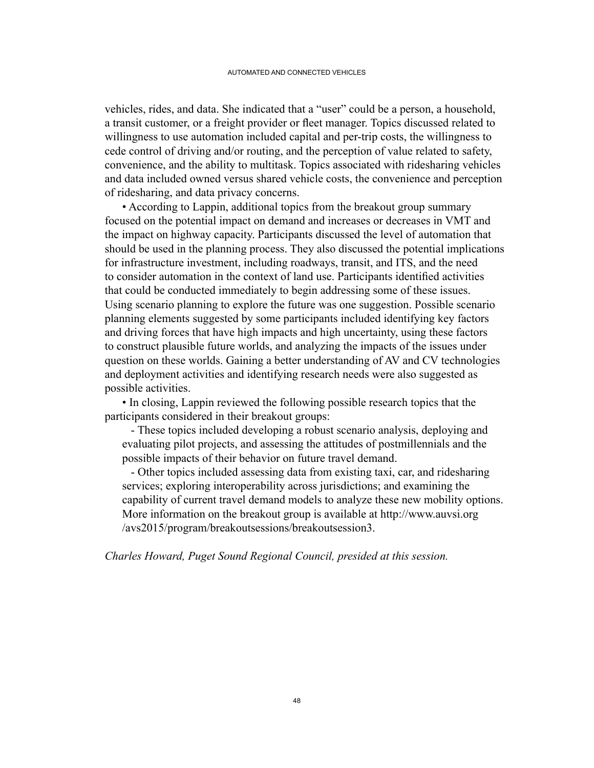vehicles, rides, and data. She indicated that a "user" could be a person, a household, a transit customer, or a freight provider or fleet manager. Topics discussed related to willingness to use automation included capital and per-trip costs, the willingness to cede control of driving and/or routing, and the perception of value related to safety, convenience, and the ability to multitask. Topics associated with ridesharing vehicles and data included owned versus shared vehicle costs, the convenience and perception of ridesharing, and data privacy concerns.

• According to Lappin, additional topics from the breakout group summary focused on the potential impact on demand and increases or decreases in VMT and the impact on highway capacity. Participants discussed the level of automation that should be used in the planning process. They also discussed the potential implications for infrastructure investment, including roadways, transit, and ITS, and the need to consider automation in the context of land use. Participants identified activities that could be conducted immediately to begin addressing some of these issues. Using scenario planning to explore the future was one suggestion. Possible scenario planning elements suggested by some participants included identifying key factors and driving forces that have high impacts and high uncertainty, using these factors to construct plausible future worlds, and analyzing the impacts of the issues under question on these worlds. Gaining a better understanding of AV and CV technologies and deployment activities and identifying research needs were also suggested as possible activities.

• In closing, Lappin reviewed the following possible research topics that the participants considered in their breakout groups:

 - These topics included developing a robust scenario analysis, deploying and evaluating pilot projects, and assessing the attitudes of postmillennials and the possible impacts of their behavior on future travel demand.

 - Other topics included assessing data from existing taxi, car, and ridesharing services; exploring interoperability across jurisdictions; and examining the capability of current travel demand models to analyze these new mobility options. More information on the breakout group is available at http://www.auvsi.org /avs2015/program/breakoutsessions/breakoutsession3.

*Charles Howard, Puget Sound Regional Council, presided at this session.*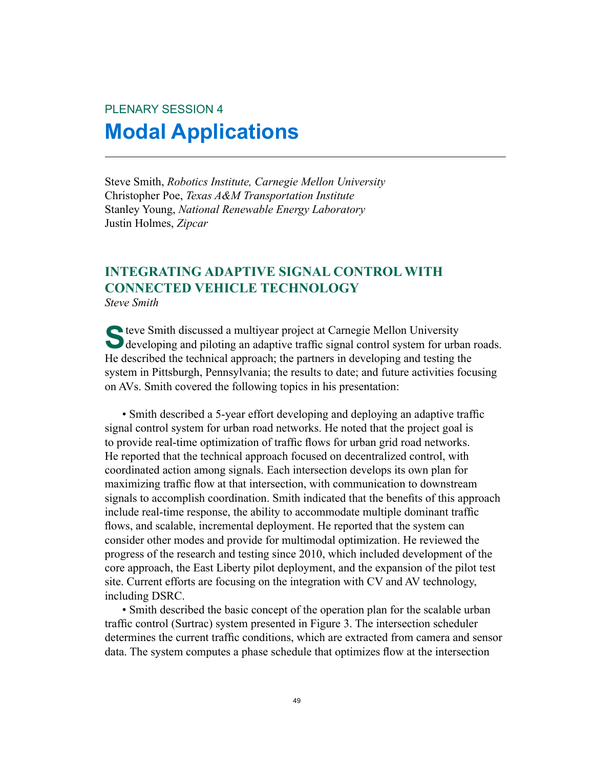# PLENARY SESSION 4 **Modal Applications**

Steve Smith, *Robotics Institute, Carnegie Mellon University* Christopher Poe, *Texas A&M Transportation Institute* Stanley Young, *National Renewable Energy Laboratory* Justin Holmes, *Zipcar*

## **INTEGRATING ADAPTIVE SIGNAL CONTROL WITH CONNECTED VEHICLE TECHNOLOGY**

*Steve Smith*

S teve Smith discussed a multiyear project at Carnegie Mellon University<br>developing and piloting an adaptive traffic signal control system for urban roads. He described the technical approach; the partners in developing and testing the system in Pittsburgh, Pennsylvania; the results to date; and future activities focusing on AVs. Smith covered the following topics in his presentation:

 • Smith described a 5-year effort developing and deploying an adaptive traffic signal control system for urban road networks. He noted that the project goal is to provide real-time optimization of traffic flows for urban grid road networks. He reported that the technical approach focused on decentralized control, with coordinated action among signals. Each intersection develops its own plan for maximizing traffic flow at that intersection, with communication to downstream signals to accomplish coordination. Smith indicated that the benefits of this approach include real-time response, the ability to accommodate multiple dominant traffic flows, and scalable, incremental deployment. He reported that the system can consider other modes and provide for multimodal optimization. He reviewed the progress of the research and testing since 2010, which included development of the core approach, the East Liberty pilot deployment, and the expansion of the pilot test site. Current efforts are focusing on the integration with CV and AV technology, including DSRC.

• Smith described the basic concept of the operation plan for the scalable urban traffic control (Surtrac) system presented in Figure 3. The intersection scheduler determines the current traffic conditions, which are extracted from camera and sensor data. The system computes a phase schedule that optimizes flow at the intersection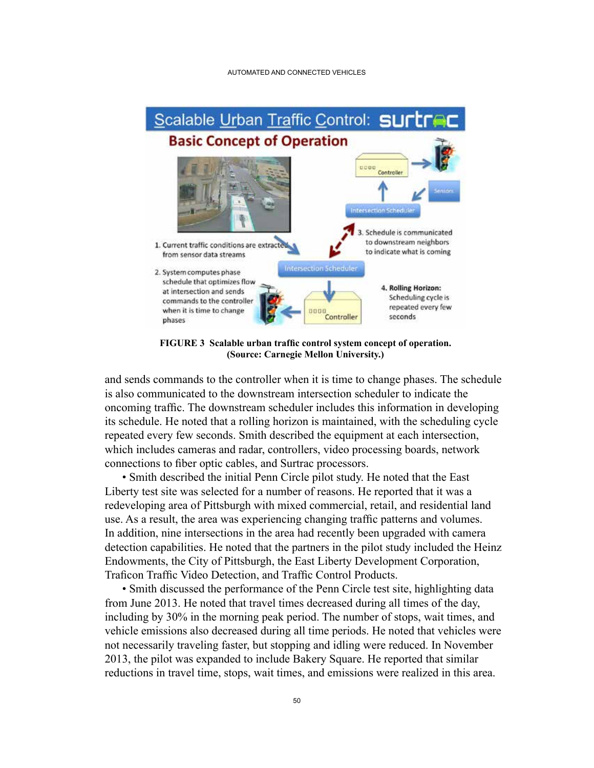

**FIGURE 3 Scalable urban traffic control system concept of operation. (Source: Carnegie Mellon University.)**

and sends commands to the controller when it is time to change phases. The schedule is also communicated to the downstream intersection scheduler to indicate the oncoming traffic. The downstream scheduler includes this information in developing its schedule. He noted that a rolling horizon is maintained, with the scheduling cycle repeated every few seconds. Smith described the equipment at each intersection, which includes cameras and radar, controllers, video processing boards, network connections to fiber optic cables, and Surtrac processors.

• Smith described the initial Penn Circle pilot study. He noted that the East Liberty test site was selected for a number of reasons. He reported that it was a redeveloping area of Pittsburgh with mixed commercial, retail, and residential land use. As a result, the area was experiencing changing traffic patterns and volumes. In addition, nine intersections in the area had recently been upgraded with camera detection capabilities. He noted that the partners in the pilot study included the Heinz Endowments, the City of Pittsburgh, the East Liberty Development Corporation, Traficon Traffic Video Detection, and Traffic Control Products.

• Smith discussed the performance of the Penn Circle test site, highlighting data from June 2013. He noted that travel times decreased during all times of the day, including by 30% in the morning peak period. The number of stops, wait times, and vehicle emissions also decreased during all time periods. He noted that vehicles were not necessarily traveling faster, but stopping and idling were reduced. In November 2013, the pilot was expanded to include Bakery Square. He reported that similar reductions in travel time, stops, wait times, and emissions were realized in this area.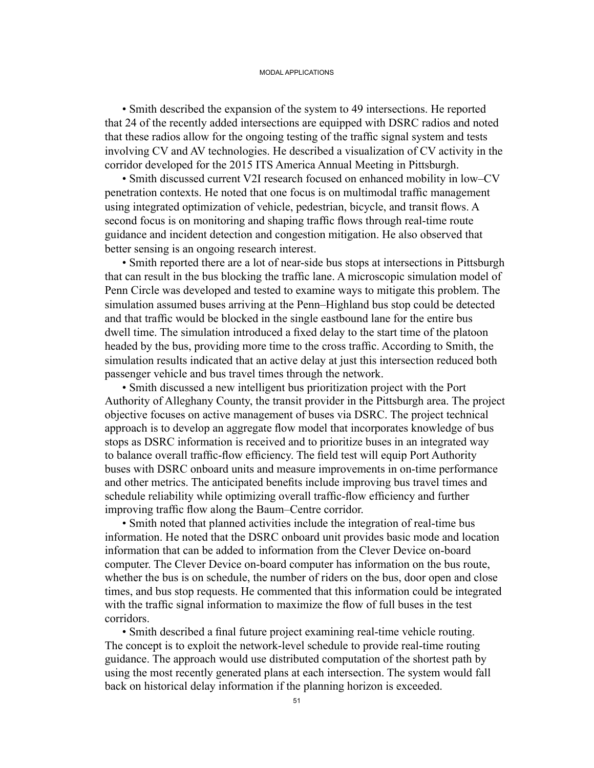• Smith described the expansion of the system to 49 intersections. He reported that 24 of the recently added intersections are equipped with DSRC radios and noted that these radios allow for the ongoing testing of the traffic signal system and tests involving CV and AV technologies. He described a visualization of CV activity in the corridor developed for the 2015 ITS America Annual Meeting in Pittsburgh.

• Smith discussed current V2I research focused on enhanced mobility in low–CV penetration contexts. He noted that one focus is on multimodal traffic management using integrated optimization of vehicle, pedestrian, bicycle, and transit flows. A second focus is on monitoring and shaping traffic flows through real-time route guidance and incident detection and congestion mitigation. He also observed that better sensing is an ongoing research interest.

 • Smith reported there are a lot of near-side bus stops at intersections in Pittsburgh that can result in the bus blocking the traffic lane. A microscopic simulation model of Penn Circle was developed and tested to examine ways to mitigate this problem. The simulation assumed buses arriving at the Penn–Highland bus stop could be detected and that traffic would be blocked in the single eastbound lane for the entire bus dwell time. The simulation introduced a fixed delay to the start time of the platoon headed by the bus, providing more time to the cross traffic. According to Smith, the simulation results indicated that an active delay at just this intersection reduced both passenger vehicle and bus travel times through the network.

• Smith discussed a new intelligent bus prioritization project with the Port Authority of Alleghany County, the transit provider in the Pittsburgh area. The project objective focuses on active management of buses via DSRC. The project technical approach is to develop an aggregate flow model that incorporates knowledge of bus stops as DSRC information is received and to prioritize buses in an integrated way to balance overall traffic-flow efficiency. The field test will equip Port Authority buses with DSRC onboard units and measure improvements in on-time performance and other metrics. The anticipated benefits include improving bus travel times and schedule reliability while optimizing overall traffic-flow efficiency and further improving traffic flow along the Baum–Centre corridor.

 • Smith noted that planned activities include the integration of real-time bus information. He noted that the DSRC onboard unit provides basic mode and location information that can be added to information from the Clever Device on-board computer. The Clever Device on-board computer has information on the bus route, whether the bus is on schedule, the number of riders on the bus, door open and close times, and bus stop requests. He commented that this information could be integrated with the traffic signal information to maximize the flow of full buses in the test corridors.

 • Smith described a final future project examining real-time vehicle routing. The concept is to exploit the network-level schedule to provide real-time routing guidance. The approach would use distributed computation of the shortest path by using the most recently generated plans at each intersection. The system would fall back on historical delay information if the planning horizon is exceeded.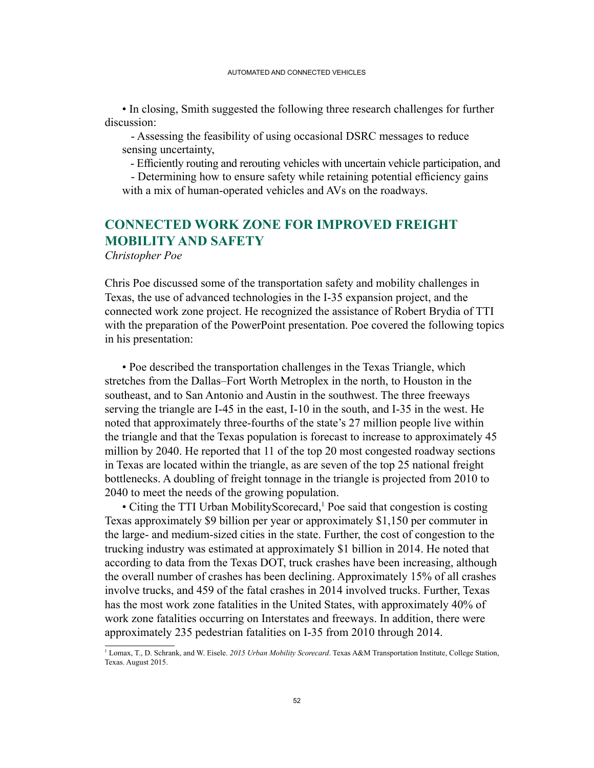• In closing, Smith suggested the following three research challenges for further discussion:

 - Assessing the feasibility of using occasional DSRC messages to reduce sensing uncertainty,

- Efficiently routing and rerouting vehicles with uncertain vehicle participation, and

 - Determining how to ensure safety while retaining potential efficiency gains with a mix of human-operated vehicles and AVs on the roadways.

### **CONNECTED WORK ZONE FOR IMPROVED FREIGHT MOBILITY AND SAFETY**

*Christopher Poe*

Chris Poe discussed some of the transportation safety and mobility challenges in Texas, the use of advanced technologies in the I-35 expansion project, and the connected work zone project. He recognized the assistance of Robert Brydia of TTI with the preparation of the PowerPoint presentation. Poe covered the following topics in his presentation:

• Poe described the transportation challenges in the Texas Triangle, which stretches from the Dallas–Fort Worth Metroplex in the north, to Houston in the southeast, and to San Antonio and Austin in the southwest. The three freeways serving the triangle are I-45 in the east, I-10 in the south, and I-35 in the west. He noted that approximately three-fourths of the state's 27 million people live within the triangle and that the Texas population is forecast to increase to approximately 45 million by 2040. He reported that 11 of the top 20 most congested roadway sections in Texas are located within the triangle, as are seven of the top 25 national freight bottlenecks. A doubling of freight tonnage in the triangle is projected from 2010 to 2040 to meet the needs of the growing population.

• Citing the TTI Urban MobilityScorecard,<sup>1</sup> Poe said that congestion is costing Texas approximately \$9 billion per year or approximately \$1,150 per commuter in the large- and medium-sized cities in the state. Further, the cost of congestion to the trucking industry was estimated at approximately \$1 billion in 2014. He noted that according to data from the Texas DOT, truck crashes have been increasing, although the overall number of crashes has been declining. Approximately 15% of all crashes involve trucks, and 459 of the fatal crashes in 2014 involved trucks. Further, Texas has the most work zone fatalities in the United States, with approximately 40% of work zone fatalities occurring on Interstates and freeways. In addition, there were approximately 235 pedestrian fatalities on I-35 from 2010 through 2014.

<sup>1</sup> Lomax, T., D. Schrank, and W. Eisele. *2015 Urban Mobility Scorecard*. Texas A&M Transportation Institute, College Station, Texas. August 2015.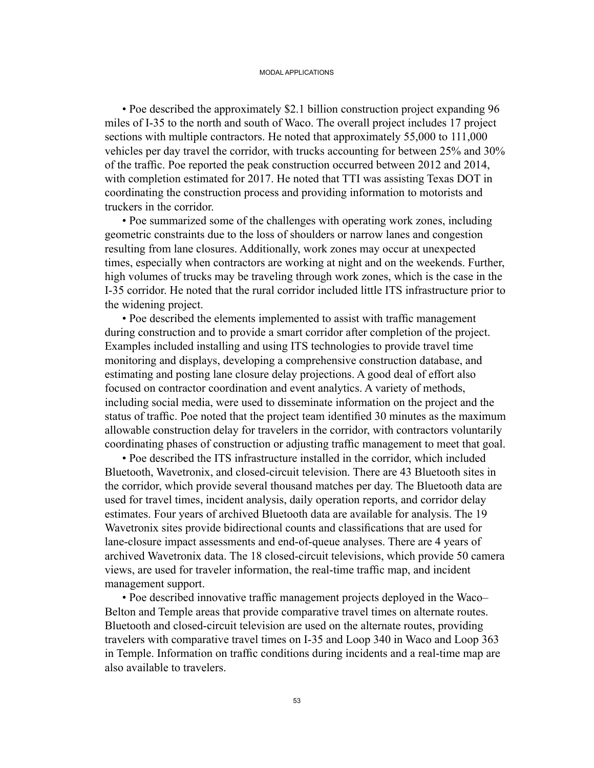• Poe described the approximately \$2.1 billion construction project expanding 96 miles of I-35 to the north and south of Waco. The overall project includes 17 project sections with multiple contractors. He noted that approximately 55,000 to 111,000 vehicles per day travel the corridor, with trucks accounting for between 25% and 30% of the traffic. Poe reported the peak construction occurred between 2012 and 2014, with completion estimated for 2017. He noted that TTI was assisting Texas DOT in coordinating the construction process and providing information to motorists and truckers in the corridor.

• Poe summarized some of the challenges with operating work zones, including geometric constraints due to the loss of shoulders or narrow lanes and congestion resulting from lane closures. Additionally, work zones may occur at unexpected times, especially when contractors are working at night and on the weekends. Further, high volumes of trucks may be traveling through work zones, which is the case in the I-35 corridor. He noted that the rural corridor included little ITS infrastructure prior to the widening project.

 • Poe described the elements implemented to assist with traffic management during construction and to provide a smart corridor after completion of the project. Examples included installing and using ITS technologies to provide travel time monitoring and displays, developing a comprehensive construction database, and estimating and posting lane closure delay projections. A good deal of effort also focused on contractor coordination and event analytics. A variety of methods, including social media, were used to disseminate information on the project and the status of traffic. Poe noted that the project team identified 30 minutes as the maximum allowable construction delay for travelers in the corridor, with contractors voluntarily coordinating phases of construction or adjusting traffic management to meet that goal.

• Poe described the ITS infrastructure installed in the corridor, which included Bluetooth, Wavetronix, and closed-circuit television. There are 43 Bluetooth sites in the corridor, which provide several thousand matches per day. The Bluetooth data are used for travel times, incident analysis, daily operation reports, and corridor delay estimates. Four years of archived Bluetooth data are available for analysis. The 19 Wavetronix sites provide bidirectional counts and classifications that are used for lane-closure impact assessments and end-of-queue analyses. There are 4 years of archived Wavetronix data. The 18 closed-circuit televisions, which provide 50 camera views, are used for traveler information, the real-time traffic map, and incident management support.

 • Poe described innovative traffic management projects deployed in the Waco– Belton and Temple areas that provide comparative travel times on alternate routes. Bluetooth and closed-circuit television are used on the alternate routes, providing travelers with comparative travel times on I-35 and Loop 340 in Waco and Loop 363 in Temple. Information on traffic conditions during incidents and a real-time map are also available to travelers.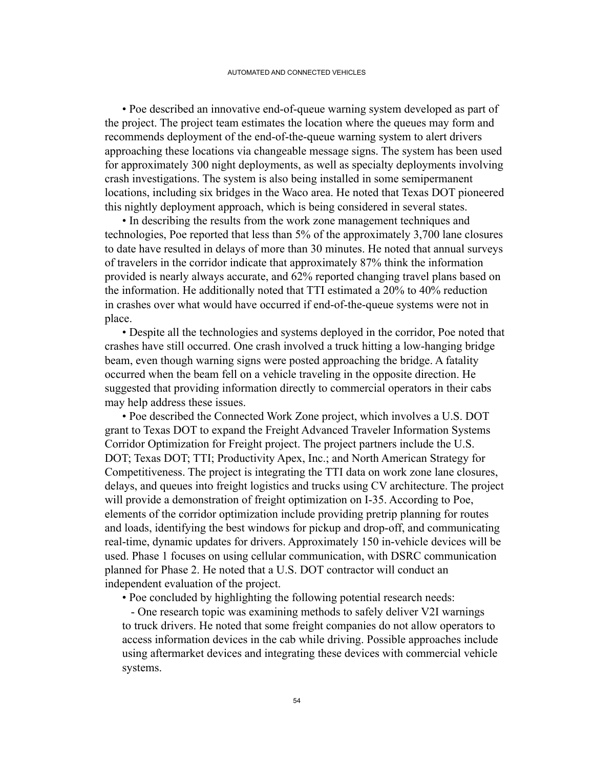• Poe described an innovative end-of-queue warning system developed as part of the project. The project team estimates the location where the queues may form and recommends deployment of the end-of-the-queue warning system to alert drivers approaching these locations via changeable message signs. The system has been used for approximately 300 night deployments, as well as specialty deployments involving crash investigations. The system is also being installed in some semipermanent locations, including six bridges in the Waco area. He noted that Texas DOT pioneered this nightly deployment approach, which is being considered in several states.

• In describing the results from the work zone management techniques and technologies, Poe reported that less than 5% of the approximately 3,700 lane closures to date have resulted in delays of more than 30 minutes. He noted that annual surveys of travelers in the corridor indicate that approximately 87% think the information provided is nearly always accurate, and 62% reported changing travel plans based on the information. He additionally noted that TTI estimated a 20% to 40% reduction in crashes over what would have occurred if end-of-the-queue systems were not in place.

• Despite all the technologies and systems deployed in the corridor, Poe noted that crashes have still occurred. One crash involved a truck hitting a low-hanging bridge beam, even though warning signs were posted approaching the bridge. A fatality occurred when the beam fell on a vehicle traveling in the opposite direction. He suggested that providing information directly to commercial operators in their cabs may help address these issues.

• Poe described the Connected Work Zone project, which involves a U.S. DOT grant to Texas DOT to expand the Freight Advanced Traveler Information Systems Corridor Optimization for Freight project. The project partners include the U.S. DOT; Texas DOT; TTI; Productivity Apex, Inc.; and North American Strategy for Competitiveness. The project is integrating the TTI data on work zone lane closures, delays, and queues into freight logistics and trucks using CV architecture. The project will provide a demonstration of freight optimization on I-35. According to Poe, elements of the corridor optimization include providing pretrip planning for routes and loads, identifying the best windows for pickup and drop-off, and communicating real-time, dynamic updates for drivers. Approximately 150 in-vehicle devices will be used. Phase 1 focuses on using cellular communication, with DSRC communication planned for Phase 2. He noted that a U.S. DOT contractor will conduct an independent evaluation of the project.

• Poe concluded by highlighting the following potential research needs:

 - One research topic was examining methods to safely deliver V2I warnings to truck drivers. He noted that some freight companies do not allow operators to access information devices in the cab while driving. Possible approaches include using aftermarket devices and integrating these devices with commercial vehicle systems.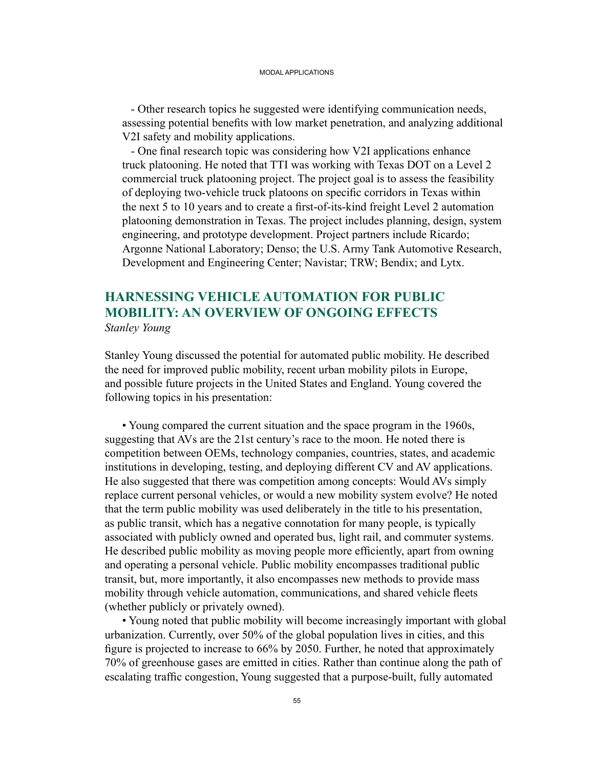- Other research topics he suggested were identifying communication needs, assessing potential benefits with low market penetration, and analyzing additional V2I safety and mobility applications.

 - One final research topic was considering how V2I applications enhance truck platooning. He noted that TTI was working with Texas DOT on a Level 2 commercial truck platooning project. The project goal is to assess the feasibility of deploying two-vehicle truck platoons on specific corridors in Texas within the next 5 to 10 years and to create a first-of-its-kind freight Level 2 automation platooning demonstration in Texas. The project includes planning, design, system engineering, and prototype development. Project partners include Ricardo; Argonne National Laboratory; Denso; the U.S. Army Tank Automotive Research, Development and Engineering Center; Navistar; TRW; Bendix; and Lytx.

### **HARNESSING VEHICLE AUTOMATION FOR PUBLIC MOBILITY: AN OVERVIEW OF ONGOING EFFECTS** *Stanley Young*

Stanley Young discussed the potential for automated public mobility. He described the need for improved public mobility, recent urban mobility pilots in Europe, and possible future projects in the United States and England. Young covered the following topics in his presentation:

 • Young compared the current situation and the space program in the 1960s, suggesting that AVs are the 21st century's race to the moon. He noted there is competition between OEMs, technology companies, countries, states, and academic institutions in developing, testing, and deploying different CV and AV applications. He also suggested that there was competition among concepts: Would AVs simply replace current personal vehicles, or would a new mobility system evolve? He noted that the term public mobility was used deliberately in the title to his presentation, as public transit, which has a negative connotation for many people, is typically associated with publicly owned and operated bus, light rail, and commuter systems. He described public mobility as moving people more efficiently, apart from owning and operating a personal vehicle. Public mobility encompasses traditional public transit, but, more importantly, it also encompasses new methods to provide mass mobility through vehicle automation, communications, and shared vehicle fleets (whether publicly or privately owned).

• Young noted that public mobility will become increasingly important with global urbanization. Currently, over 50% of the global population lives in cities, and this figure is projected to increase to 66% by 2050. Further, he noted that approximately 70% of greenhouse gases are emitted in cities. Rather than continue along the path of escalating traffic congestion, Young suggested that a purpose-built, fully automated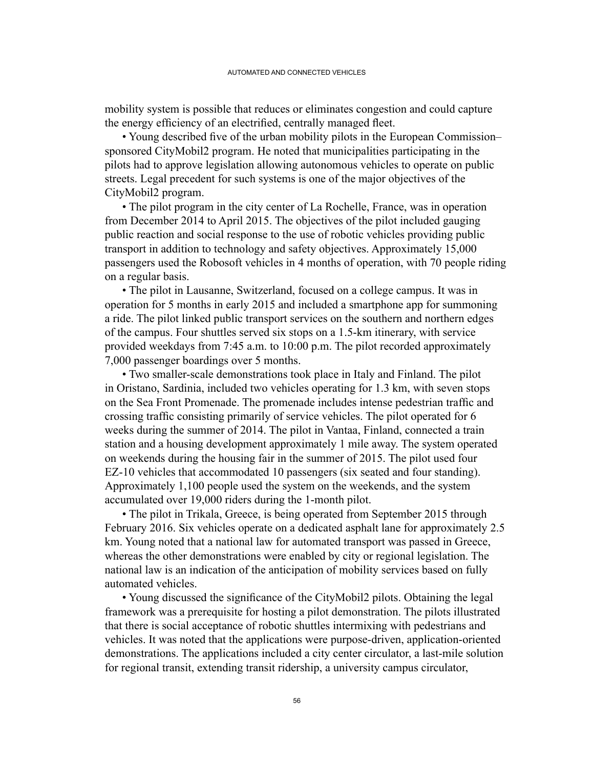mobility system is possible that reduces or eliminates congestion and could capture the energy efficiency of an electrified, centrally managed fleet.

 • Young described five of the urban mobility pilots in the European Commission– sponsored CityMobil2 program. He noted that municipalities participating in the pilots had to approve legislation allowing autonomous vehicles to operate on public streets. Legal precedent for such systems is one of the major objectives of the CityMobil2 program.

• The pilot program in the city center of La Rochelle, France, was in operation from December 2014 to April 2015. The objectives of the pilot included gauging public reaction and social response to the use of robotic vehicles providing public transport in addition to technology and safety objectives. Approximately 15,000 passengers used the Robosoft vehicles in 4 months of operation, with 70 people riding on a regular basis.

• The pilot in Lausanne, Switzerland, focused on a college campus. It was in operation for 5 months in early 2015 and included a smartphone app for summoning a ride. The pilot linked public transport services on the southern and northern edges of the campus. Four shuttles served six stops on a 1.5-km itinerary, with service provided weekdays from 7:45 a.m. to 10:00 p.m. The pilot recorded approximately 7,000 passenger boardings over 5 months.

 • Two smaller-scale demonstrations took place in Italy and Finland. The pilot in Oristano, Sardinia, included two vehicles operating for 1.3 km, with seven stops on the Sea Front Promenade. The promenade includes intense pedestrian traffic and crossing traffic consisting primarily of service vehicles. The pilot operated for 6 weeks during the summer of 2014. The pilot in Vantaa, Finland, connected a train station and a housing development approximately 1 mile away. The system operated on weekends during the housing fair in the summer of 2015. The pilot used four EZ-10 vehicles that accommodated 10 passengers (six seated and four standing). Approximately 1,100 people used the system on the weekends, and the system accumulated over 19,000 riders during the 1-month pilot.

• The pilot in Trikala, Greece, is being operated from September 2015 through February 2016. Six vehicles operate on a dedicated asphalt lane for approximately 2.5 km. Young noted that a national law for automated transport was passed in Greece, whereas the other demonstrations were enabled by city or regional legislation. The national law is an indication of the anticipation of mobility services based on fully automated vehicles.

 • Young discussed the significance of the CityMobil2 pilots. Obtaining the legal framework was a prerequisite for hosting a pilot demonstration. The pilots illustrated that there is social acceptance of robotic shuttles intermixing with pedestrians and vehicles. It was noted that the applications were purpose-driven, application-oriented demonstrations. The applications included a city center circulator, a last-mile solution for regional transit, extending transit ridership, a university campus circulator,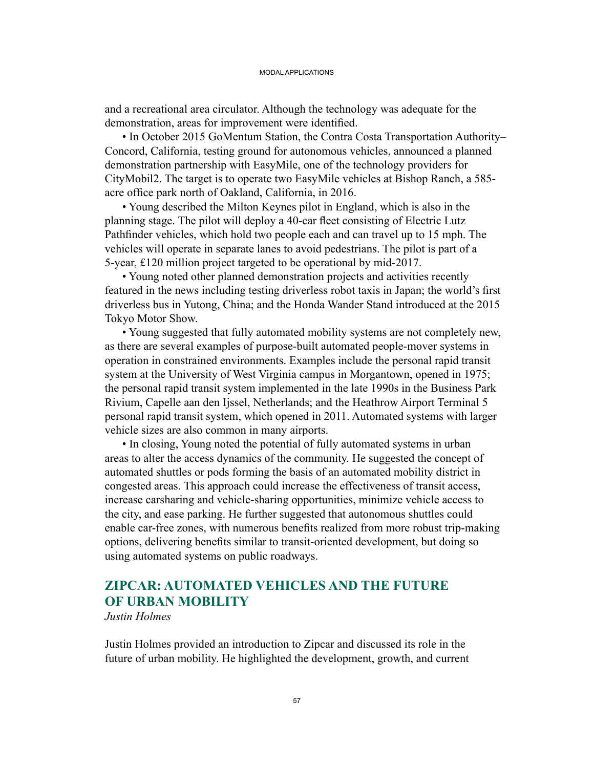and a recreational area circulator. Although the technology was adequate for the demonstration, areas for improvement were identified.

• In October 2015 GoMentum Station, the Contra Costa Transportation Authority– Concord, California, testing ground for autonomous vehicles, announced a planned demonstration partnership with EasyMile, one of the technology providers for CityMobil2. The target is to operate two EasyMile vehicles at Bishop Ranch, a 585 acre office park north of Oakland, California, in 2016.

• Young described the Milton Keynes pilot in England, which is also in the planning stage. The pilot will deploy a 40-car fleet consisting of Electric Lutz Pathfinder vehicles, which hold two people each and can travel up to 15 mph. The vehicles will operate in separate lanes to avoid pedestrians. The pilot is part of a 5-year, £120 million project targeted to be operational by mid-2017.

• Young noted other planned demonstration projects and activities recently featured in the news including testing driverless robot taxis in Japan; the world's first driverless bus in Yutong, China; and the Honda Wander Stand introduced at the 2015 Tokyo Motor Show.

• Young suggested that fully automated mobility systems are not completely new, as there are several examples of purpose-built automated people-mover systems in operation in constrained environments. Examples include the personal rapid transit system at the University of West Virginia campus in Morgantown, opened in 1975; the personal rapid transit system implemented in the late 1990s in the Business Park Rivium, Capelle aan den Ijssel, Netherlands; and the Heathrow Airport Terminal 5 personal rapid transit system, which opened in 2011. Automated systems with larger vehicle sizes are also common in many airports.

• In closing, Young noted the potential of fully automated systems in urban areas to alter the access dynamics of the community. He suggested the concept of automated shuttles or pods forming the basis of an automated mobility district in congested areas. This approach could increase the effectiveness of transit access, increase carsharing and vehicle-sharing opportunities, minimize vehicle access to the city, and ease parking. He further suggested that autonomous shuttles could enable car-free zones, with numerous benefits realized from more robust trip-making options, delivering benefits similar to transit-oriented development, but doing so using automated systems on public roadways.

### **ZIPCAR: AUTOMATED VEHICLES AND THE FUTURE OF URBAN MOBILITY**

*Justin Holmes*

Justin Holmes provided an introduction to Zipcar and discussed its role in the future of urban mobility. He highlighted the development, growth, and current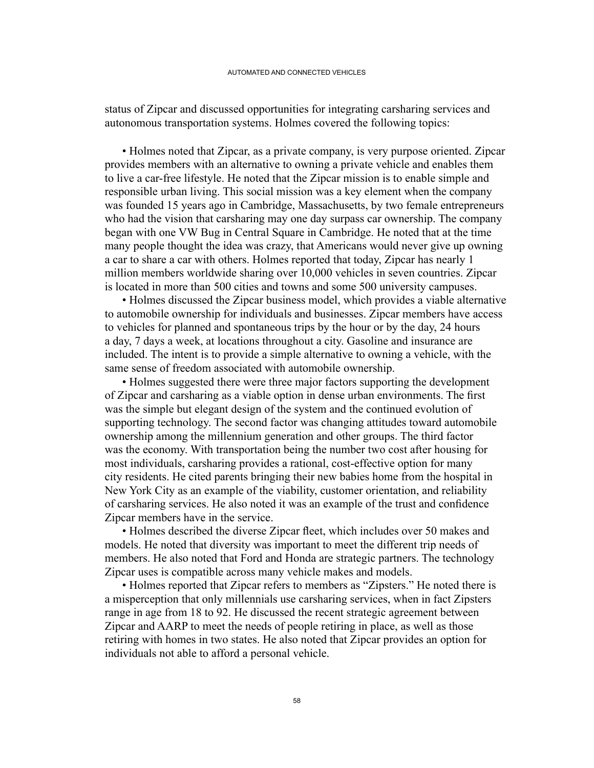status of Zipcar and discussed opportunities for integrating carsharing services and autonomous transportation systems. Holmes covered the following topics:

• Holmes noted that Zipcar, as a private company, is very purpose oriented. Zipcar provides members with an alternative to owning a private vehicle and enables them to live a car-free lifestyle. He noted that the Zipcar mission is to enable simple and responsible urban living. This social mission was a key element when the company was founded 15 years ago in Cambridge, Massachusetts, by two female entrepreneurs who had the vision that carsharing may one day surpass car ownership. The company began with one VW Bug in Central Square in Cambridge. He noted that at the time many people thought the idea was crazy, that Americans would never give up owning a car to share a car with others. Holmes reported that today, Zipcar has nearly 1 million members worldwide sharing over 10,000 vehicles in seven countries. Zipcar is located in more than 500 cities and towns and some 500 university campuses.

• Holmes discussed the Zipcar business model, which provides a viable alternative to automobile ownership for individuals and businesses. Zipcar members have access to vehicles for planned and spontaneous trips by the hour or by the day, 24 hours a day, 7 days a week, at locations throughout a city. Gasoline and insurance are included. The intent is to provide a simple alternative to owning a vehicle, with the same sense of freedom associated with automobile ownership.

• Holmes suggested there were three major factors supporting the development of Zipcar and carsharing as a viable option in dense urban environments. The first was the simple but elegant design of the system and the continued evolution of supporting technology. The second factor was changing attitudes toward automobile ownership among the millennium generation and other groups. The third factor was the economy. With transportation being the number two cost after housing for most individuals, carsharing provides a rational, cost-effective option for many city residents. He cited parents bringing their new babies home from the hospital in New York City as an example of the viability, customer orientation, and reliability of carsharing services. He also noted it was an example of the trust and confidence Zipcar members have in the service.

 • Holmes described the diverse Zipcar fleet, which includes over 50 makes and models. He noted that diversity was important to meet the different trip needs of members. He also noted that Ford and Honda are strategic partners. The technology Zipcar uses is compatible across many vehicle makes and models.

• Holmes reported that Zipcar refers to members as "Zipsters." He noted there is a misperception that only millennials use carsharing services, when in fact Zipsters range in age from 18 to 92. He discussed the recent strategic agreement between Zipcar and AARP to meet the needs of people retiring in place, as well as those retiring with homes in two states. He also noted that Zipcar provides an option for individuals not able to afford a personal vehicle.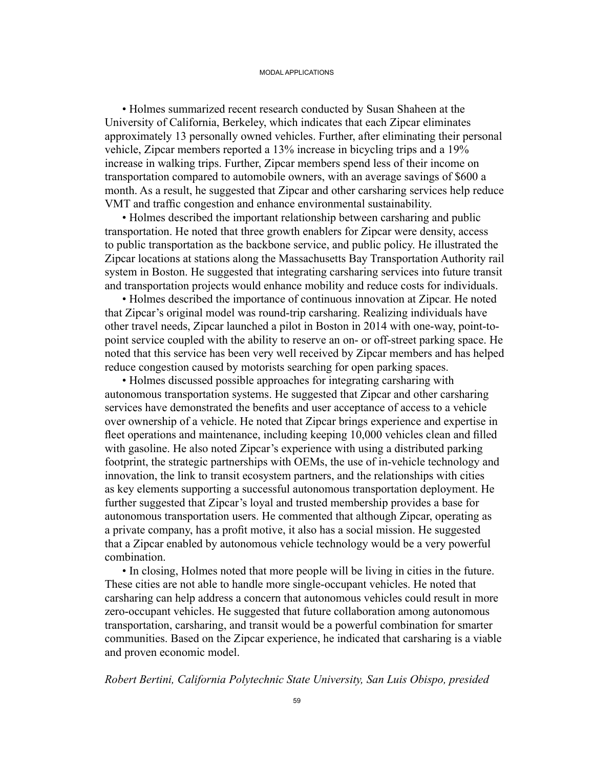• Holmes summarized recent research conducted by Susan Shaheen at the University of California, Berkeley, which indicates that each Zipcar eliminates approximately 13 personally owned vehicles. Further, after eliminating their personal vehicle, Zipcar members reported a 13% increase in bicycling trips and a 19% increase in walking trips. Further, Zipcar members spend less of their income on transportation compared to automobile owners, with an average savings of \$600 a month. As a result, he suggested that Zipcar and other carsharing services help reduce VMT and traffic congestion and enhance environmental sustainability.

• Holmes described the important relationship between carsharing and public transportation. He noted that three growth enablers for Zipcar were density, access to public transportation as the backbone service, and public policy. He illustrated the Zipcar locations at stations along the Massachusetts Bay Transportation Authority rail system in Boston. He suggested that integrating carsharing services into future transit and transportation projects would enhance mobility and reduce costs for individuals.

• Holmes described the importance of continuous innovation at Zipcar. He noted that Zipcar's original model was round-trip carsharing. Realizing individuals have other travel needs, Zipcar launched a pilot in Boston in 2014 with one-way, point-topoint service coupled with the ability to reserve an on- or off-street parking space. He noted that this service has been very well received by Zipcar members and has helped reduce congestion caused by motorists searching for open parking spaces.

• Holmes discussed possible approaches for integrating carsharing with autonomous transportation systems. He suggested that Zipcar and other carsharing services have demonstrated the benefits and user acceptance of access to a vehicle over ownership of a vehicle. He noted that Zipcar brings experience and expertise in fleet operations and maintenance, including keeping 10,000 vehicles clean and filled with gasoline. He also noted Zipcar's experience with using a distributed parking footprint, the strategic partnerships with OEMs, the use of in-vehicle technology and innovation, the link to transit ecosystem partners, and the relationships with cities as key elements supporting a successful autonomous transportation deployment. He further suggested that Zipcar's loyal and trusted membership provides a base for autonomous transportation users. He commented that although Zipcar, operating as a private company, has a profit motive, it also has a social mission. He suggested that a Zipcar enabled by autonomous vehicle technology would be a very powerful combination.

• In closing, Holmes noted that more people will be living in cities in the future. These cities are not able to handle more single-occupant vehicles. He noted that carsharing can help address a concern that autonomous vehicles could result in more zero-occupant vehicles. He suggested that future collaboration among autonomous transportation, carsharing, and transit would be a powerful combination for smarter communities. Based on the Zipcar experience, he indicated that carsharing is a viable and proven economic model.

#### *Robert Bertini, California Polytechnic State University, San Luis Obispo, presided*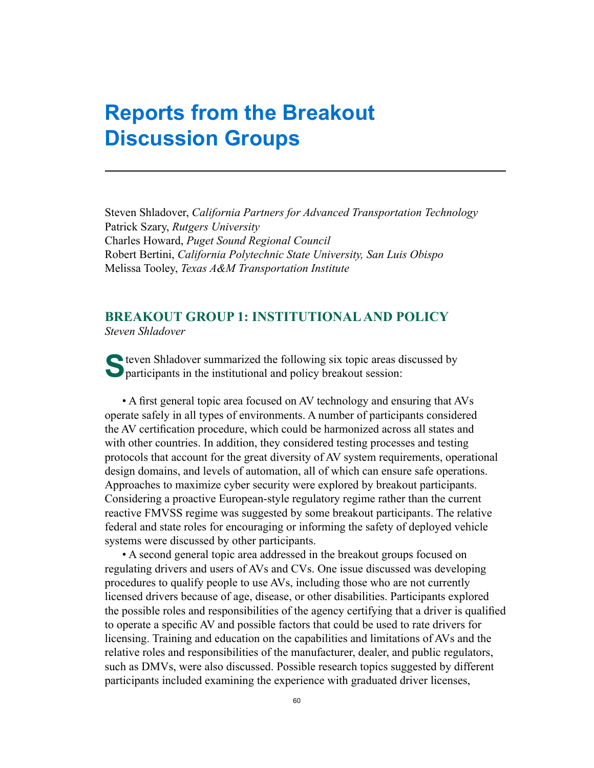# **Reports from the Breakout Discussion Groups**

Steven Shladover, *California Partners for Advanced Transportation Technology* Patrick Szary, *Rutgers University* Charles Howard, *Puget Sound Regional Council* Robert Bertini, *California Polytechnic State University, San Luis Obispo* Melissa Tooley, *Texas A&M Transportation Institute*

## **BREAKOUT GROUP 1: INSTITUTIONAL AND POLICY** *Steven Shladover*

S teven Shladover summarized the following six topic areas discussed by participants in the institutional and policy breakout session:

 • A first general topic area focused on AV technology and ensuring that AVs operate safely in all types of environments. A number of participants considered the AV certification procedure, which could be harmonized across all states and with other countries. In addition, they considered testing processes and testing protocols that account for the great diversity of AV system requirements, operational design domains, and levels of automation, all of which can ensure safe operations. Approaches to maximize cyber security were explored by breakout participants. Considering a proactive European-style regulatory regime rather than the current reactive FMVSS regime was suggested by some breakout participants. The relative federal and state roles for encouraging or informing the safety of deployed vehicle systems were discussed by other participants.

• A second general topic area addressed in the breakout groups focused on regulating drivers and users of AVs and CVs. One issue discussed was developing procedures to qualify people to use AVs, including those who are not currently licensed drivers because of age, disease, or other disabilities. Participants explored the possible roles and responsibilities of the agency certifying that a driver is qualified to operate a specific AV and possible factors that could be used to rate drivers for licensing. Training and education on the capabilities and limitations of AVs and the relative roles and responsibilities of the manufacturer, dealer, and public regulators, such as DMVs, were also discussed. Possible research topics suggested by different participants included examining the experience with graduated driver licenses,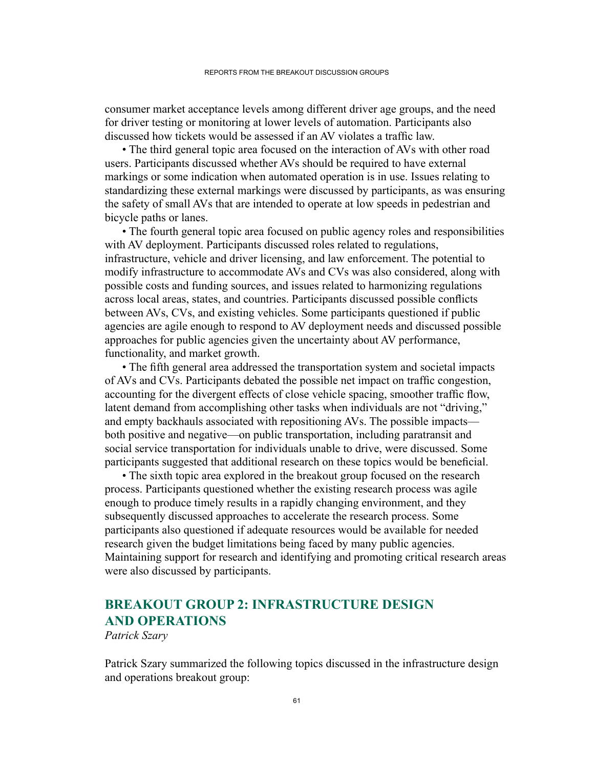consumer market acceptance levels among different driver age groups, and the need for driver testing or monitoring at lower levels of automation. Participants also discussed how tickets would be assessed if an AV violates a traffic law.

• The third general topic area focused on the interaction of AVs with other road users. Participants discussed whether AVs should be required to have external markings or some indication when automated operation is in use. Issues relating to standardizing these external markings were discussed by participants, as was ensuring the safety of small AVs that are intended to operate at low speeds in pedestrian and bicycle paths or lanes.

• The fourth general topic area focused on public agency roles and responsibilities with AV deployment. Participants discussed roles related to regulations, infrastructure, vehicle and driver licensing, and law enforcement. The potential to modify infrastructure to accommodate AVs and CVs was also considered, along with possible costs and funding sources, and issues related to harmonizing regulations across local areas, states, and countries. Participants discussed possible conflicts between AVs, CVs, and existing vehicles. Some participants questioned if public agencies are agile enough to respond to AV deployment needs and discussed possible approaches for public agencies given the uncertainty about AV performance, functionality, and market growth.

 • The fifth general area addressed the transportation system and societal impacts of AVs and CVs. Participants debated the possible net impact on traffic congestion, accounting for the divergent effects of close vehicle spacing, smoother traffic flow, latent demand from accomplishing other tasks when individuals are not "driving," and empty backhauls associated with repositioning AVs. The possible impacts both positive and negative—on public transportation, including paratransit and social service transportation for individuals unable to drive, were discussed. Some participants suggested that additional research on these topics would be beneficial.

• The sixth topic area explored in the breakout group focused on the research process. Participants questioned whether the existing research process was agile enough to produce timely results in a rapidly changing environment, and they subsequently discussed approaches to accelerate the research process. Some participants also questioned if adequate resources would be available for needed research given the budget limitations being faced by many public agencies. Maintaining support for research and identifying and promoting critical research areas were also discussed by participants.

# **BREAKOUT GROUP 2: INFRASTRUCTURE DESIGN AND OPERATIONS**

*Patrick Szary*

Patrick Szary summarized the following topics discussed in the infrastructure design and operations breakout group: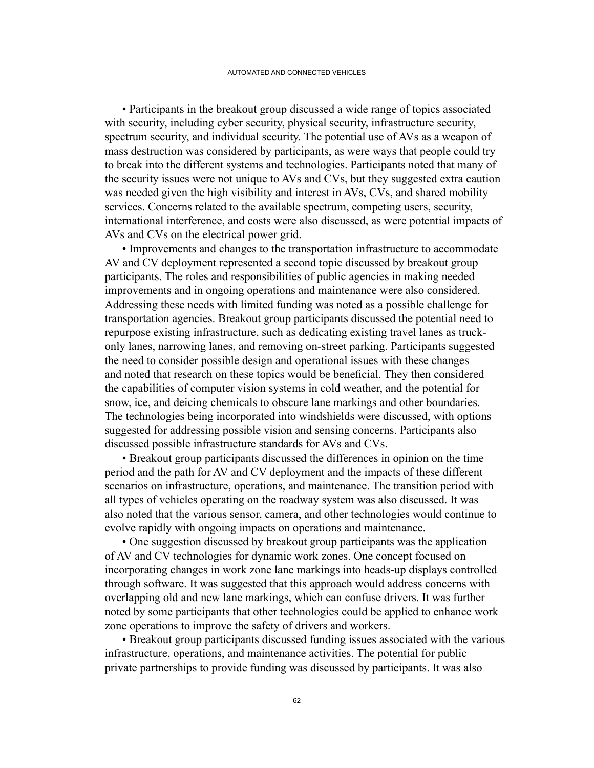• Participants in the breakout group discussed a wide range of topics associated with security, including cyber security, physical security, infrastructure security, spectrum security, and individual security. The potential use of AVs as a weapon of mass destruction was considered by participants, as were ways that people could try to break into the different systems and technologies. Participants noted that many of the security issues were not unique to AVs and CVs, but they suggested extra caution was needed given the high visibility and interest in AVs, CVs, and shared mobility services. Concerns related to the available spectrum, competing users, security, international interference, and costs were also discussed, as were potential impacts of AVs and CVs on the electrical power grid.

• Improvements and changes to the transportation infrastructure to accommodate AV and CV deployment represented a second topic discussed by breakout group participants. The roles and responsibilities of public agencies in making needed improvements and in ongoing operations and maintenance were also considered. Addressing these needs with limited funding was noted as a possible challenge for transportation agencies. Breakout group participants discussed the potential need to repurpose existing infrastructure, such as dedicating existing travel lanes as truckonly lanes, narrowing lanes, and removing on-street parking. Participants suggested the need to consider possible design and operational issues with these changes and noted that research on these topics would be beneficial. They then considered the capabilities of computer vision systems in cold weather, and the potential for snow, ice, and deicing chemicals to obscure lane markings and other boundaries. The technologies being incorporated into windshields were discussed, with options suggested for addressing possible vision and sensing concerns. Participants also discussed possible infrastructure standards for AVs and CVs.

• Breakout group participants discussed the differences in opinion on the time period and the path for AV and CV deployment and the impacts of these different scenarios on infrastructure, operations, and maintenance. The transition period with all types of vehicles operating on the roadway system was also discussed. It was also noted that the various sensor, camera, and other technologies would continue to evolve rapidly with ongoing impacts on operations and maintenance.

• One suggestion discussed by breakout group participants was the application of AV and CV technologies for dynamic work zones. One concept focused on incorporating changes in work zone lane markings into heads-up displays controlled through software. It was suggested that this approach would address concerns with overlapping old and new lane markings, which can confuse drivers. It was further noted by some participants that other technologies could be applied to enhance work zone operations to improve the safety of drivers and workers.

• Breakout group participants discussed funding issues associated with the various infrastructure, operations, and maintenance activities. The potential for public– private partnerships to provide funding was discussed by participants. It was also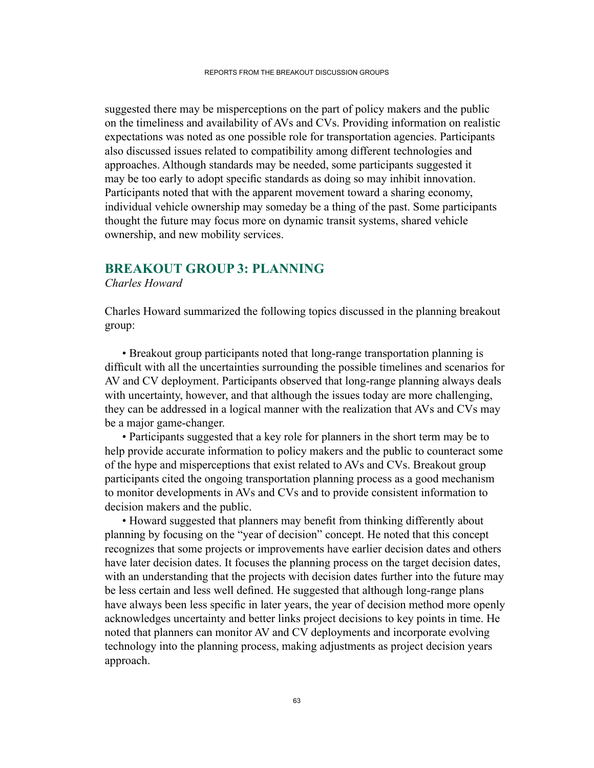suggested there may be misperceptions on the part of policy makers and the public on the timeliness and availability of AVs and CVs. Providing information on realistic expectations was noted as one possible role for transportation agencies. Participants also discussed issues related to compatibility among different technologies and approaches. Although standards may be needed, some participants suggested it may be too early to adopt specific standards as doing so may inhibit innovation. Participants noted that with the apparent movement toward a sharing economy, individual vehicle ownership may someday be a thing of the past. Some participants thought the future may focus more on dynamic transit systems, shared vehicle ownership, and new mobility services.

# **BREAKOUT GROUP 3: PLANNING**

#### *Charles Howard*

Charles Howard summarized the following topics discussed in the planning breakout group:

 • Breakout group participants noted that long-range transportation planning is difficult with all the uncertainties surrounding the possible timelines and scenarios for AV and CV deployment. Participants observed that long-range planning always deals with uncertainty, however, and that although the issues today are more challenging, they can be addressed in a logical manner with the realization that AVs and CVs may be a major game-changer.

• Participants suggested that a key role for planners in the short term may be to help provide accurate information to policy makers and the public to counteract some of the hype and misperceptions that exist related to AVs and CVs. Breakout group participants cited the ongoing transportation planning process as a good mechanism to monitor developments in AVs and CVs and to provide consistent information to decision makers and the public.

 • Howard suggested that planners may benefit from thinking differently about planning by focusing on the "year of decision" concept. He noted that this concept recognizes that some projects or improvements have earlier decision dates and others have later decision dates. It focuses the planning process on the target decision dates, with an understanding that the projects with decision dates further into the future may be less certain and less well defined. He suggested that although long-range plans have always been less specific in later years, the year of decision method more openly acknowledges uncertainty and better links project decisions to key points in time. He noted that planners can monitor AV and CV deployments and incorporate evolving technology into the planning process, making adjustments as project decision years approach.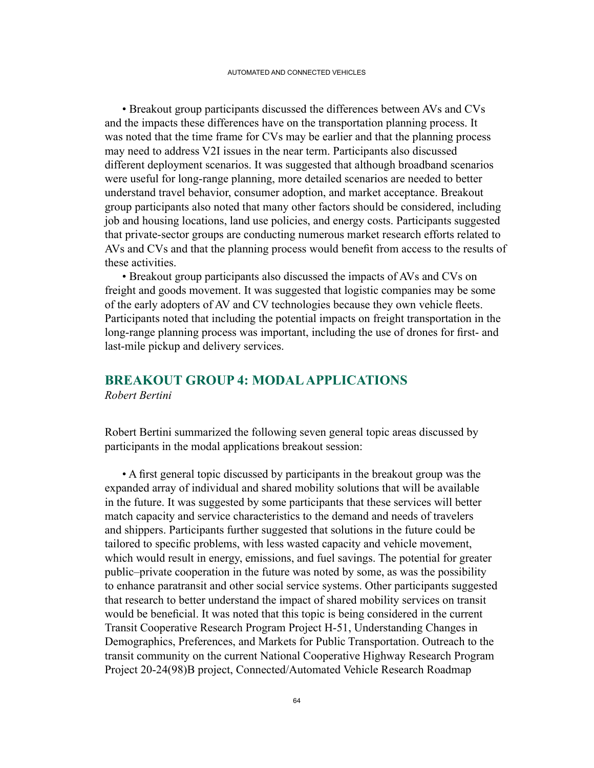• Breakout group participants discussed the differences between AVs and CVs and the impacts these differences have on the transportation planning process. It was noted that the time frame for CVs may be earlier and that the planning process may need to address V2I issues in the near term. Participants also discussed different deployment scenarios. It was suggested that although broadband scenarios were useful for long-range planning, more detailed scenarios are needed to better understand travel behavior, consumer adoption, and market acceptance. Breakout group participants also noted that many other factors should be considered, including job and housing locations, land use policies, and energy costs. Participants suggested that private-sector groups are conducting numerous market research efforts related to AVs and CVs and that the planning process would benefit from access to the results of these activities.

• Breakout group participants also discussed the impacts of AVs and CVs on freight and goods movement. It was suggested that logistic companies may be some of the early adopters of AV and CV technologies because they own vehicle fleets. Participants noted that including the potential impacts on freight transportation in the long-range planning process was important, including the use of drones for first- and last-mile pickup and delivery services.

#### **BREAKOUT GROUP 4: MODAL APPLICATIONS** *Robert Bertini*

Robert Bertini summarized the following seven general topic areas discussed by participants in the modal applications breakout session:

 • A first general topic discussed by participants in the breakout group was the expanded array of individual and shared mobility solutions that will be available in the future. It was suggested by some participants that these services will better match capacity and service characteristics to the demand and needs of travelers and shippers. Participants further suggested that solutions in the future could be tailored to specific problems, with less wasted capacity and vehicle movement, which would result in energy, emissions, and fuel savings. The potential for greater public–private cooperation in the future was noted by some, as was the possibility to enhance paratransit and other social service systems. Other participants suggested that research to better understand the impact of shared mobility services on transit would be beneficial. It was noted that this topic is being considered in the current Transit Cooperative Research Program Project H-51, Understanding Changes in Demographics, Preferences, and Markets for Public Transportation. Outreach to the transit community on the current National Cooperative Highway Research Program Project 20-24(98)B project, Connected/Automated Vehicle Research Roadmap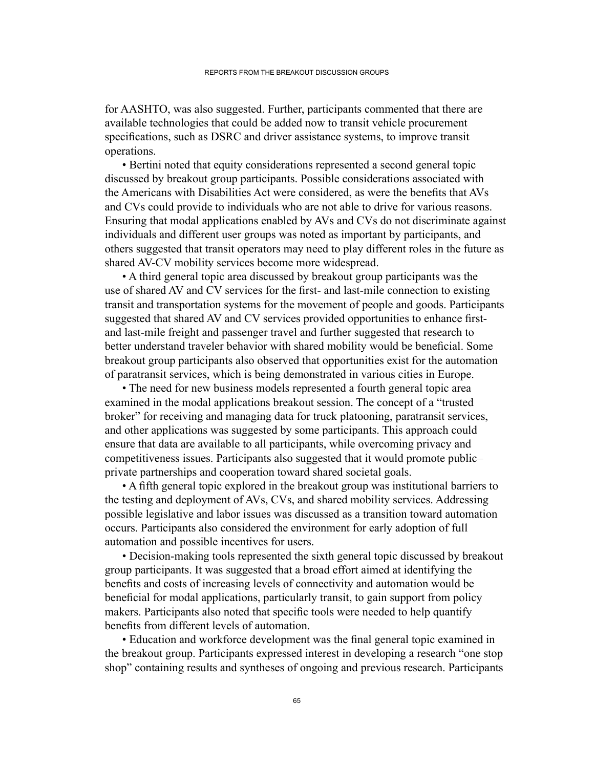for AASHTO, was also suggested. Further, participants commented that there are available technologies that could be added now to transit vehicle procurement specifications, such as DSRC and driver assistance systems, to improve transit operations.

• Bertini noted that equity considerations represented a second general topic discussed by breakout group participants. Possible considerations associated with the Americans with Disabilities Act were considered, as were the benefits that AVs and CVs could provide to individuals who are not able to drive for various reasons. Ensuring that modal applications enabled by AVs and CVs do not discriminate against individuals and different user groups was noted as important by participants, and others suggested that transit operators may need to play different roles in the future as shared AV-CV mobility services become more widespread.

• A third general topic area discussed by breakout group participants was the use of shared AV and CV services for the first- and last-mile connection to existing transit and transportation systems for the movement of people and goods. Participants suggested that shared AV and CV services provided opportunities to enhance firstand last-mile freight and passenger travel and further suggested that research to better understand traveler behavior with shared mobility would be beneficial. Some breakout group participants also observed that opportunities exist for the automation of paratransit services, which is being demonstrated in various cities in Europe.

• The need for new business models represented a fourth general topic area examined in the modal applications breakout session. The concept of a "trusted broker" for receiving and managing data for truck platooning, paratransit services, and other applications was suggested by some participants. This approach could ensure that data are available to all participants, while overcoming privacy and competitiveness issues. Participants also suggested that it would promote public– private partnerships and cooperation toward shared societal goals.

 • A fifth general topic explored in the breakout group was institutional barriers to the testing and deployment of AVs, CVs, and shared mobility services. Addressing possible legislative and labor issues was discussed as a transition toward automation occurs. Participants also considered the environment for early adoption of full automation and possible incentives for users.

 • Decision-making tools represented the sixth general topic discussed by breakout group participants. It was suggested that a broad effort aimed at identifying the benefits and costs of increasing levels of connectivity and automation would be beneficial for modal applications, particularly transit, to gain support from policy makers. Participants also noted that specific tools were needed to help quantify benefits from different levels of automation.

 • Education and workforce development was the final general topic examined in the breakout group. Participants expressed interest in developing a research "one stop shop" containing results and syntheses of ongoing and previous research. Participants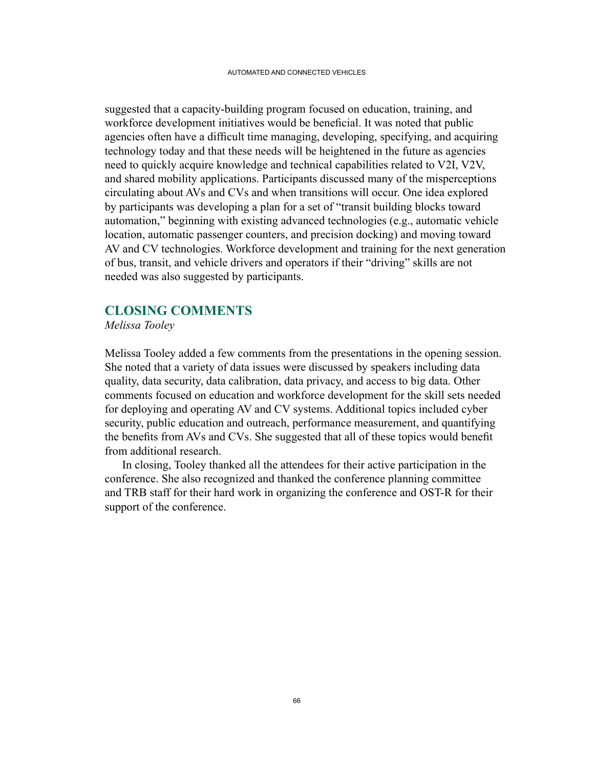suggested that a capacity-building program focused on education, training, and workforce development initiatives would be beneficial. It was noted that public agencies often have a difficult time managing, developing, specifying, and acquiring technology today and that these needs will be heightened in the future as agencies need to quickly acquire knowledge and technical capabilities related to V2I, V2V, and shared mobility applications. Participants discussed many of the misperceptions circulating about AVs and CVs and when transitions will occur. One idea explored by participants was developing a plan for a set of "transit building blocks toward automation," beginning with existing advanced technologies (e.g., automatic vehicle location, automatic passenger counters, and precision docking) and moving toward AV and CV technologies. Workforce development and training for the next generation of bus, transit, and vehicle drivers and operators if their "driving" skills are not needed was also suggested by participants.

## **CLOSING COMMENTS**

*Melissa Tooley*

Melissa Tooley added a few comments from the presentations in the opening session. She noted that a variety of data issues were discussed by speakers including data quality, data security, data calibration, data privacy, and access to big data. Other comments focused on education and workforce development for the skill sets needed for deploying and operating AV and CV systems. Additional topics included cyber security, public education and outreach, performance measurement, and quantifying the benefits from AVs and CVs. She suggested that all of these topics would benefit from additional research.

In closing, Tooley thanked all the attendees for their active participation in the conference. She also recognized and thanked the conference planning committee and TRB staff for their hard work in organizing the conference and OST-R for their support of the conference.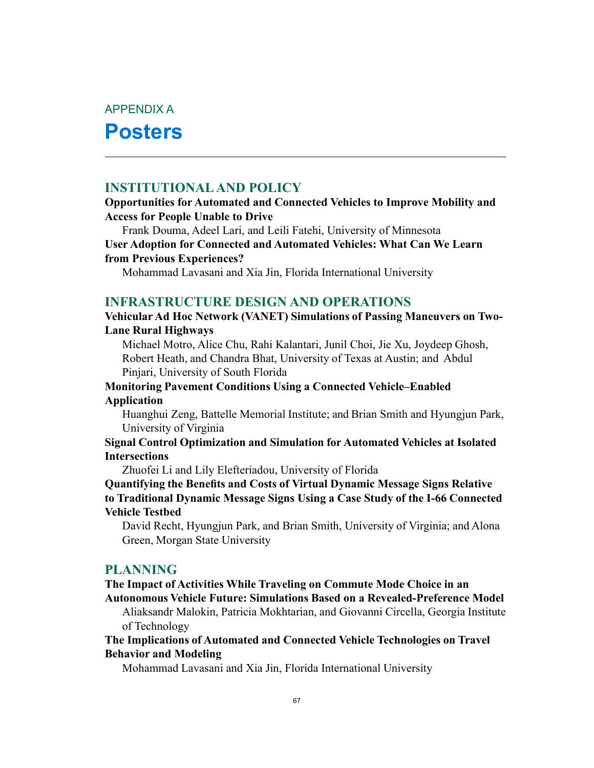APPENDIX A

# **Posters**

# **INSTITUTIONAL AND POLICY**

#### **Opportunities for Automated and Connected Vehicles to Improve Mobility and Access for People Unable to Drive**

Frank Douma, Adeel Lari, and Leili Fatehi, University of Minnesota **User Adoption for Connected and Automated Vehicles: What Can We Learn from Previous Experiences?**

Mohammad Lavasani and Xia Jin, Florida International University

#### **INFRASTRUCTURE DESIGN AND OPERATIONS**

### **Vehicular Ad Hoc Network (VANET) Simulations of Passing Maneuvers on Two-Lane Rural Highways**

Michael Motro, Alice Chu, Rahi Kalantari, Junil Choi, Jie Xu, Joydeep Ghosh, Robert Heath, and Chandra Bhat, University of Texas at Austin; and Abdul Pinjari, University of South Florida

### **Monitoring Pavement Conditions Using a Connected Vehicle–Enabled Application**

Huanghui Zeng, Battelle Memorial Institute; and Brian Smith and Hyungjun Park, University of Virginia

#### **Signal Control Optimization and Simulation for Automated Vehicles at Isolated Intersections**

Zhuofei Li and Lily Elefteriadou, University of Florida

**Quantifying the Benefits and Costs of Virtual Dynamic Message Signs Relative to Traditional Dynamic Message Signs Using a Case Study of the I-66 Connected Vehicle Testbed**

David Recht, Hyungjun Park, and Brian Smith, University of Virginia; and Alona Green, Morgan State University

#### **PLANNING**

#### **The Impact of Activities While Traveling on Commute Mode Choice in an Autonomous Vehicle Future: Simulations Based on a Revealed-Preference Model**

Aliaksandr Malokin, Patricia Mokhtarian, and Giovanni Circella, Georgia Institute of Technology

**The Implications of Automated and Connected Vehicle Technologies on Travel Behavior and Modeling**

Mohammad Lavasani and Xia Jin, Florida International University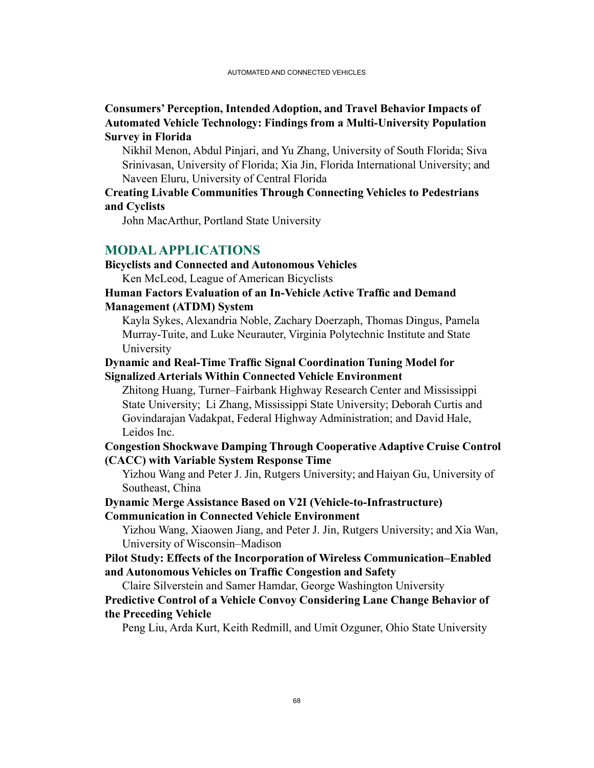#### **Consumers' Perception, Intended Adoption, and Travel Behavior Impacts of Automated Vehicle Technology: Findings from a Multi-University Population Survey in Florida**

Nikhil Menon, Abdul Pinjari, and Yu Zhang, University of South Florida; Siva Srinivasan, University of Florida; Xia Jin, Florida International University; and Naveen Eluru, University of Central Florida

#### **Creating Livable Communities Through Connecting Vehicles to Pedestrians and Cyclists**

John MacArthur, Portland State University

#### **MODAL APPLICATIONS**

#### **Bicyclists and Connected and Autonomous Vehicles**

Ken McLeod, League of American Bicyclists

#### **Human Factors Evaluation of an In-Vehicle Active Traffic and Demand Management (ATDM) System**

Kayla Sykes, Alexandria Noble, Zachary Doerzaph, Thomas Dingus, Pamela Murray-Tuite, and Luke Neurauter, Virginia Polytechnic Institute and State University

### **Dynamic and Real-Time Traffic Signal Coordination Tuning Model for Signalized Arterials Within Connected Vehicle Environment**

Zhitong Huang, Turner–Fairbank Highway Research Center and Mississippi State University; Li Zhang, Mississippi State University; Deborah Curtis and Govindarajan Vadakpat, Federal Highway Administration; and David Hale, Leidos Inc.

#### **Congestion Shockwave Damping Through Cooperative Adaptive Cruise Control (CACC) with Variable System Response Time**

Yizhou Wang and Peter J. Jin, Rutgers University; and Haiyan Gu, University of Southeast, China

#### **Dynamic Merge Assistance Based on V2I (Vehicle-to-Infrastructure) Communication in Connected Vehicle Environment**

Yizhou Wang, Xiaowen Jiang, and Peter J. Jin, Rutgers University; and Xia Wan, University of Wisconsin–Madison

### **Pilot Study: Effects of the Incorporation of Wireless Communication–Enabled and Autonomous Vehicles on Traffic Congestion and Safety**

Claire Silverstein and Samer Hamdar, George Washington University

### **Predictive Control of a Vehicle Convoy Considering Lane Change Behavior of the Preceding Vehicle**

Peng Liu, Arda Kurt, Keith Redmill, and Umit Ozguner, Ohio State University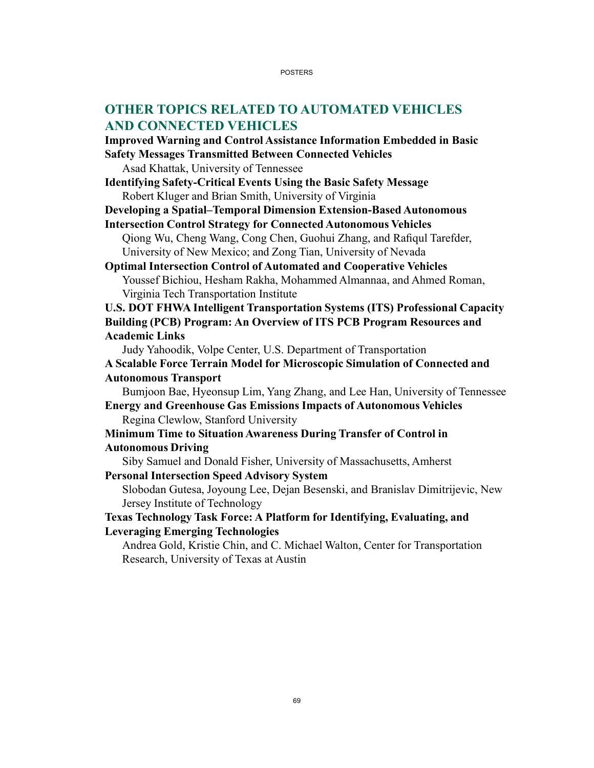# **OTHER TOPICS RELATED TO AUTOMATED VEHICLES AND CONNECTED VEHICLES**

**Improved Warning and Control Assistance Information Embedded in Basic Safety Messages Transmitted Between Connected Vehicles**

Asad Khattak, University of Tennessee

**Identifying Safety-Critical Events Using the Basic Safety Message** Robert Kluger and Brian Smith, University of Virginia

**Developing a Spatial–Temporal Dimension Extension-Based Autonomous** 

**Intersection Control Strategy for Connected Autonomous Vehicles**

Qiong Wu, Cheng Wang, Cong Chen, Guohui Zhang, and Rafiqul Tarefder, University of New Mexico; and Zong Tian, University of Nevada

**Optimal Intersection Control of Automated and Cooperative Vehicles** Youssef Bichiou, Hesham Rakha, Mohammed Almannaa, and Ahmed Roman, Virginia Tech Transportation Institute

**U.S. DOT FHWA Intelligent Transportation Systems (ITS) Professional Capacity Building (PCB) Program: An Overview of ITS PCB Program Resources and Academic Links**

Judy Yahoodik, Volpe Center, U.S. Department of Transportation

**A Scalable Force Terrain Model for Microscopic Simulation of Connected and Autonomous Transport**

Bumjoon Bae, Hyeonsup Lim, Yang Zhang, and Lee Han, University of Tennessee **Energy and Greenhouse Gas Emissions Impacts of Autonomous Vehicles**

Regina Clewlow, Stanford University

**Minimum Time to Situation Awareness During Transfer of Control in Autonomous Driving**

Siby Samuel and Donald Fisher, University of Massachusetts, Amherst **Personal Intersection Speed Advisory System**

Slobodan Gutesa, Joyoung Lee, Dejan Besenski, and Branislav Dimitrijevic, New Jersey Institute of Technology

**Texas Technology Task Force: A Platform for Identifying, Evaluating, and Leveraging Emerging Technologies**

Andrea Gold, Kristie Chin, and C. Michael Walton, Center for Transportation Research, University of Texas at Austin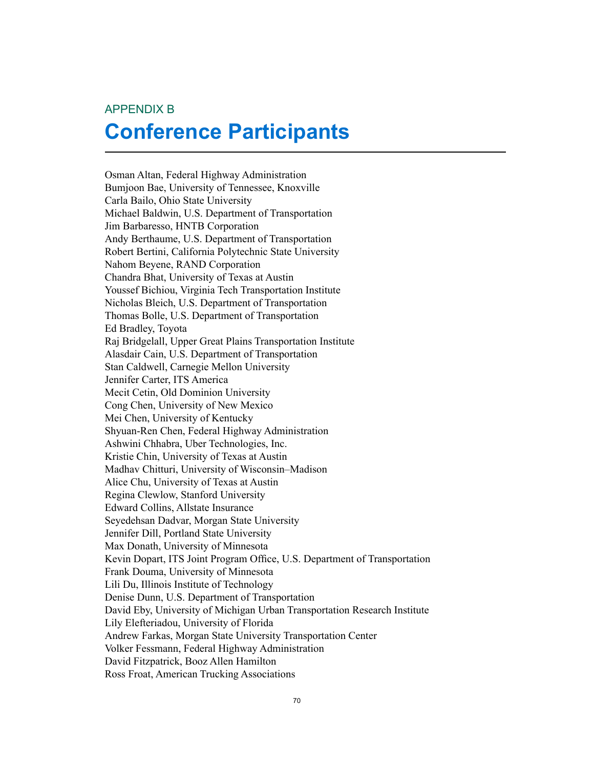#### APPENDIX B

# **Conference Participants**

Osman Altan, Federal Highway Administration Bumjoon Bae, University of Tennessee, Knoxville Carla Bailo, Ohio State University Michael Baldwin, U.S. Department of Transportation Jim Barbaresso, HNTB Corporation Andy Berthaume, U.S. Department of Transportation Robert Bertini, California Polytechnic State University Nahom Beyene, RAND Corporation Chandra Bhat, University of Texas at Austin Youssef Bichiou, Virginia Tech Transportation Institute Nicholas Bleich, U.S. Department of Transportation Thomas Bolle, U.S. Department of Transportation Ed Bradley, Toyota Raj Bridgelall, Upper Great Plains Transportation Institute Alasdair Cain, U.S. Department of Transportation Stan Caldwell, Carnegie Mellon University Jennifer Carter, ITS America Mecit Cetin, Old Dominion University Cong Chen, University of New Mexico Mei Chen, University of Kentucky Shyuan-Ren Chen, Federal Highway Administration Ashwini Chhabra, Uber Technologies, Inc. Kristie Chin, University of Texas at Austin Madhav Chitturi, University of Wisconsin–Madison Alice Chu, University of Texas at Austin Regina Clewlow, Stanford University Edward Collins, Allstate Insurance Seyedehsan Dadvar, Morgan State University Jennifer Dill, Portland State University Max Donath, University of Minnesota Kevin Dopart, ITS Joint Program Office, U.S. Department of Transportation Frank Douma, University of Minnesota Lili Du, Illinois Institute of Technology Denise Dunn, U.S. Department of Transportation David Eby, University of Michigan Urban Transportation Research Institute Lily Elefteriadou, University of Florida Andrew Farkas, Morgan State University Transportation Center Volker Fessmann, Federal Highway Administration David Fitzpatrick, Booz Allen Hamilton Ross Froat, American Trucking Associations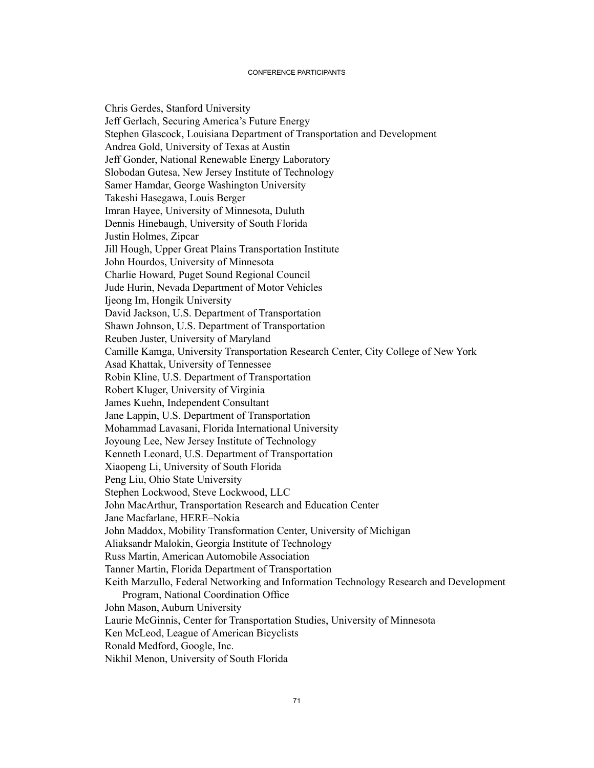#### CONFERENCE PARTICIPANTS

Chris Gerdes, Stanford University Jeff Gerlach, Securing America's Future Energy Stephen Glascock, Louisiana Department of Transportation and Development Andrea Gold, University of Texas at Austin Jeff Gonder, National Renewable Energy Laboratory Slobodan Gutesa, New Jersey Institute of Technology Samer Hamdar, George Washington University Takeshi Hasegawa, Louis Berger Imran Hayee, University of Minnesota, Duluth Dennis Hinebaugh, University of South Florida Justin Holmes, Zipcar Jill Hough, Upper Great Plains Transportation Institute John Hourdos, University of Minnesota Charlie Howard, Puget Sound Regional Council Jude Hurin, Nevada Department of Motor Vehicles Ijeong Im, Hongik University David Jackson, U.S. Department of Transportation Shawn Johnson, U.S. Department of Transportation Reuben Juster, University of Maryland Camille Kamga, University Transportation Research Center, City College of New York Asad Khattak, University of Tennessee Robin Kline, U.S. Department of Transportation Robert Kluger, University of Virginia James Kuehn, Independent Consultant Jane Lappin, U.S. Department of Transportation Mohammad Lavasani, Florida International University Joyoung Lee, New Jersey Institute of Technology Kenneth Leonard, U.S. Department of Transportation Xiaopeng Li, University of South Florida Peng Liu, Ohio State University Stephen Lockwood, Steve Lockwood, LLC John MacArthur, Transportation Research and Education Center Jane Macfarlane, HERE–Nokia John Maddox, Mobility Transformation Center, University of Michigan Aliaksandr Malokin, Georgia Institute of Technology Russ Martin, American Automobile Association Tanner Martin, Florida Department of Transportation Keith Marzullo, Federal Networking and Information Technology Research and Development Program, National Coordination Office John Mason, Auburn University Laurie McGinnis, Center for Transportation Studies, University of Minnesota Ken McLeod, League of American Bicyclists Ronald Medford, Google, Inc. Nikhil Menon, University of South Florida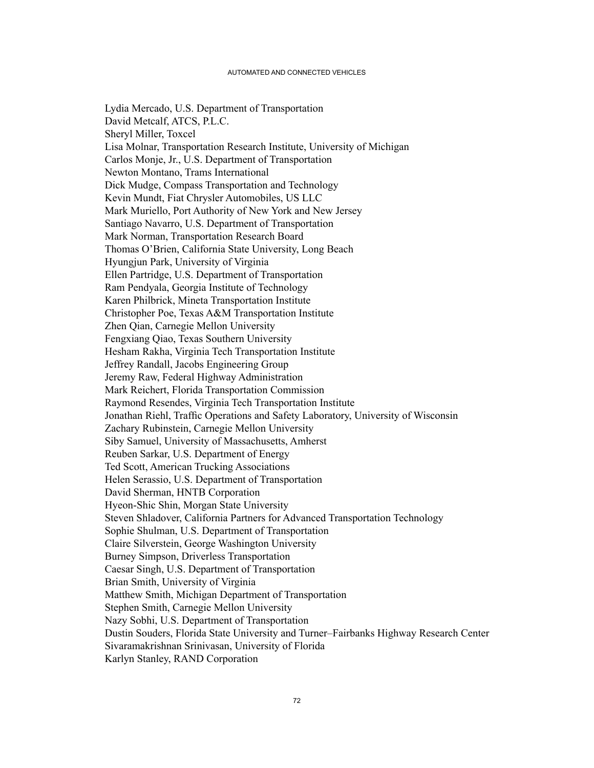Lydia Mercado, U.S. Department of Transportation David Metcalf, ATCS, P.L.C. Sheryl Miller, Toxcel Lisa Molnar, Transportation Research Institute, University of Michigan Carlos Monje, Jr., U.S. Department of Transportation Newton Montano, Trams International Dick Mudge, Compass Transportation and Technology Kevin Mundt, Fiat Chrysler Automobiles, US LLC Mark Muriello, Port Authority of New York and New Jersey Santiago Navarro, U.S. Department of Transportation Mark Norman, Transportation Research Board Thomas O'Brien, California State University, Long Beach Hyungjun Park, University of Virginia Ellen Partridge, U.S. Department of Transportation Ram Pendyala, Georgia Institute of Technology Karen Philbrick, Mineta Transportation Institute Christopher Poe, Texas A&M Transportation Institute Zhen Qian, Carnegie Mellon University Fengxiang Qiao, Texas Southern University Hesham Rakha, Virginia Tech Transportation Institute Jeffrey Randall, Jacobs Engineering Group Jeremy Raw, Federal Highway Administration Mark Reichert, Florida Transportation Commission Raymond Resendes, Virginia Tech Transportation Institute Jonathan Riehl, Traffic Operations and Safety Laboratory, University of Wisconsin Zachary Rubinstein, Carnegie Mellon University Siby Samuel, University of Massachusetts, Amherst Reuben Sarkar, U.S. Department of Energy Ted Scott, American Trucking Associations Helen Serassio, U.S. Department of Transportation David Sherman, HNTB Corporation Hyeon-Shic Shin, Morgan State University Steven Shladover, California Partners for Advanced Transportation Technology Sophie Shulman, U.S. Department of Transportation Claire Silverstein, George Washington University Burney Simpson, Driverless Transportation Caesar Singh, U.S. Department of Transportation Brian Smith, University of Virginia Matthew Smith, Michigan Department of Transportation Stephen Smith, Carnegie Mellon University Nazy Sobhi, U.S. Department of Transportation Dustin Souders, Florida State University and Turner–Fairbanks Highway Research Center Sivaramakrishnan Srinivasan, University of Florida Karlyn Stanley, RAND Corporation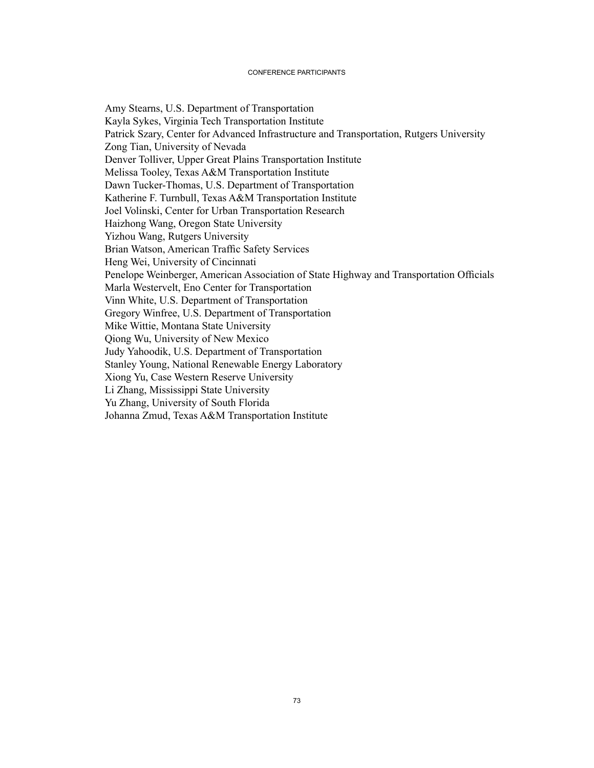#### CONFERENCE PARTICIPANTS

Amy Stearns, U.S. Department of Transportation Kayla Sykes, Virginia Tech Transportation Institute Patrick Szary, Center for Advanced Infrastructure and Transportation, Rutgers University Zong Tian, University of Nevada Denver Tolliver, Upper Great Plains Transportation Institute Melissa Tooley, Texas A&M Transportation Institute Dawn Tucker-Thomas, U.S. Department of Transportation Katherine F. Turnbull, Texas A&M Transportation Institute Joel Volinski, Center for Urban Transportation Research Haizhong Wang, Oregon State University Yizhou Wang, Rutgers University Brian Watson, American Traffic Safety Services Heng Wei, University of Cincinnati Penelope Weinberger, American Association of State Highway and Transportation Officials Marla Westervelt, Eno Center for Transportation Vinn White, U.S. Department of Transportation Gregory Winfree, U.S. Department of Transportation Mike Wittie, Montana State University Qiong Wu, University of New Mexico Judy Yahoodik, U.S. Department of Transportation Stanley Young, National Renewable Energy Laboratory Xiong Yu, Case Western Reserve University Li Zhang, Mississippi State University Yu Zhang, University of South Florida Johanna Zmud, Texas A&M Transportation Institute